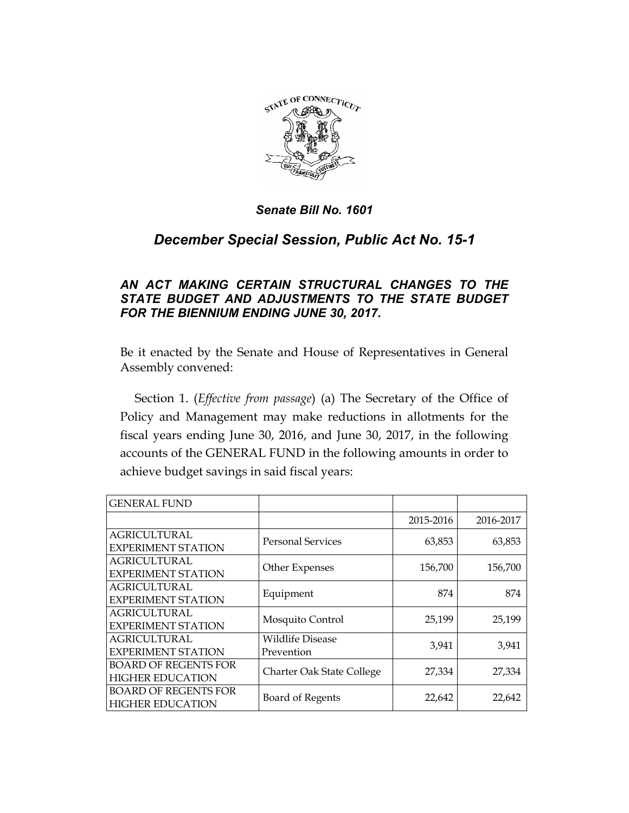

# *December Special Session, Public Act No. 15-1*

# *AN ACT MAKING CERTAIN STRUCTURAL CHANGES TO THE STATE BUDGET AND ADJUSTMENTS TO THE STATE BUDGET FOR THE BIENNIUM ENDING JUNE 30, 2017.*

Be it enacted by the Senate and House of Representatives in General Assembly convened:

Section 1. (*Effective from passage*) (a) The Secretary of the Office of Policy and Management may make reductions in allotments for the fiscal years ending June 30, 2016, and June 30, 2017, in the following accounts of the GENERAL FUND in the following amounts in order to achieve budget savings in said fiscal years:

| <b>GENERAL FUND</b>                                    |                                       |           |           |
|--------------------------------------------------------|---------------------------------------|-----------|-----------|
|                                                        |                                       | 2015-2016 | 2016-2017 |
| <b>AGRICULTURAL</b><br><b>EXPERIMENT STATION</b>       | <b>Personal Services</b>              | 63,853    | 63,853    |
| <b>AGRICULTURAL</b><br><b>EXPERIMENT STATION</b>       | Other Expenses                        | 156,700   | 156,700   |
| <b>AGRICULTURAL</b><br><b>EXPERIMENT STATION</b>       | Equipment                             | 874       | 874       |
| <b>AGRICULTURAL</b><br><b>EXPERIMENT STATION</b>       | Mosquito Control                      | 25,199    | 25,199    |
| <b>AGRICULTURAL</b><br><b>EXPERIMENT STATION</b>       | <b>Wildlife Disease</b><br>Prevention | 3,941     | 3,941     |
| <b>BOARD OF REGENTS FOR</b><br><b>HIGHER EDUCATION</b> | Charter Oak State College             | 27,334    | 27,334    |
| <b>BOARD OF REGENTS FOR</b><br><b>HIGHER EDUCATION</b> | Board of Regents                      | 22,642    | 22,642    |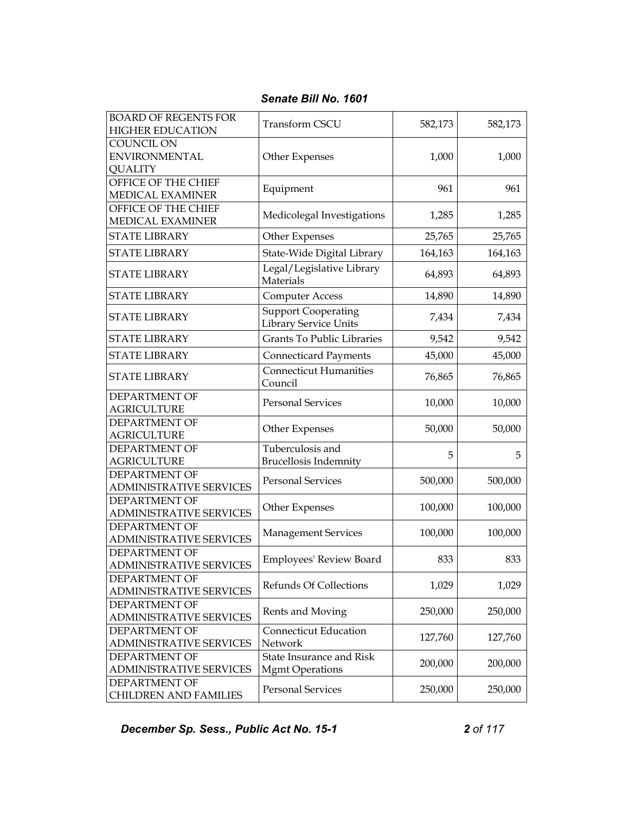| <b>BOARD OF REGENTS FOR</b><br><b>HIGHER EDUCATION</b>      | Transform CSCU                                             | 582,173 | 582,173 |
|-------------------------------------------------------------|------------------------------------------------------------|---------|---------|
| <b>COUNCIL ON</b><br><b>ENVIRONMENTAL</b><br><b>QUALITY</b> | Other Expenses                                             | 1,000   | 1,000   |
| OFFICE OF THE CHIEF<br>MEDICAL EXAMINER                     | Equipment                                                  | 961     | 961     |
| OFFICE OF THE CHIEF<br>MEDICAL EXAMINER                     | Medicolegal Investigations                                 | 1,285   | 1,285   |
| <b>STATE LIBRARY</b>                                        | Other Expenses                                             | 25,765  | 25,765  |
| <b>STATE LIBRARY</b>                                        | State-Wide Digital Library                                 | 164,163 | 164,163 |
| <b>STATE LIBRARY</b>                                        | Legal/Legislative Library<br>Materials                     | 64,893  | 64,893  |
| <b>STATE LIBRARY</b>                                        | <b>Computer Access</b>                                     | 14,890  | 14,890  |
| <b>STATE LIBRARY</b>                                        | <b>Support Cooperating</b><br><b>Library Service Units</b> | 7,434   | 7,434   |
| <b>STATE LIBRARY</b>                                        | <b>Grants To Public Libraries</b>                          | 9,542   | 9,542   |
| <b>STATE LIBRARY</b>                                        | <b>Connecticard Payments</b>                               | 45,000  | 45,000  |
| <b>STATE LIBRARY</b>                                        | <b>Connecticut Humanities</b><br>Council                   | 76,865  | 76,865  |
| <b>DEPARTMENT OF</b><br><b>AGRICULTURE</b>                  | <b>Personal Services</b>                                   | 10,000  | 10,000  |
| DEPARTMENT OF<br><b>AGRICULTURE</b>                         | Other Expenses                                             | 50,000  | 50,000  |
| DEPARTMENT OF<br><b>AGRICULTURE</b>                         | Tuberculosis and<br><b>Brucellosis Indemnity</b>           | 5       | 5       |
| DEPARTMENT OF<br><b>ADMINISTRATIVE SERVICES</b>             | <b>Personal Services</b>                                   | 500,000 | 500,000 |
| <b>DEPARTMENT OF</b><br><b>ADMINISTRATIVE SERVICES</b>      | Other Expenses                                             | 100,000 | 100,000 |
| <b>DEPARTMENT OF</b><br><b>ADMINISTRATIVE SERVICES</b>      | <b>Management Services</b>                                 | 100,000 | 100,000 |
| <b>DEPARTMENT OF</b><br><b>ADMINISTRATIVE SERVICES</b>      | Employees' Review Board                                    | 833     | 833     |
| <b>DEPARTMENT OF</b><br><b>ADMINISTRATIVE SERVICES</b>      | Refunds Of Collections                                     | 1,029   | 1,029   |
| DEPARTMENT OF<br><b>ADMINISTRATIVE SERVICES</b>             | Rents and Moving                                           | 250,000 | 250,000 |
| <b>DEPARTMENT OF</b><br><b>ADMINISTRATIVE SERVICES</b>      | <b>Connecticut Education</b><br>Network                    | 127,760 | 127,760 |
| DEPARTMENT OF<br>ADMINISTRATIVE SERVICES                    | State Insurance and Risk<br><b>Mgmt Operations</b>         | 200,000 | 200,000 |
| DEPARTMENT OF<br><b>CHILDREN AND FAMILIES</b>               | <b>Personal Services</b>                                   | 250,000 | 250,000 |

**December Sp. Sess., Public Act No. 15-1** 2 of 117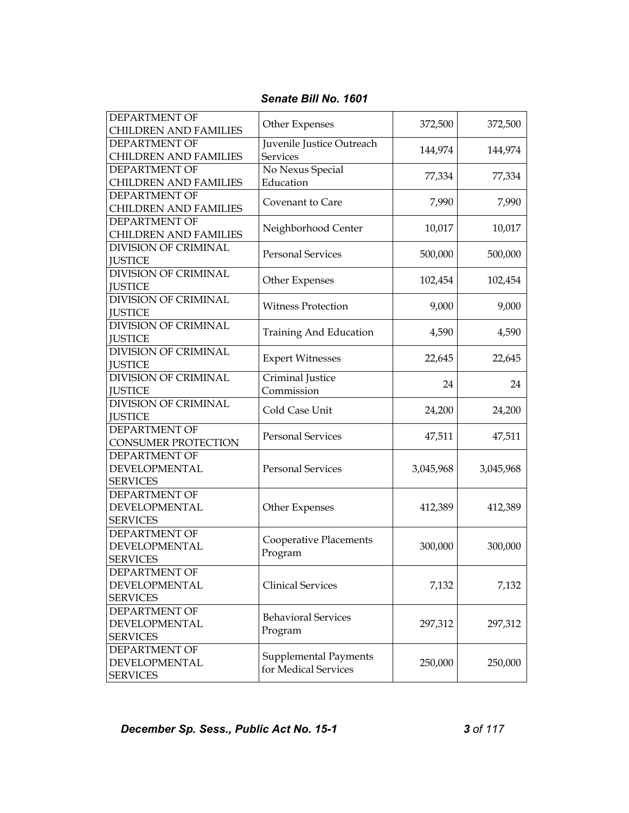| DEPARTMENT OF<br><b>CHILDREN AND FAMILIES</b>            | Other Expenses                                       | 372,500   | 372,500   |
|----------------------------------------------------------|------------------------------------------------------|-----------|-----------|
| <b>DEPARTMENT OF</b><br><b>CHILDREN AND FAMILIES</b>     | Juvenile Justice Outreach<br><b>Services</b>         | 144,974   | 144,974   |
| <b>DEPARTMENT OF</b><br><b>CHILDREN AND FAMILIES</b>     | No Nexus Special<br>Education                        | 77,334    | 77,334    |
| <b>DEPARTMENT OF</b><br><b>CHILDREN AND FAMILIES</b>     | Covenant to Care                                     | 7,990     | 7,990     |
| DEPARTMENT OF<br><b>CHILDREN AND FAMILIES</b>            | Neighborhood Center                                  | 10,017    | 10,017    |
| <b>DIVISION OF CRIMINAL</b><br><b>JUSTICE</b>            | <b>Personal Services</b>                             | 500,000   | 500,000   |
| <b>DIVISION OF CRIMINAL</b><br><b>JUSTICE</b>            | Other Expenses                                       | 102,454   | 102,454   |
| <b>DIVISION OF CRIMINAL</b><br><b>JUSTICE</b>            | <b>Witness Protection</b>                            | 9,000     | 9,000     |
| DIVISION OF CRIMINAL<br><b>JUSTICE</b>                   | Training And Education                               | 4,590     | 4,590     |
| DIVISION OF CRIMINAL<br><b>JUSTICE</b>                   | <b>Expert Witnesses</b>                              | 22,645    | 22,645    |
| <b>DIVISION OF CRIMINAL</b><br><b>JUSTICE</b>            | Criminal Justice<br>Commission                       | 24        | 24        |
| <b>DIVISION OF CRIMINAL</b><br><b>JUSTICE</b>            | Cold Case Unit                                       | 24,200    | 24,200    |
| <b>DEPARTMENT OF</b><br><b>CONSUMER PROTECTION</b>       | <b>Personal Services</b>                             | 47,511    | 47,511    |
| DEPARTMENT OF<br>DEVELOPMENTAL<br><b>SERVICES</b>        | <b>Personal Services</b>                             | 3,045,968 | 3,045,968 |
| DEPARTMENT OF<br>DEVELOPMENTAL<br><b>SERVICES</b>        | Other Expenses                                       | 412,389   | 412,389   |
| DEPARTMENT OF<br><b>DEVELOPMENTAL</b><br><b>SERVICES</b> | <b>Cooperative Placements</b><br>Program             | 300,000   | 300,000   |
| DEPARTMENT OF<br>DEVELOPMENTAL<br><b>SERVICES</b>        | <b>Clinical Services</b>                             | 7,132     | 7,132     |
| <b>DEPARTMENT OF</b><br>DEVELOPMENTAL<br><b>SERVICES</b> | <b>Behavioral Services</b><br>Program                | 297,312   | 297,312   |
| DEPARTMENT OF<br>DEVELOPMENTAL<br><b>SERVICES</b>        | <b>Supplemental Payments</b><br>for Medical Services | 250,000   | 250,000   |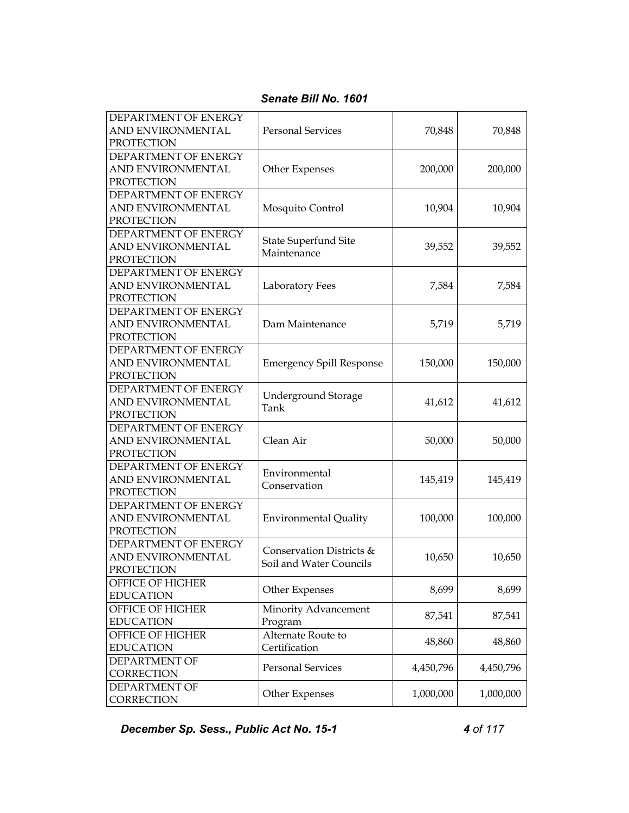| DEPARTMENT OF ENERGY<br>AND ENVIRONMENTAL<br><b>PROTECTION</b>        | <b>Personal Services</b>                            | 70,848    | 70,848    |
|-----------------------------------------------------------------------|-----------------------------------------------------|-----------|-----------|
| DEPARTMENT OF ENERGY<br>AND ENVIRONMENTAL<br><b>PROTECTION</b>        | Other Expenses                                      | 200,000   | 200,000   |
| DEPARTMENT OF ENERGY<br>AND ENVIRONMENTAL<br><b>PROTECTION</b>        | Mosquito Control                                    | 10,904    | 10,904    |
| DEPARTMENT OF ENERGY<br>AND ENVIRONMENTAL<br><b>PROTECTION</b>        | <b>State Superfund Site</b><br>Maintenance          | 39,552    | 39,552    |
| DEPARTMENT OF ENERGY<br>AND ENVIRONMENTAL<br><b>PROTECTION</b>        | Laboratory Fees                                     | 7,584     | 7,584     |
| DEPARTMENT OF ENERGY<br><b>AND ENVIRONMENTAL</b><br><b>PROTECTION</b> | Dam Maintenance                                     | 5,719     | 5,719     |
| DEPARTMENT OF ENERGY<br>AND ENVIRONMENTAL<br><b>PROTECTION</b>        | <b>Emergency Spill Response</b>                     | 150,000   | 150,000   |
| DEPARTMENT OF ENERGY<br>AND ENVIRONMENTAL<br><b>PROTECTION</b>        | <b>Underground Storage</b><br>Tank                  | 41,612    | 41,612    |
| DEPARTMENT OF ENERGY<br>AND ENVIRONMENTAL<br><b>PROTECTION</b>        | Clean Air                                           | 50,000    | 50,000    |
| DEPARTMENT OF ENERGY<br>AND ENVIRONMENTAL<br>PROTECTION               | Environmental<br>Conservation                       | 145,419   | 145,419   |
| DEPARTMENT OF ENERGY<br>AND ENVIRONMENTAL<br><b>PROTECTION</b>        | <b>Environmental Quality</b>                        | 100,000   | 100,000   |
| DEPARTMENT OF ENERGY<br>AND ENVIRONMENTAL<br>PROTECTION               | Conservation Districts &<br>Soil and Water Councils | 10,650    | 10,650    |
| OFFICE OF HIGHER<br><b>EDUCATION</b>                                  | Other Expenses                                      | 8,699     | 8,699     |
| OFFICE OF HIGHER<br><b>EDUCATION</b>                                  | Minority Advancement<br>Program                     | 87,541    | 87,541    |
| OFFICE OF HIGHER<br><b>EDUCATION</b>                                  | Alternate Route to<br>Certification                 | 48,860    | 48,860    |
| <b>DEPARTMENT OF</b><br>CORRECTION                                    | <b>Personal Services</b>                            | 4,450,796 | 4,450,796 |
| <b>DEPARTMENT OF</b><br>CORRECTION                                    | Other Expenses                                      | 1,000,000 | 1,000,000 |

**December Sp. Sess., Public Act No. 15-1 4 of 117**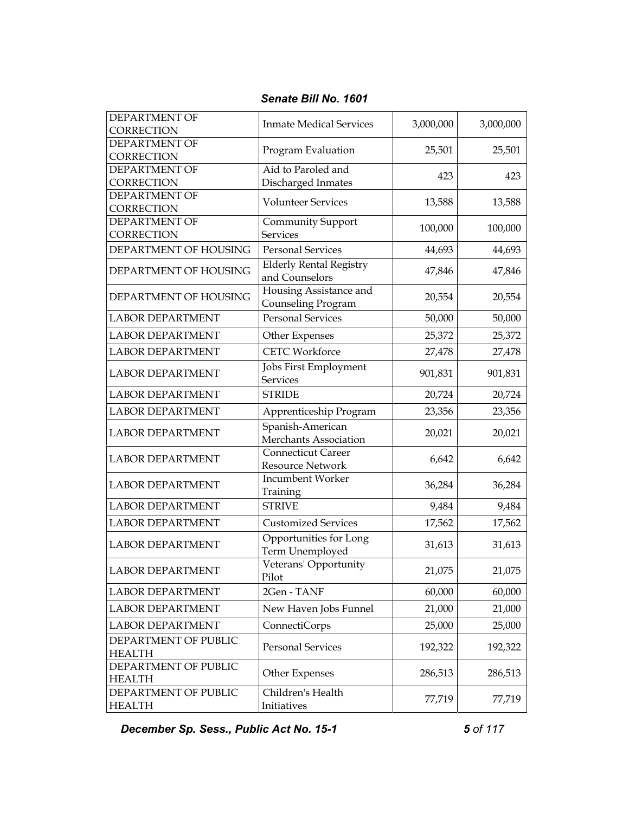| DEPARTMENT OF<br>CORRECTION           | <b>Inmate Medical Services</b>                   | 3,000,000 | 3,000,000 |
|---------------------------------------|--------------------------------------------------|-----------|-----------|
| DEPARTMENT OF<br>CORRECTION           | Program Evaluation                               | 25,501    | 25,501    |
| <b>DEPARTMENT OF</b><br>CORRECTION    | Aid to Paroled and<br>Discharged Inmates         | 423       | 423       |
| DEPARTMENT OF<br>CORRECTION           | <b>Volunteer Services</b>                        | 13,588    | 13,588    |
| DEPARTMENT OF<br>CORRECTION           | Community Support<br><b>Services</b>             | 100,000   | 100,000   |
| DEPARTMENT OF HOUSING                 | <b>Personal Services</b>                         | 44,693    | 44,693    |
| DEPARTMENT OF HOUSING                 | <b>Elderly Rental Registry</b><br>and Counselors | 47,846    | 47,846    |
| DEPARTMENT OF HOUSING                 | Housing Assistance and<br>Counseling Program     | 20,554    | 20,554    |
| <b>LABOR DEPARTMENT</b>               | <b>Personal Services</b>                         | 50,000    | 50,000    |
| <b>LABOR DEPARTMENT</b>               | Other Expenses                                   | 25,372    | 25,372    |
| <b>LABOR DEPARTMENT</b>               | <b>CETC Workforce</b>                            | 27,478    | 27,478    |
| <b>LABOR DEPARTMENT</b>               | Jobs First Employment<br><b>Services</b>         | 901,831   | 901,831   |
| <b>LABOR DEPARTMENT</b>               | <b>STRIDE</b>                                    | 20,724    | 20,724    |
| <b>LABOR DEPARTMENT</b>               | Apprenticeship Program                           | 23,356    | 23,356    |
| <b>LABOR DEPARTMENT</b>               | Spanish-American<br>Merchants Association        | 20,021    | 20,021    |
| <b>LABOR DEPARTMENT</b>               | Connecticut Career<br>Resource Network           | 6,642     | 6,642     |
| <b>LABOR DEPARTMENT</b>               | Incumbent Worker<br>Training                     | 36,284    | 36,284    |
| <b>LABOR DEPARTMENT</b>               | <b>STRIVE</b>                                    | 9,484     | 9,484     |
| <b>LABOR DEPARTMENT</b>               | <b>Customized Services</b>                       | 17,562    | 17,562    |
| <b>LABOR DEPARTMENT</b>               | Opportunities for Long<br>Term Unemployed        | 31,613    | 31,613    |
| LABOR DEPARTMENT                      | Veterans' Opportunity<br>Pilot                   | 21,075    | 21,075    |
| <b>LABOR DEPARTMENT</b>               | 2Gen - TANF                                      | 60,000    | 60,000    |
| LABOR DEPARTMENT                      | New Haven Jobs Funnel                            | 21,000    | 21,000    |
| <b>LABOR DEPARTMENT</b>               | ConnectiCorps                                    | 25,000    | 25,000    |
| DEPARTMENT OF PUBLIC<br><b>HEALTH</b> | <b>Personal Services</b>                         | 192,322   | 192,322   |
| DEPARTMENT OF PUBLIC<br><b>HEALTH</b> | Other Expenses                                   | 286,513   | 286,513   |
| DEPARTMENT OF PUBLIC<br><b>HEALTH</b> | Children's Health<br>Initiatives                 | 77,719    | 77,719    |

*Senate Bill No. 1601* 

**December Sp. Sess., Public Act No. 15-1** 6 **5 of 117**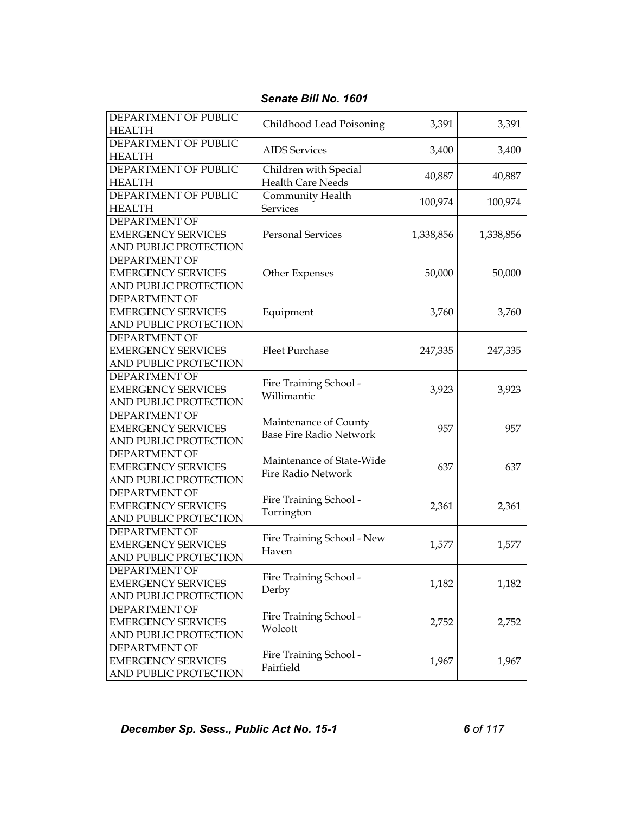| DEPARTMENT OF PUBLIC<br><b>HEALTH</b>              | Childhood Lead Poisoning       | 3,391     | 3,391     |
|----------------------------------------------------|--------------------------------|-----------|-----------|
| DEPARTMENT OF PUBLIC<br><b>HEALTH</b>              | <b>AIDS</b> Services           | 3,400     | 3,400     |
| DEPARTMENT OF PUBLIC                               | Children with Special          |           |           |
| <b>HEALTH</b>                                      | <b>Health Care Needs</b>       | 40,887    | 40,887    |
| DEPARTMENT OF PUBLIC                               | Community Health               |           |           |
| <b>HEALTH</b>                                      | <b>Services</b>                | 100,974   | 100,974   |
| DEPARTMENT OF                                      |                                |           |           |
| <b>EMERGENCY SERVICES</b>                          | <b>Personal Services</b>       | 1,338,856 | 1,338,856 |
| AND PUBLIC PROTECTION                              |                                |           |           |
| DEPARTMENT OF                                      |                                |           |           |
| <b>EMERGENCY SERVICES</b>                          | Other Expenses                 | 50,000    | 50,000    |
| AND PUBLIC PROTECTION                              |                                |           |           |
| <b>DEPARTMENT OF</b>                               |                                |           |           |
| <b>EMERGENCY SERVICES</b>                          | Equipment                      | 3,760     | 3,760     |
| AND PUBLIC PROTECTION                              |                                |           |           |
| <b>DEPARTMENT OF</b>                               |                                |           |           |
| <b>EMERGENCY SERVICES</b>                          | <b>Fleet Purchase</b>          | 247,335   | 247,335   |
| AND PUBLIC PROTECTION                              |                                |           |           |
| <b>DEPARTMENT OF</b>                               | Fire Training School -         |           |           |
| <b>EMERGENCY SERVICES</b>                          | Willimantic                    | 3,923     | 3,923     |
| AND PUBLIC PROTECTION                              |                                |           |           |
| DEPARTMENT OF                                      | Maintenance of County          |           |           |
| <b>EMERGENCY SERVICES</b>                          | <b>Base Fire Radio Network</b> | 957       | 957       |
| AND PUBLIC PROTECTION                              |                                |           |           |
| <b>DEPARTMENT OF</b>                               | Maintenance of State-Wide      |           |           |
| <b>EMERGENCY SERVICES</b>                          | <b>Fire Radio Network</b>      | 637       | 637       |
| AND PUBLIC PROTECTION                              |                                |           |           |
| DEPARTMENT OF                                      | Fire Training School -         |           |           |
| <b>EMERGENCY SERVICES</b>                          | Torrington                     | 2,361     | 2,361     |
| AND PUBLIC PROTECTION                              |                                |           |           |
| <b>DEPARTMENT OF</b>                               | Fire Training School - New     |           |           |
| <b>EMERGENCY SERVICES</b>                          | Haven                          | 1,577     | 1,577     |
| AND PUBLIC PROTECTION                              |                                |           |           |
| DEPARTMENT OF                                      | Fire Training School -         |           |           |
| <b>EMERGENCY SERVICES</b>                          | Derby                          | 1,182     | 1,182     |
| AND PUBLIC PROTECTION                              |                                |           |           |
| <b>DEPARTMENT OF</b>                               | Fire Training School -         |           |           |
| <b>EMERGENCY SERVICES</b>                          | Wolcott                        | 2,752     | 2,752     |
| AND PUBLIC PROTECTION                              |                                |           |           |
| DEPARTMENT OF                                      | Fire Training School -         |           |           |
| <b>EMERGENCY SERVICES</b><br>AND PUBLIC PROTECTION | Fairfield                      | 1,967     | 1,967     |
|                                                    |                                |           |           |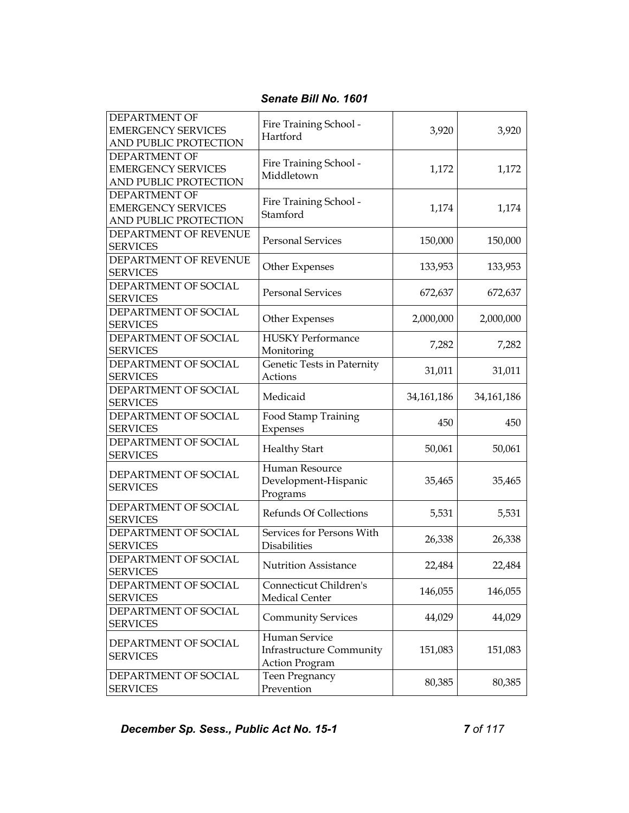| DEPARTMENT OF<br><b>EMERGENCY SERVICES</b><br>AND PUBLIC PROTECTION        | Fire Training School -<br>Hartford                                        | 3,920        | 3,920        |
|----------------------------------------------------------------------------|---------------------------------------------------------------------------|--------------|--------------|
| <b>DEPARTMENT OF</b><br><b>EMERGENCY SERVICES</b><br>AND PUBLIC PROTECTION | Fire Training School -<br>Middletown                                      | 1,172        | 1,172        |
| DEPARTMENT OF<br><b>EMERGENCY SERVICES</b><br>AND PUBLIC PROTECTION        | Fire Training School -<br>Stamford                                        | 1,174        | 1,174        |
| DEPARTMENT OF REVENUE<br><b>SERVICES</b>                                   | <b>Personal Services</b>                                                  | 150,000      | 150,000      |
| DEPARTMENT OF REVENUE<br><b>SERVICES</b>                                   | Other Expenses                                                            | 133,953      | 133,953      |
| DEPARTMENT OF SOCIAL<br><b>SERVICES</b>                                    | <b>Personal Services</b>                                                  | 672,637      | 672,637      |
| DEPARTMENT OF SOCIAL<br><b>SERVICES</b>                                    | Other Expenses                                                            | 2,000,000    | 2,000,000    |
| DEPARTMENT OF SOCIAL<br><b>SERVICES</b>                                    | <b>HUSKY Performance</b><br>Monitoring                                    | 7,282        | 7,282        |
| DEPARTMENT OF SOCIAL<br><b>SERVICES</b>                                    | Genetic Tests in Paternity<br>Actions                                     | 31,011       | 31,011       |
| DEPARTMENT OF SOCIAL<br><b>SERVICES</b>                                    | Medicaid                                                                  | 34, 161, 186 | 34, 161, 186 |
| DEPARTMENT OF SOCIAL<br><b>SERVICES</b>                                    | Food Stamp Training<br>Expenses                                           | 450          | 450          |
| DEPARTMENT OF SOCIAL<br><b>SERVICES</b>                                    | <b>Healthy Start</b>                                                      | 50,061       | 50,061       |
| DEPARTMENT OF SOCIAL<br><b>SERVICES</b>                                    | Human Resource<br>Development-Hispanic<br>Programs                        | 35,465       | 35,465       |
| DEPARTMENT OF SOCIAL<br><b>SERVICES</b>                                    | <b>Refunds Of Collections</b>                                             | 5,531        | 5,531        |
| DEPARTMENT OF SOCIAL<br><b>SERVICES</b>                                    | Services for Persons With<br><b>Disabilities</b>                          | 26,338       | 26,338       |
| DEPARTMENT OF SOCIAL<br><b>SERVICES</b>                                    | <b>Nutrition Assistance</b>                                               | 22,484       | 22,484       |
| DEPARTMENT OF SOCIAL<br><b>SERVICES</b>                                    | Connecticut Children's<br>Medical Center                                  | 146,055      | 146,055      |
| DEPARTMENT OF SOCIAL<br><b>SERVICES</b>                                    | <b>Community Services</b>                                                 | 44,029       | 44,029       |
| DEPARTMENT OF SOCIAL<br><b>SERVICES</b>                                    | Human Service<br><b>Infrastructure Community</b><br><b>Action Program</b> | 151,083      | 151,083      |
| DEPARTMENT OF SOCIAL<br><b>SERVICES</b>                                    | <b>Teen Pregnancy</b><br>Prevention                                       | 80,385       | 80,385       |

**December Sp. Sess., Public Act No. 15-1 7 of 117**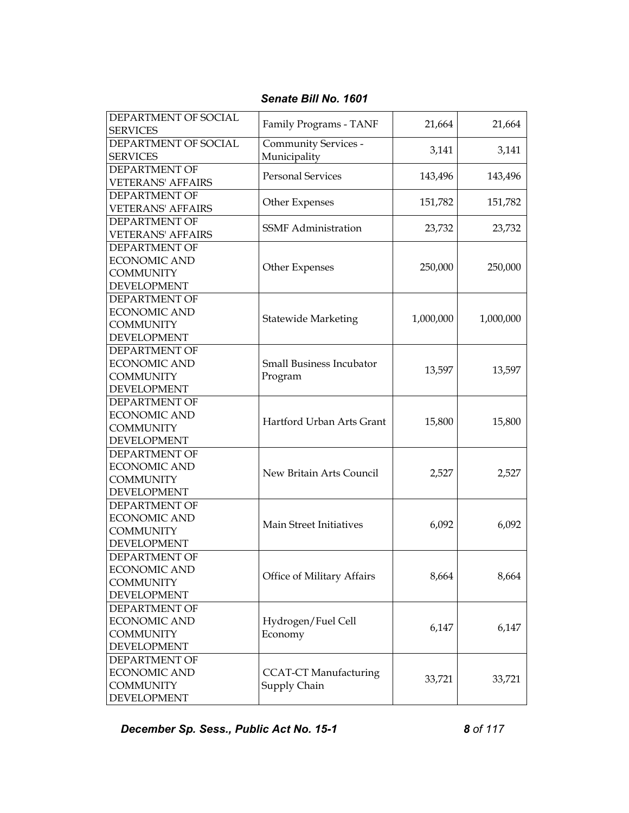| DEPARTMENT OF SOCIAL<br><b>SERVICES</b>          | Family Programs - TANF       | 21,664    | 21,664    |
|--------------------------------------------------|------------------------------|-----------|-----------|
| DEPARTMENT OF SOCIAL                             | Community Services -         | 3,141     | 3,141     |
| <b>SERVICES</b>                                  | Municipality                 |           |           |
| <b>DEPARTMENT OF</b><br><b>VETERANS' AFFAIRS</b> | <b>Personal Services</b>     | 143,496   | 143,496   |
| <b>DEPARTMENT OF</b>                             | Other Expenses               | 151,782   | 151,782   |
| <b>VETERANS' AFFAIRS</b>                         |                              |           |           |
| DEPARTMENT OF                                    | <b>SSMF</b> Administration   | 23,732    | 23,732    |
| <b>VETERANS' AFFAIRS</b>                         |                              |           |           |
| DEPARTMENT OF                                    |                              |           |           |
| <b>ECONOMIC AND</b>                              | Other Expenses               | 250,000   | 250,000   |
| <b>COMMUNITY</b>                                 |                              |           |           |
| <b>DEVELOPMENT</b>                               |                              |           |           |
| DEPARTMENT OF                                    |                              |           |           |
| <b>ECONOMIC AND</b>                              | <b>Statewide Marketing</b>   | 1,000,000 | 1,000,000 |
| <b>COMMUNITY</b>                                 |                              |           |           |
| <b>DEVELOPMENT</b>                               |                              |           |           |
| DEPARTMENT OF                                    |                              |           |           |
| <b>ECONOMIC AND</b>                              | Small Business Incubator     | 13,597    | 13,597    |
| <b>COMMUNITY</b>                                 | Program                      |           |           |
| <b>DEVELOPMENT</b>                               |                              |           |           |
| DEPARTMENT OF                                    |                              |           |           |
| <b>ECONOMIC AND</b>                              | Hartford Urban Arts Grant    |           |           |
| <b>COMMUNITY</b>                                 |                              | 15,800    | 15,800    |
| <b>DEVELOPMENT</b>                               |                              |           |           |
| DEPARTMENT OF                                    |                              |           |           |
| <b>ECONOMIC AND</b>                              |                              |           |           |
| <b>COMMUNITY</b>                                 | New Britain Arts Council     | 2,527     | 2,527     |
| <b>DEVELOPMENT</b>                               |                              |           |           |
| DEPARTMENT OF                                    |                              |           |           |
| <b>ECONOMIC AND</b>                              | Main Street Initiatives      |           |           |
| <b>COMMUNITY</b>                                 |                              | 6,092     | 6,092     |
| <b>DEVELOPMENT</b>                               |                              |           |           |
| DEPARTMENT OF                                    |                              |           |           |
| <b>ECONOMIC AND</b>                              |                              |           |           |
| <b>COMMUNITY</b>                                 | Office of Military Affairs   | 8,664     | 8,664     |
| <b>DEVELOPMENT</b>                               |                              |           |           |
| DEPARTMENT OF                                    |                              |           |           |
| <b>ECONOMIC AND</b>                              | Hydrogen/Fuel Cell           |           |           |
| <b>COMMUNITY</b>                                 | Economy                      | 6,147     | 6,147     |
| <b>DEVELOPMENT</b>                               |                              |           |           |
| DEPARTMENT OF                                    |                              |           |           |
| <b>ECONOMIC AND</b>                              | <b>CCAT-CT Manufacturing</b> |           |           |
| <b>COMMUNITY</b>                                 | Supply Chain                 | 33,721    | 33,721    |
| <b>DEVELOPMENT</b>                               |                              |           |           |

**December Sp. Sess., Public Act No. 15-1** 8 of 117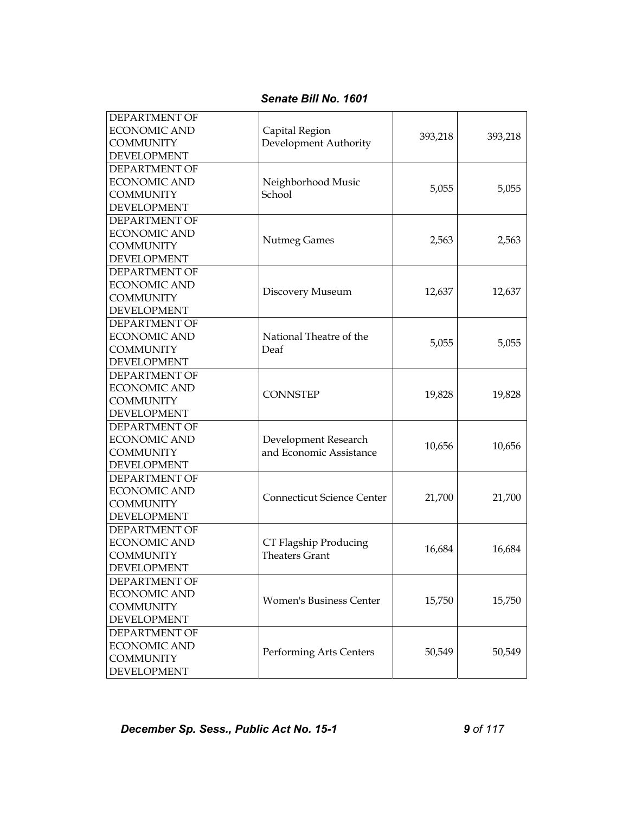| DEPARTMENT OF<br><b>ECONOMIC AND</b><br><b>COMMUNITY</b><br><b>DEVELOPMENT</b>        | Capital Region<br>Development Authority         | 393,218 | 393,218 |
|---------------------------------------------------------------------------------------|-------------------------------------------------|---------|---------|
| DEPARTMENT OF<br><b>ECONOMIC AND</b><br><b>COMMUNITY</b><br>DEVELOPMENT               | Neighborhood Music<br>School                    | 5,055   | 5,055   |
| DEPARTMENT OF<br><b>ECONOMIC AND</b><br><b>COMMUNITY</b><br><b>DEVELOPMENT</b>        | <b>Nutmeg Games</b>                             | 2,563   | 2,563   |
| DEPARTMENT OF<br><b>ECONOMIC AND</b><br><b>COMMUNITY</b><br><b>DEVELOPMENT</b>        | Discovery Museum                                | 12,637  | 12,637  |
| <b>DEPARTMENT OF</b><br><b>ECONOMIC AND</b><br><b>COMMUNITY</b><br><b>DEVELOPMENT</b> | National Theatre of the<br>Deaf                 | 5,055   | 5,055   |
| DEPARTMENT OF<br><b>ECONOMIC AND</b><br><b>COMMUNITY</b><br><b>DEVELOPMENT</b>        | <b>CONNSTEP</b>                                 | 19,828  | 19,828  |
| DEPARTMENT OF<br><b>ECONOMIC AND</b><br><b>COMMUNITY</b><br><b>DEVELOPMENT</b>        | Development Research<br>and Economic Assistance | 10,656  | 10,656  |
| DEPARTMENT OF<br><b>ECONOMIC AND</b><br><b>COMMUNITY</b><br><b>DEVELOPMENT</b>        | <b>Connecticut Science Center</b>               | 21,700  | 21,700  |
| DEPARTMENT OF<br><b>ECONOMIC AND</b><br><b>COMMUNITY</b><br>DEVELOPMENT               | CT Flagship Producing<br><b>Theaters Grant</b>  | 16,684  | 16,684  |
| DEPARTMENT OF<br><b>ECONOMIC AND</b><br><b>COMMUNITY</b><br><b>DEVELOPMENT</b>        | <b>Women's Business Center</b>                  | 15,750  | 15,750  |
| DEPARTMENT OF<br><b>ECONOMIC AND</b><br><b>COMMUNITY</b><br><b>DEVELOPMENT</b>        | Performing Arts Centers                         | 50,549  | 50,549  |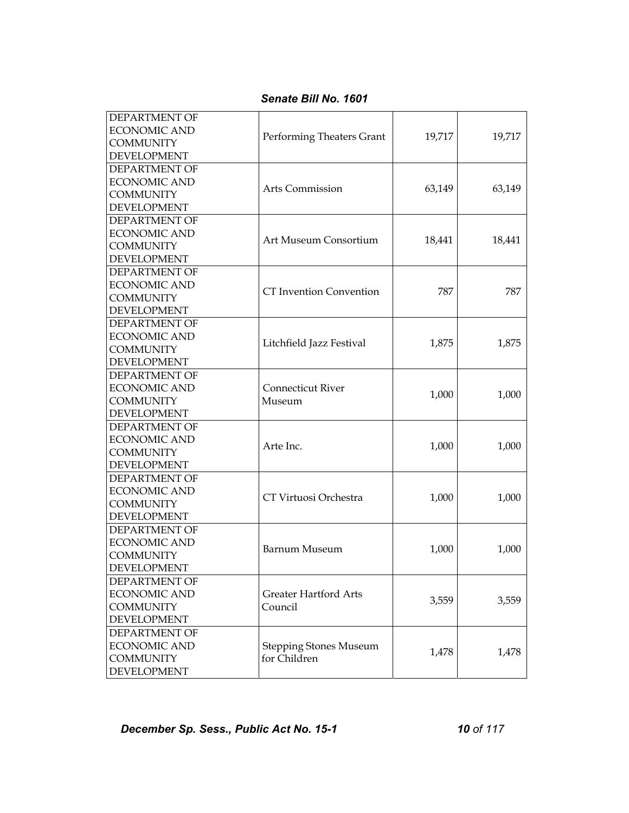| DEPARTMENT OF<br><b>ECONOMIC AND</b><br><b>COMMUNITY</b><br><b>DEVELOPMENT</b>        | Performing Theaters Grant                     | 19,717 | 19,717 |
|---------------------------------------------------------------------------------------|-----------------------------------------------|--------|--------|
| <b>DEPARTMENT OF</b><br><b>ECONOMIC AND</b><br><b>COMMUNITY</b><br><b>DEVELOPMENT</b> | Arts Commission                               | 63,149 | 63,149 |
| DEPARTMENT OF<br><b>ECONOMIC AND</b><br><b>COMMUNITY</b><br>DEVELOPMENT               | Art Museum Consortium                         | 18,441 | 18,441 |
| DEPARTMENT OF<br><b>ECONOMIC AND</b><br><b>COMMUNITY</b><br><b>DEVELOPMENT</b>        | <b>CT</b> Invention Convention                | 787    | 787    |
| DEPARTMENT OF<br><b>ECONOMIC AND</b><br><b>COMMUNITY</b><br><b>DEVELOPMENT</b>        | Litchfield Jazz Festival                      | 1,875  | 1,875  |
| DEPARTMENT OF<br><b>ECONOMIC AND</b><br><b>COMMUNITY</b><br><b>DEVELOPMENT</b>        | <b>Connecticut River</b><br>Museum            | 1,000  | 1,000  |
| DEPARTMENT OF<br><b>ECONOMIC AND</b><br><b>COMMUNITY</b><br><b>DEVELOPMENT</b>        | Arte Inc.                                     | 1,000  | 1,000  |
| DEPARTMENT OF<br><b>ECONOMIC AND</b><br><b>COMMUNITY</b><br><b>DEVELOPMENT</b>        | CT Virtuosi Orchestra                         | 1,000  | 1,000  |
| DEPARTMENT OF<br><b>ECONOMIC AND</b><br><b>COMMUNITY</b><br><b>DEVELOPMENT</b>        | Barnum Museum                                 | 1,000  | 1,000  |
| DEPARTMENT OF<br><b>ECONOMIC AND</b><br><b>COMMUNITY</b><br><b>DEVELOPMENT</b>        | <b>Greater Hartford Arts</b><br>Council       | 3,559  | 3,559  |
| DEPARTMENT OF<br><b>ECONOMIC AND</b><br><b>COMMUNITY</b><br><b>DEVELOPMENT</b>        | <b>Stepping Stones Museum</b><br>for Children | 1,478  | 1,478  |

*Senate Bill No. 1601*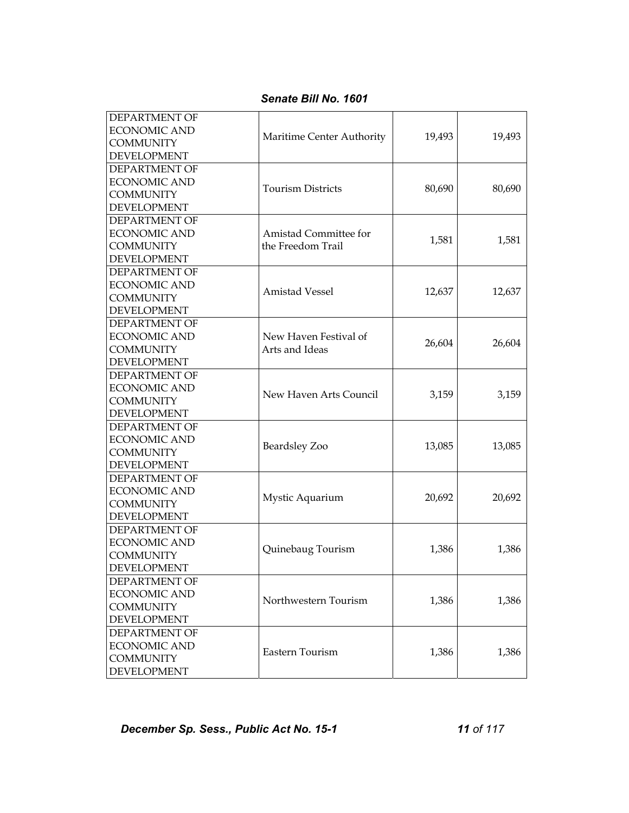| <b>DEPARTMENT OF</b><br><b>ECONOMIC AND</b> |                           |        |        |
|---------------------------------------------|---------------------------|--------|--------|
| <b>COMMUNITY</b>                            | Maritime Center Authority | 19,493 | 19,493 |
| <b>DEVELOPMENT</b>                          |                           |        |        |
| <b>DEPARTMENT OF</b>                        |                           |        |        |
| <b>ECONOMIC AND</b>                         |                           |        |        |
| <b>COMMUNITY</b>                            | <b>Tourism Districts</b>  | 80,690 | 80,690 |
| <b>DEVELOPMENT</b>                          |                           |        |        |
| DEPARTMENT OF                               |                           |        |        |
| <b>ECONOMIC AND</b>                         | Amistad Committee for     |        |        |
| <b>COMMUNITY</b>                            | the Freedom Trail         | 1,581  | 1,581  |
| <b>DEVELOPMENT</b>                          |                           |        |        |
| DEPARTMENT OF                               |                           |        |        |
| <b>ECONOMIC AND</b>                         |                           |        |        |
| <b>COMMUNITY</b>                            | <b>Amistad Vessel</b>     | 12,637 | 12,637 |
| <b>DEVELOPMENT</b>                          |                           |        |        |
| DEPARTMENT OF                               |                           |        |        |
| <b>ECONOMIC AND</b>                         | New Haven Festival of     |        |        |
| <b>COMMUNITY</b>                            | Arts and Ideas            | 26,604 | 26,604 |
| <b>DEVELOPMENT</b>                          |                           |        |        |
| DEPARTMENT OF                               |                           |        |        |
| <b>ECONOMIC AND</b>                         |                           |        |        |
| <b>COMMUNITY</b>                            | New Haven Arts Council    | 3,159  | 3,159  |
| <b>DEVELOPMENT</b>                          |                           |        |        |
| DEPARTMENT OF                               |                           |        |        |
| <b>ECONOMIC AND</b>                         |                           |        |        |
| <b>COMMUNITY</b>                            | Beardsley Zoo             | 13,085 | 13,085 |
| <b>DEVELOPMENT</b>                          |                           |        |        |
| DEPARTMENT OF                               |                           |        |        |
| <b>ECONOMIC AND</b>                         |                           |        |        |
| <b>COMMUNITY</b>                            | Mystic Aquarium           | 20,692 | 20,692 |
| <b>DEVELOPMENT</b>                          |                           |        |        |
| DEPARTMENT OF                               |                           |        |        |
| <b>ECONOMIC AND</b>                         |                           |        |        |
| <b>COMMUNITY</b>                            | Quinebaug Tourism         | 1,386  | 1,386  |
| <b>DEVELOPMENT</b>                          |                           |        |        |
| DEPARTMENT OF                               |                           |        |        |
| <b>ECONOMIC AND</b>                         |                           |        |        |
| <b>COMMUNITY</b>                            | Northwestern Tourism      | 1,386  | 1,386  |
| <b>DEVELOPMENT</b>                          |                           |        |        |
| DEPARTMENT OF                               |                           |        |        |
| <b>ECONOMIC AND</b>                         |                           |        |        |
| <b>COMMUNITY</b>                            | Eastern Tourism           | 1,386  | 1,386  |
| <b>DEVELOPMENT</b>                          |                           |        |        |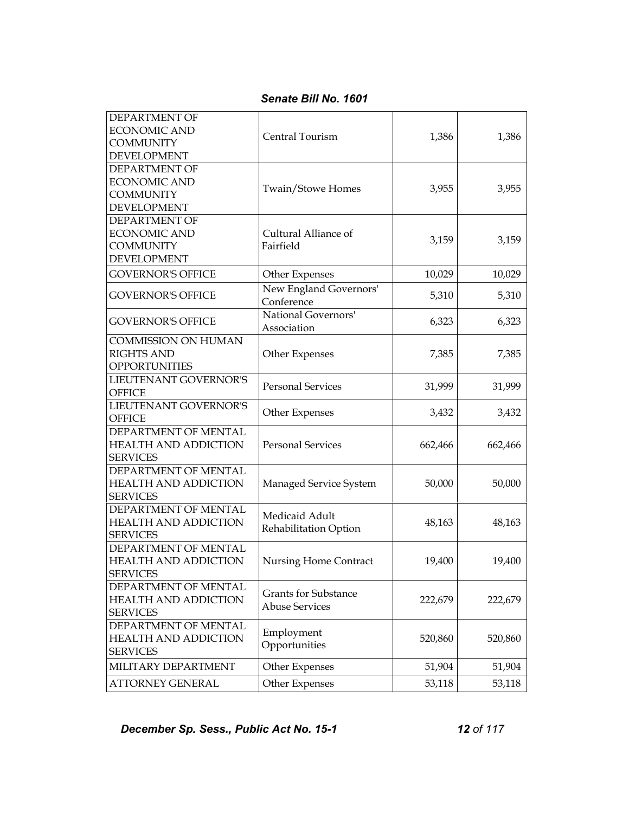*Senate Bill No. 1601* 

| <b>DEPARTMENT OF</b><br><b>ECONOMIC AND</b><br><b>COMMUNITY</b><br><b>DEVELOPMENT</b> | Central Tourism                                      | 1,386   | 1,386   |
|---------------------------------------------------------------------------------------|------------------------------------------------------|---------|---------|
| DEPARTMENT OF<br><b>ECONOMIC AND</b><br><b>COMMUNITY</b><br><b>DEVELOPMENT</b>        | Twain/Stowe Homes                                    | 3,955   | 3,955   |
| DEPARTMENT OF<br><b>ECONOMIC AND</b><br><b>COMMUNITY</b><br><b>DEVELOPMENT</b>        | Cultural Alliance of<br>Fairfield                    | 3,159   | 3,159   |
| <b>GOVERNOR'S OFFICE</b>                                                              | Other Expenses                                       | 10,029  | 10,029  |
| <b>GOVERNOR'S OFFICE</b>                                                              | New England Governors'<br>Conference                 | 5,310   | 5,310   |
| <b>GOVERNOR'S OFFICE</b>                                                              | National Governors'<br>Association                   | 6,323   | 6,323   |
| <b>COMMISSION ON HUMAN</b><br><b>RIGHTS AND</b><br><b>OPPORTUNITIES</b>               | Other Expenses                                       | 7,385   | 7,385   |
| LIEUTENANT GOVERNOR'S<br><b>OFFICE</b>                                                | <b>Personal Services</b>                             | 31,999  | 31,999  |
| LIEUTENANT GOVERNOR'S<br><b>OFFICE</b>                                                | Other Expenses                                       | 3,432   | 3,432   |
| DEPARTMENT OF MENTAL<br><b>HEALTH AND ADDICTION</b><br><b>SERVICES</b>                | <b>Personal Services</b>                             | 662,466 | 662,466 |
| DEPARTMENT OF MENTAL<br><b>HEALTH AND ADDICTION</b><br><b>SERVICES</b>                | Managed Service System                               | 50,000  | 50,000  |
| DEPARTMENT OF MENTAL<br><b>HEALTH AND ADDICTION</b><br><b>SERVICES</b>                | Medicaid Adult<br>Rehabilitation Option              | 48,163  | 48,163  |
| DEPARTMENT OF MENTAL<br><b>HEALTH AND ADDICTION</b><br>SERVICES                       | Nursing Home Contract                                | 19,400  | 19,400  |
| DEPARTMENT OF MENTAL<br><b>HEALTH AND ADDICTION</b><br><b>SERVICES</b>                | <b>Grants for Substance</b><br><b>Abuse Services</b> | 222,679 | 222,679 |
| DEPARTMENT OF MENTAL<br><b>HEALTH AND ADDICTION</b><br><b>SERVICES</b>                | Employment<br>Opportunities                          | 520,860 | 520,860 |
| MILITARY DEPARTMENT                                                                   | Other Expenses                                       | 51,904  | 51,904  |
| <b>ATTORNEY GENERAL</b>                                                               | Other Expenses                                       | 53,118  | 53,118  |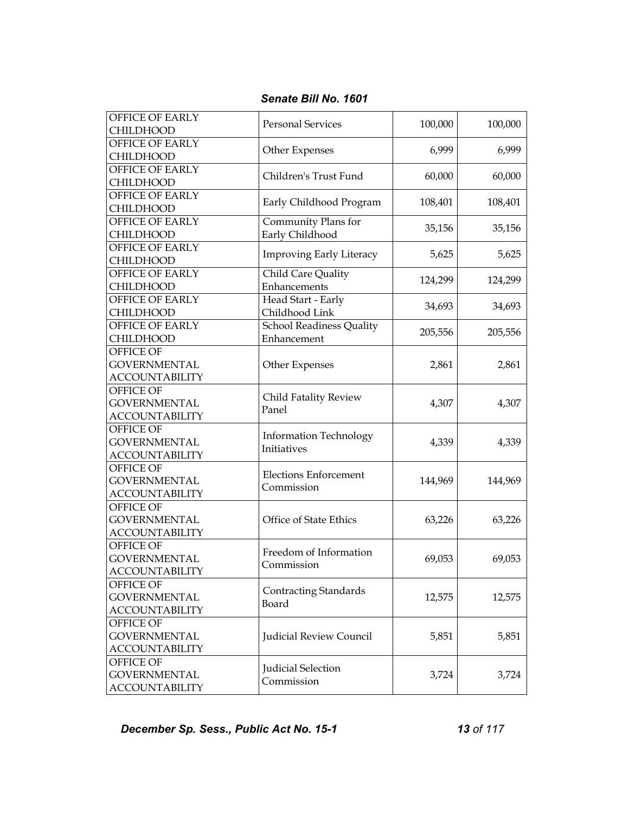| OFFICE OF EARLY<br><b>CHILDHOOD</b>                       | <b>Personal Services</b>                       | 100,000 | 100,000 |
|-----------------------------------------------------------|------------------------------------------------|---------|---------|
| <b>OFFICE OF EARLY</b><br><b>CHILDHOOD</b>                | Other Expenses                                 | 6,999   | 6,999   |
| <b>OFFICE OF EARLY</b><br><b>CHILDHOOD</b>                | Children's Trust Fund                          | 60,000  | 60,000  |
| OFFICE OF EARLY<br><b>CHILDHOOD</b>                       | Early Childhood Program                        | 108,401 | 108,401 |
| OFFICE OF EARLY<br><b>CHILDHOOD</b>                       | Community Plans for<br>Early Childhood         | 35,156  | 35,156  |
| <b>OFFICE OF EARLY</b><br><b>CHILDHOOD</b>                | <b>Improving Early Literacy</b>                | 5,625   | 5,625   |
| <b>OFFICE OF EARLY</b><br><b>CHILDHOOD</b>                | Child Care Quality<br>Enhancements             | 124,299 | 124,299 |
| <b>OFFICE OF EARLY</b><br><b>CHILDHOOD</b>                | Head Start - Early<br>Childhood Link           | 34,693  | 34,693  |
| OFFICE OF EARLY<br><b>CHILDHOOD</b>                       | <b>School Readiness Quality</b><br>Enhancement | 205,556 | 205,556 |
| OFFICE OF<br><b>GOVERNMENTAL</b><br><b>ACCOUNTABILITY</b> | Other Expenses                                 | 2,861   | 2,861   |
| OFFICE OF<br><b>GOVERNMENTAL</b><br><b>ACCOUNTABILITY</b> | Child Fatality Review<br>Panel                 | 4,307   | 4,307   |
| OFFICE OF<br><b>GOVERNMENTAL</b><br><b>ACCOUNTABILITY</b> | <b>Information Technology</b><br>Initiatives   | 4,339   | 4,339   |
| OFFICE OF<br><b>GOVERNMENTAL</b><br><b>ACCOUNTABILITY</b> | <b>Elections Enforcement</b><br>Commission     | 144,969 | 144,969 |
| OFFICE OF<br><b>GOVERNMENTAL</b><br><b>ACCOUNTABILITY</b> | Office of State Ethics                         | 63,226  | 63,226  |
| OFFICE OF<br><b>GOVERNMENTAL</b><br><b>ACCOUNTABILITY</b> | Freedom of Information<br>Commission           | 69,053  | 69,053  |
| OFFICE OF<br><b>GOVERNMENTAL</b><br><b>ACCOUNTABILITY</b> | <b>Contracting Standards</b><br>Board          | 12,575  | 12,575  |
| OFFICE OF<br><b>GOVERNMENTAL</b><br><b>ACCOUNTABILITY</b> | Judicial Review Council                        | 5,851   | 5,851   |
| OFFICE OF<br><b>GOVERNMENTAL</b><br><b>ACCOUNTABILITY</b> | Judicial Selection<br>Commission               | 3,724   | 3,724   |

*Senate Bill No. 1601* 

**December Sp. Sess., Public Act No. 15-1 13 of 117**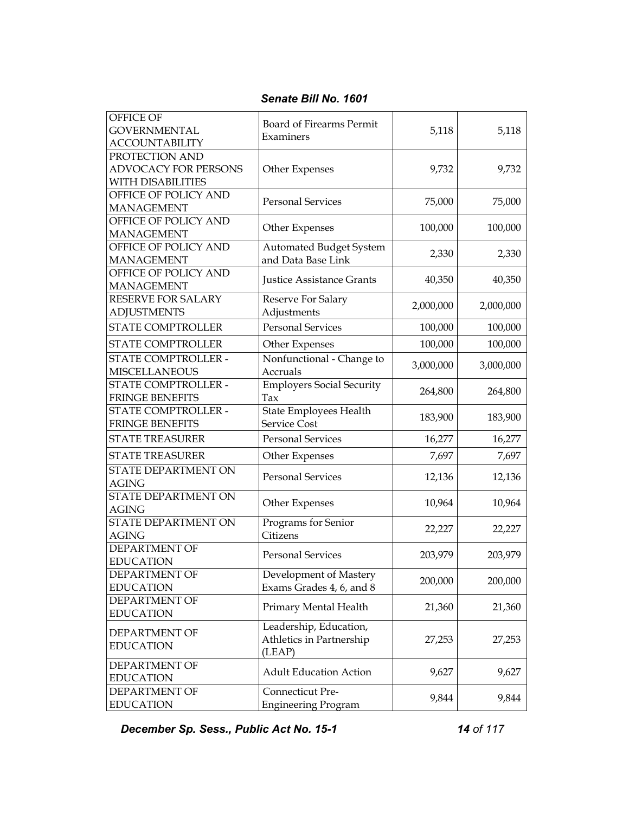| Senate Bill No. 1601 |  |
|----------------------|--|
|                      |  |

| OFFICE OF<br><b>GOVERNMENTAL</b><br><b>ACCOUNTABILITY</b>   | Board of Firearms Permit<br>Examiners                        | 5,118     | 5,118     |
|-------------------------------------------------------------|--------------------------------------------------------------|-----------|-----------|
| PROTECTION AND<br>ADVOCACY FOR PERSONS<br>WITH DISABILITIES | Other Expenses                                               | 9,732     | 9,732     |
| OFFICE OF POLICY AND<br><b>MANAGEMENT</b>                   | <b>Personal Services</b>                                     | 75,000    | 75,000    |
| OFFICE OF POLICY AND<br><b>MANAGEMENT</b>                   | Other Expenses                                               | 100,000   | 100,000   |
| OFFICE OF POLICY AND<br><b>MANAGEMENT</b>                   | <b>Automated Budget System</b><br>and Data Base Link         | 2,330     | 2,330     |
| OFFICE OF POLICY AND<br><b>MANAGEMENT</b>                   | <b>Justice Assistance Grants</b>                             | 40,350    | 40,350    |
| RESERVE FOR SALARY<br><b>ADJUSTMENTS</b>                    | Reserve For Salary<br>Adjustments                            | 2,000,000 | 2,000,000 |
| <b>STATE COMPTROLLER</b>                                    | <b>Personal Services</b>                                     | 100,000   | 100,000   |
| <b>STATE COMPTROLLER</b>                                    | Other Expenses                                               | 100,000   | 100,000   |
| STATE COMPTROLLER -<br><b>MISCELLANEOUS</b>                 | Nonfunctional - Change to<br>Accruals                        | 3,000,000 | 3,000,000 |
| STATE COMPTROLLER -<br><b>FRINGE BENEFITS</b>               | <b>Employers Social Security</b><br>Tax                      | 264,800   | 264,800   |
| STATE COMPTROLLER -<br><b>FRINGE BENEFITS</b>               | State Employees Health<br><b>Service Cost</b>                | 183,900   | 183,900   |
| <b>STATE TREASURER</b>                                      | <b>Personal Services</b>                                     | 16,277    | 16,277    |
| <b>STATE TREASURER</b>                                      | Other Expenses                                               | 7,697     | 7,697     |
| STATE DEPARTMENT ON<br><b>AGING</b>                         | <b>Personal Services</b>                                     | 12,136    | 12,136    |
| STATE DEPARTMENT ON<br><b>AGING</b>                         | Other Expenses                                               | 10,964    | 10,964    |
| STATE DEPARTMENT ON<br><b>AGING</b>                         | Programs for Senior<br>Citizens                              | 22,227    | 22,227    |
| DEPARTMENT OF<br><b>EDUCATION</b>                           | <b>Personal Services</b>                                     | 203,979   | 203,979   |
| <b>DEPARTMENT OF</b><br><b>EDUCATION</b>                    | Development of Mastery<br>Exams Grades 4, 6, and 8           | 200,000   | 200,000   |
| DEPARTMENT OF<br><b>EDUCATION</b>                           | Primary Mental Health                                        | 21,360    | 21,360    |
| DEPARTMENT OF<br><b>EDUCATION</b>                           | Leadership, Education,<br>Athletics in Partnership<br>(LEAP) | 27,253    | 27,253    |
| DEPARTMENT OF<br><b>EDUCATION</b>                           | <b>Adult Education Action</b>                                | 9,627     | 9,627     |
| DEPARTMENT OF<br><b>EDUCATION</b>                           | Connecticut Pre-<br><b>Engineering Program</b>               | 9,844     | 9,844     |

*December Sp. Sess., Public Act No. 15-1 14 of 117*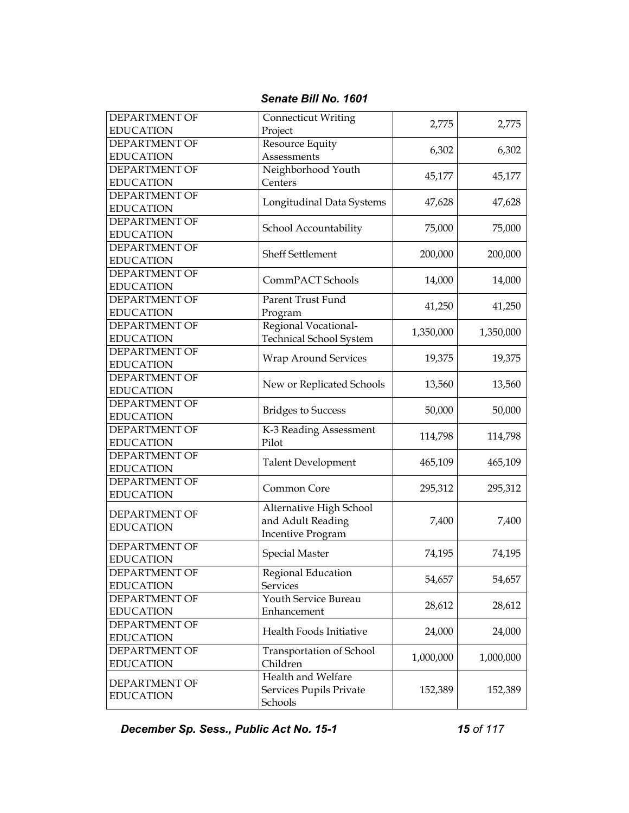| <b>DEPARTMENT OF</b><br><b>EDUCATION</b> | <b>Connecticut Writing</b><br>Project | 2,775     | 2,775     |
|------------------------------------------|---------------------------------------|-----------|-----------|
|                                          |                                       |           |           |
| <b>DEPARTMENT OF</b>                     | Resource Equity                       | 6,302     | 6,302     |
| <b>EDUCATION</b>                         | Assessments                           |           |           |
| <b>DEPARTMENT OF</b>                     | Neighborhood Youth                    | 45,177    | 45,177    |
| <b>EDUCATION</b>                         | Centers                               |           |           |
| <b>DEPARTMENT OF</b>                     |                                       |           |           |
| <b>EDUCATION</b>                         | Longitudinal Data Systems             | 47,628    | 47,628    |
| <b>DEPARTMENT OF</b>                     |                                       |           |           |
| <b>EDUCATION</b>                         | School Accountability                 | 75,000    | 75,000    |
| <b>DEPARTMENT OF</b>                     |                                       |           |           |
| <b>EDUCATION</b>                         | <b>Sheff Settlement</b>               | 200,000   | 200,000   |
|                                          |                                       |           |           |
| <b>DEPARTMENT OF</b>                     | CommPACT Schools                      | 14,000    | 14,000    |
| <b>EDUCATION</b>                         |                                       |           |           |
| <b>DEPARTMENT OF</b>                     | Parent Trust Fund                     | 41,250    | 41,250    |
| <b>EDUCATION</b>                         | Program                               |           |           |
| <b>DEPARTMENT OF</b>                     | Regional Vocational-                  |           |           |
| <b>EDUCATION</b>                         | <b>Technical School System</b>        | 1,350,000 | 1,350,000 |
| <b>DEPARTMENT OF</b>                     |                                       |           |           |
| <b>EDUCATION</b>                         | <b>Wrap Around Services</b>           | 19,375    | 19,375    |
|                                          |                                       |           |           |
| <b>DEPARTMENT OF</b>                     | New or Replicated Schools             | 13,560    | 13,560    |
| <b>EDUCATION</b>                         |                                       |           |           |
| <b>DEPARTMENT OF</b>                     | <b>Bridges to Success</b>             | 50,000    | 50,000    |
| <b>EDUCATION</b>                         |                                       |           |           |
| <b>DEPARTMENT OF</b>                     | K-3 Reading Assessment                |           |           |
| <b>EDUCATION</b>                         | Pilot                                 | 114,798   | 114,798   |
| <b>DEPARTMENT OF</b>                     |                                       |           |           |
| <b>EDUCATION</b>                         | <b>Talent Development</b>             | 465,109   | 465,109   |
| <b>DEPARTMENT OF</b>                     |                                       |           |           |
| <b>EDUCATION</b>                         | Common Core                           | 295,312   | 295,312   |
|                                          |                                       |           |           |
| <b>DEPARTMENT OF</b>                     | Alternative High School               |           |           |
| <b>EDUCATION</b>                         | and Adult Reading                     | 7,400     | 7,400     |
|                                          | <b>Incentive Program</b>              |           |           |
| <b>DEPARTMENT OF</b>                     | <b>Special Master</b>                 | 74,195    | 74,195    |
| <b>EDUCATION</b>                         |                                       |           |           |
| DEPARTMENT OF                            | Regional Education                    |           |           |
| <b>EDUCATION</b>                         | <b>Services</b>                       | 54,657    | 54,657    |
| <b>DEPARTMENT OF</b>                     | Youth Service Bureau                  |           |           |
| <b>EDUCATION</b>                         | Enhancement                           | 28,612    | 28,612    |
|                                          |                                       |           |           |
| DEPARTMENT OF                            | Health Foods Initiative               | 24,000    | 24,000    |
| <b>EDUCATION</b>                         |                                       |           |           |
| DEPARTMENT OF                            | Transportation of School              | 1,000,000 | 1,000,000 |
| <b>EDUCATION</b>                         | Children                              |           |           |
| <b>DEPARTMENT OF</b>                     | Health and Welfare                    |           |           |
|                                          | Services Pupils Private               | 152,389   | 152,389   |
| <b>EDUCATION</b>                         | Schools                               |           |           |
|                                          |                                       |           |           |

*Senate Bill No. 1601* 

*December Sp. Sess., Public Act No. 15-1 15 of 117*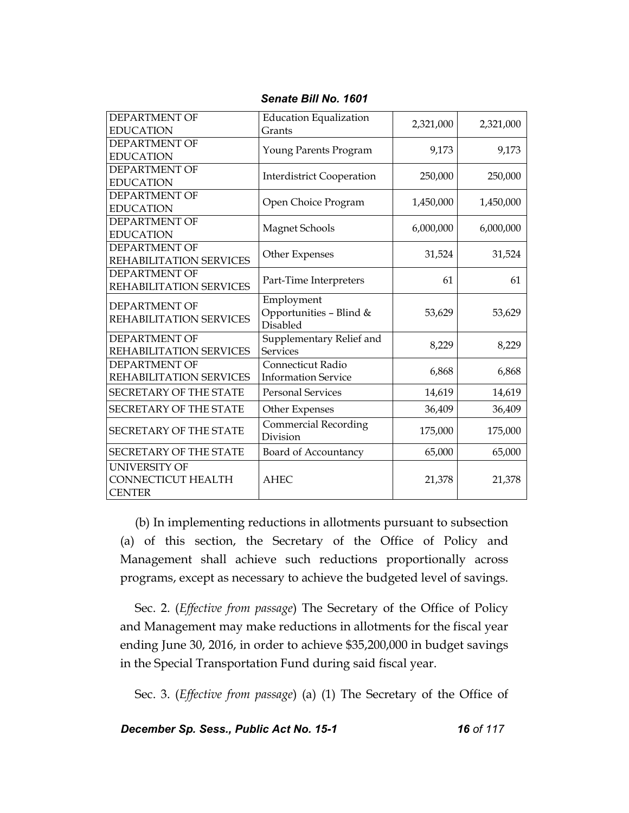| <b>DEPARTMENT OF</b>          | <b>Education Equalization</b>    | 2,321,000 | 2,321,000 |
|-------------------------------|----------------------------------|-----------|-----------|
| <b>EDUCATION</b>              | Grants                           |           |           |
| <b>DEPARTMENT OF</b>          | Young Parents Program            | 9,173     | 9,173     |
| <b>EDUCATION</b>              |                                  |           |           |
| <b>DEPARTMENT OF</b>          | <b>Interdistrict Cooperation</b> | 250,000   | 250,000   |
| <b>EDUCATION</b>              |                                  |           |           |
| <b>DEPARTMENT OF</b>          | Open Choice Program              | 1,450,000 | 1,450,000 |
| <b>EDUCATION</b>              |                                  |           |           |
| <b>DEPARTMENT OF</b>          | Magnet Schools                   | 6,000,000 | 6,000,000 |
| <b>EDUCATION</b>              |                                  |           |           |
| DEPARTMENT OF                 |                                  | 31,524    | 31,524    |
| REHABILITATION SERVICES       | Other Expenses                   |           |           |
| <b>DEPARTMENT OF</b>          |                                  | 61        | 61        |
| REHABILITATION SERVICES       | Part-Time Interpreters           |           |           |
| <b>DEPARTMENT OF</b>          | Employment                       |           |           |
| REHABILITATION SERVICES       | Opportunities - Blind &          | 53,629    | 53,629    |
|                               | <b>Disabled</b>                  |           |           |
| <b>DEPARTMENT OF</b>          | Supplementary Relief and         | 8,229     | 8,229     |
| REHABILITATION SERVICES       | <b>Services</b>                  |           |           |
| <b>DEPARTMENT OF</b>          | Connecticut Radio                |           | 6,868     |
| REHABILITATION SERVICES       | <b>Information Service</b>       | 6,868     |           |
| <b>SECRETARY OF THE STATE</b> | <b>Personal Services</b>         | 14,619    | 14,619    |
| <b>SECRETARY OF THE STATE</b> | Other Expenses                   | 36,409    | 36,409    |
| <b>SECRETARY OF THE STATE</b> | <b>Commercial Recording</b>      | 175,000   | 175,000   |
|                               | Division                         |           |           |
| <b>SECRETARY OF THE STATE</b> | Board of Accountancy             | 65,000    | 65,000    |
| <b>UNIVERSITY OF</b>          |                                  |           |           |
| <b>CONNECTICUT HEALTH</b>     | <b>AHEC</b>                      | 21,378    | 21,378    |
| <b>CENTER</b>                 |                                  |           |           |

*Senate Bill No. 1601* 

(b) In implementing reductions in allotments pursuant to subsection (a) of this section, the Secretary of the Office of Policy and Management shall achieve such reductions proportionally across programs, except as necessary to achieve the budgeted level of savings.

Sec. 2. (*Effective from passage*) The Secretary of the Office of Policy and Management may make reductions in allotments for the fiscal year ending June 30, 2016, in order to achieve \$35,200,000 in budget savings in the Special Transportation Fund during said fiscal year.

Sec. 3. (*Effective from passage*) (a) (1) The Secretary of the Office of

*December Sp. Sess., Public Act No. 15-1 16 of 117*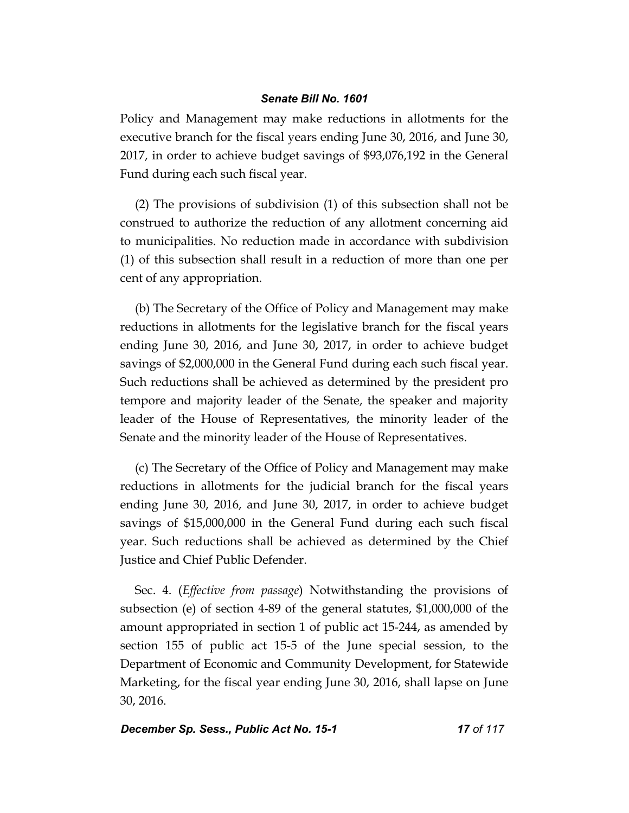Policy and Management may make reductions in allotments for the executive branch for the fiscal years ending June 30, 2016, and June 30, 2017, in order to achieve budget savings of \$93,076,192 in the General Fund during each such fiscal year.

(2) The provisions of subdivision (1) of this subsection shall not be construed to authorize the reduction of any allotment concerning aid to municipalities. No reduction made in accordance with subdivision (1) of this subsection shall result in a reduction of more than one per cent of any appropriation.

(b) The Secretary of the Office of Policy and Management may make reductions in allotments for the legislative branch for the fiscal years ending June 30, 2016, and June 30, 2017, in order to achieve budget savings of \$2,000,000 in the General Fund during each such fiscal year. Such reductions shall be achieved as determined by the president pro tempore and majority leader of the Senate, the speaker and majority leader of the House of Representatives, the minority leader of the Senate and the minority leader of the House of Representatives.

(c) The Secretary of the Office of Policy and Management may make reductions in allotments for the judicial branch for the fiscal years ending June 30, 2016, and June 30, 2017, in order to achieve budget savings of \$15,000,000 in the General Fund during each such fiscal year. Such reductions shall be achieved as determined by the Chief Justice and Chief Public Defender.

Sec. 4. (*Effective from passage*) Notwithstanding the provisions of subsection (e) of section 4-89 of the general statutes, \$1,000,000 of the amount appropriated in section 1 of public act 15-244, as amended by section 155 of public act 15-5 of the June special session, to the Department of Economic and Community Development, for Statewide Marketing, for the fiscal year ending June 30, 2016, shall lapse on June 30, 2016.

## **December Sp. Sess., Public Act No. 15-1 17 0f 117** *17 of 117*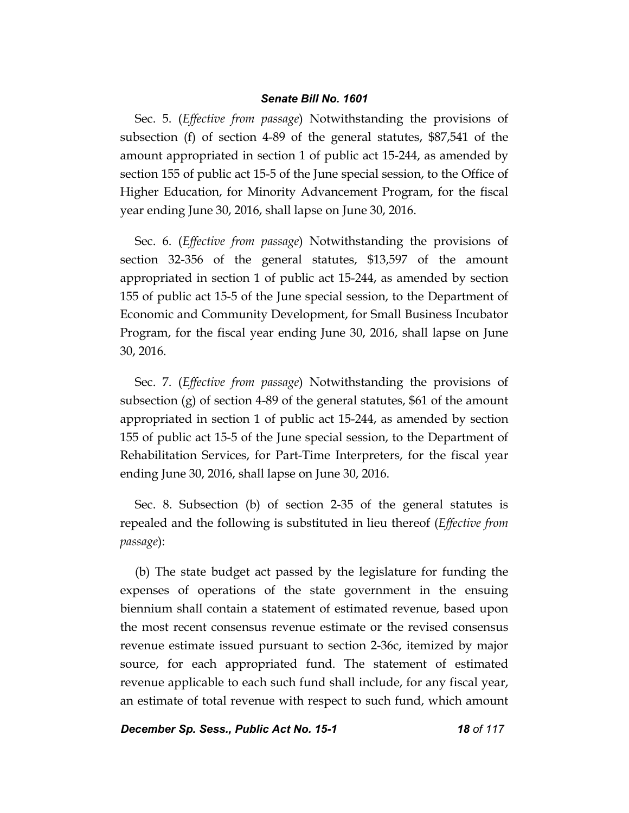Sec. 5. (*Effective from passage*) Notwithstanding the provisions of subsection (f) of section 4-89 of the general statutes, \$87,541 of the amount appropriated in section 1 of public act 15-244, as amended by section 155 of public act 15-5 of the June special session, to the Office of Higher Education, for Minority Advancement Program, for the fiscal year ending June 30, 2016, shall lapse on June 30, 2016.

Sec. 6. (*Effective from passage*) Notwithstanding the provisions of section 32-356 of the general statutes, \$13,597 of the amount appropriated in section 1 of public act 15-244, as amended by section 155 of public act 15-5 of the June special session, to the Department of Economic and Community Development, for Small Business Incubator Program, for the fiscal year ending June 30, 2016, shall lapse on June 30, 2016.

Sec. 7. (*Effective from passage*) Notwithstanding the provisions of subsection (g) of section 4-89 of the general statutes, \$61 of the amount appropriated in section 1 of public act 15-244, as amended by section 155 of public act 15-5 of the June special session, to the Department of Rehabilitation Services, for Part-Time Interpreters, for the fiscal year ending June 30, 2016, shall lapse on June 30, 2016.

Sec. 8. Subsection (b) of section 2-35 of the general statutes is repealed and the following is substituted in lieu thereof (*Effective from passage*):

(b) The state budget act passed by the legislature for funding the expenses of operations of the state government in the ensuing biennium shall contain a statement of estimated revenue, based upon the most recent consensus revenue estimate or the revised consensus revenue estimate issued pursuant to section 2-36c, itemized by major source, for each appropriated fund. The statement of estimated revenue applicable to each such fund shall include, for any fiscal year, an estimate of total revenue with respect to such fund, which amount

*December Sp. Sess., Public Act No. 15-1 18 of 117*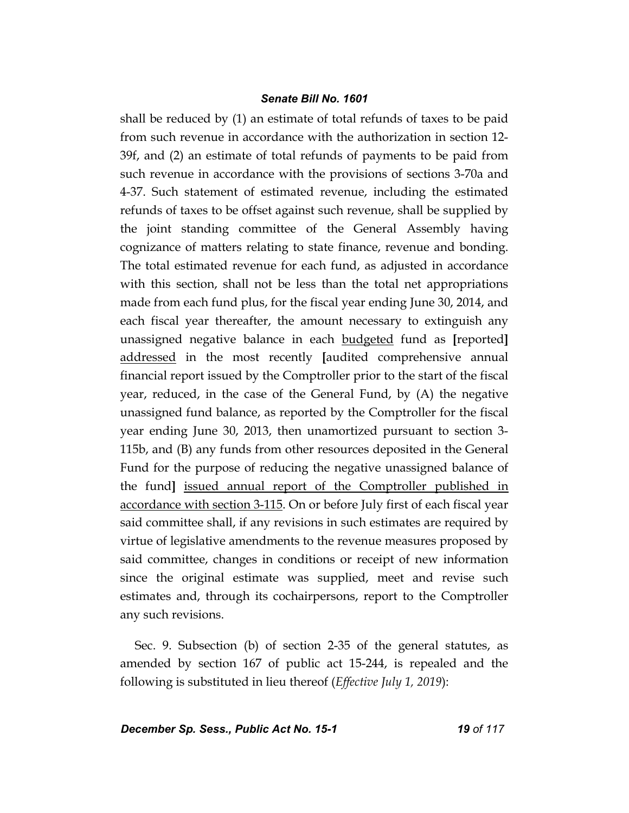shall be reduced by (1) an estimate of total refunds of taxes to be paid from such revenue in accordance with the authorization in section 12- 39f, and (2) an estimate of total refunds of payments to be paid from such revenue in accordance with the provisions of sections 3-70a and 4-37. Such statement of estimated revenue, including the estimated refunds of taxes to be offset against such revenue, shall be supplied by the joint standing committee of the General Assembly having cognizance of matters relating to state finance, revenue and bonding. The total estimated revenue for each fund, as adjusted in accordance with this section, shall not be less than the total net appropriations made from each fund plus, for the fiscal year ending June 30, 2014, and each fiscal year thereafter, the amount necessary to extinguish any unassigned negative balance in each budgeted fund as **[**reported**]** addressed in the most recently **[**audited comprehensive annual financial report issued by the Comptroller prior to the start of the fiscal year, reduced, in the case of the General Fund, by (A) the negative unassigned fund balance, as reported by the Comptroller for the fiscal year ending June 30, 2013, then unamortized pursuant to section 3- 115b, and (B) any funds from other resources deposited in the General Fund for the purpose of reducing the negative unassigned balance of the fund**]** issued annual report of the Comptroller published in accordance with section 3-115. On or before July first of each fiscal year said committee shall, if any revisions in such estimates are required by virtue of legislative amendments to the revenue measures proposed by said committee, changes in conditions or receipt of new information since the original estimate was supplied, meet and revise such estimates and, through its cochairpersons, report to the Comptroller any such revisions.

Sec. 9. Subsection (b) of section 2-35 of the general statutes, as amended by section 167 of public act 15-244, is repealed and the following is substituted in lieu thereof (*Effective July 1, 2019*):

# **December Sp. Sess., Public Act No. 15-1 19 0f 117**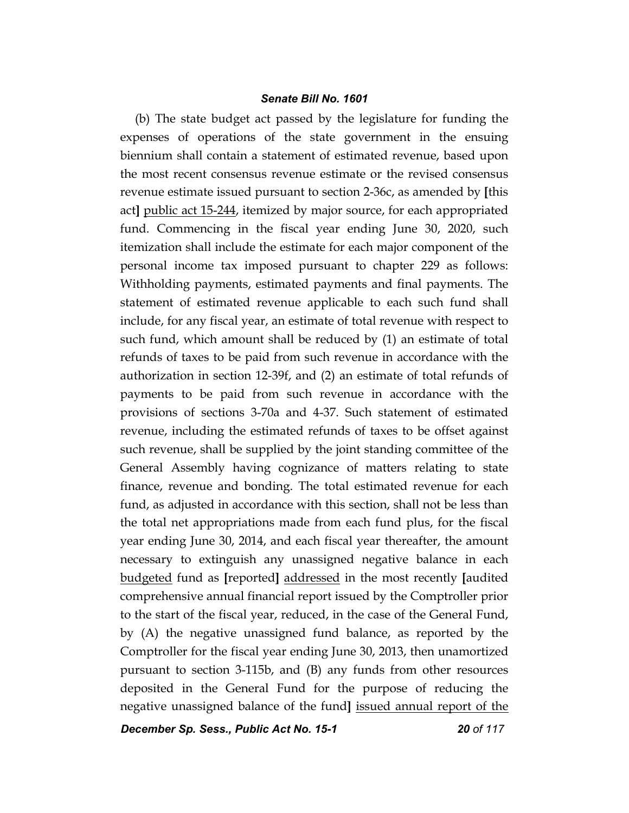(b) The state budget act passed by the legislature for funding the expenses of operations of the state government in the ensuing biennium shall contain a statement of estimated revenue, based upon the most recent consensus revenue estimate or the revised consensus revenue estimate issued pursuant to section 2-36c, as amended by **[**this act**]** public act 15-244, itemized by major source, for each appropriated fund. Commencing in the fiscal year ending June 30, 2020, such itemization shall include the estimate for each major component of the personal income tax imposed pursuant to chapter 229 as follows: Withholding payments, estimated payments and final payments. The statement of estimated revenue applicable to each such fund shall include, for any fiscal year, an estimate of total revenue with respect to such fund, which amount shall be reduced by (1) an estimate of total refunds of taxes to be paid from such revenue in accordance with the authorization in section 12-39f, and (2) an estimate of total refunds of payments to be paid from such revenue in accordance with the provisions of sections 3-70a and 4-37. Such statement of estimated revenue, including the estimated refunds of taxes to be offset against such revenue, shall be supplied by the joint standing committee of the General Assembly having cognizance of matters relating to state finance, revenue and bonding. The total estimated revenue for each fund, as adjusted in accordance with this section, shall not be less than the total net appropriations made from each fund plus, for the fiscal year ending June 30, 2014, and each fiscal year thereafter, the amount necessary to extinguish any unassigned negative balance in each budgeted fund as **[**reported**]** addressed in the most recently **[**audited comprehensive annual financial report issued by the Comptroller prior to the start of the fiscal year, reduced, in the case of the General Fund, by (A) the negative unassigned fund balance, as reported by the Comptroller for the fiscal year ending June 30, 2013, then unamortized pursuant to section 3-115b, and (B) any funds from other resources deposited in the General Fund for the purpose of reducing the negative unassigned balance of the fund**]** issued annual report of the

*December Sp. Sess., Public Act No. 15-1 20 of 117*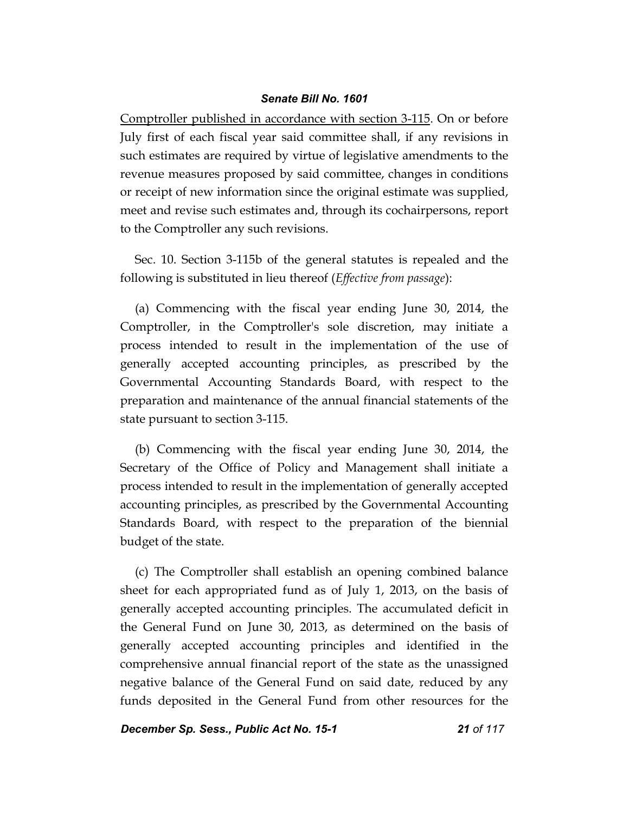Comptroller published in accordance with section 3-115. On or before July first of each fiscal year said committee shall, if any revisions in such estimates are required by virtue of legislative amendments to the revenue measures proposed by said committee, changes in conditions or receipt of new information since the original estimate was supplied, meet and revise such estimates and, through its cochairpersons, report to the Comptroller any such revisions.

Sec. 10. Section 3-115b of the general statutes is repealed and the following is substituted in lieu thereof (*Effective from passage*):

(a) Commencing with the fiscal year ending June 30, 2014, the Comptroller, in the Comptroller's sole discretion, may initiate a process intended to result in the implementation of the use of generally accepted accounting principles, as prescribed by the Governmental Accounting Standards Board, with respect to the preparation and maintenance of the annual financial statements of the state pursuant to section 3-115.

(b) Commencing with the fiscal year ending June 30, 2014, the Secretary of the Office of Policy and Management shall initiate a process intended to result in the implementation of generally accepted accounting principles, as prescribed by the Governmental Accounting Standards Board, with respect to the preparation of the biennial budget of the state.

(c) The Comptroller shall establish an opening combined balance sheet for each appropriated fund as of July 1, 2013, on the basis of generally accepted accounting principles. The accumulated deficit in the General Fund on June 30, 2013, as determined on the basis of generally accepted accounting principles and identified in the comprehensive annual financial report of the state as the unassigned negative balance of the General Fund on said date, reduced by any funds deposited in the General Fund from other resources for the

*December Sp. Sess., Public Act No. 15-1 21 of 117*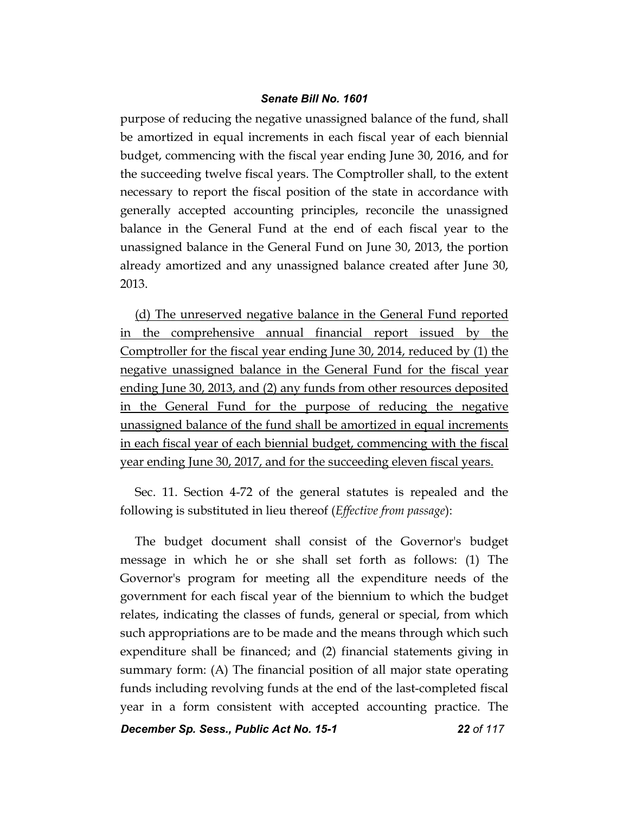purpose of reducing the negative unassigned balance of the fund, shall be amortized in equal increments in each fiscal year of each biennial budget, commencing with the fiscal year ending June 30, 2016, and for the succeeding twelve fiscal years. The Comptroller shall, to the extent necessary to report the fiscal position of the state in accordance with generally accepted accounting principles, reconcile the unassigned balance in the General Fund at the end of each fiscal year to the unassigned balance in the General Fund on June 30, 2013, the portion already amortized and any unassigned balance created after June 30, 2013.

(d) The unreserved negative balance in the General Fund reported in the comprehensive annual financial report issued by the Comptroller for the fiscal year ending June 30, 2014, reduced by (1) the negative unassigned balance in the General Fund for the fiscal year ending June 30, 2013, and (2) any funds from other resources deposited in the General Fund for the purpose of reducing the negative unassigned balance of the fund shall be amortized in equal increments in each fiscal year of each biennial budget, commencing with the fiscal year ending June 30, 2017, and for the succeeding eleven fiscal years.

Sec. 11. Section 4-72 of the general statutes is repealed and the following is substituted in lieu thereof (*Effective from passage*):

The budget document shall consist of the Governor's budget message in which he or she shall set forth as follows: (1) The Governor's program for meeting all the expenditure needs of the government for each fiscal year of the biennium to which the budget relates, indicating the classes of funds, general or special, from which such appropriations are to be made and the means through which such expenditure shall be financed; and (2) financial statements giving in summary form: (A) The financial position of all major state operating funds including revolving funds at the end of the last-completed fiscal year in a form consistent with accepted accounting practice. The

*December Sp. Sess., Public Act No. 15-1 22 of 117*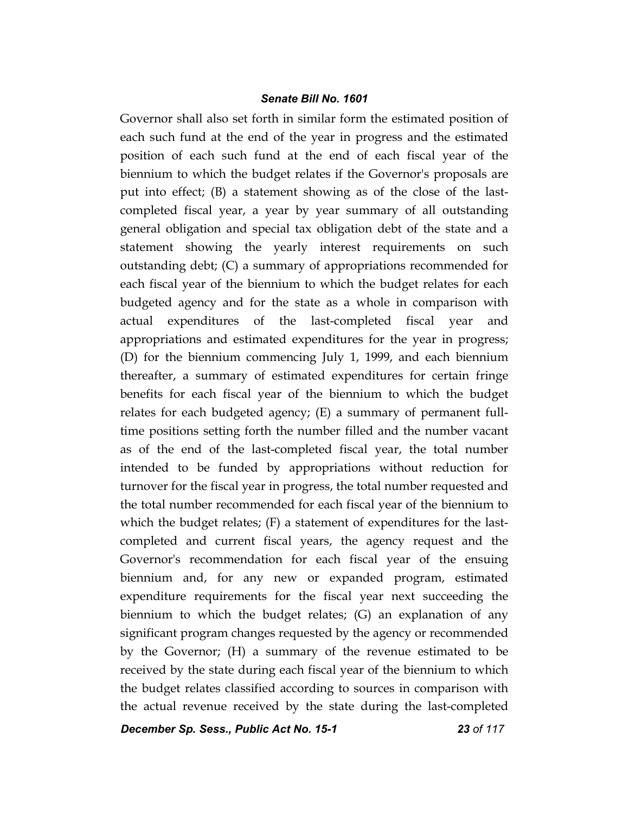Governor shall also set forth in similar form the estimated position of each such fund at the end of the year in progress and the estimated position of each such fund at the end of each fiscal year of the biennium to which the budget relates if the Governor's proposals are put into effect; (B) a statement showing as of the close of the lastcompleted fiscal year, a year by year summary of all outstanding general obligation and special tax obligation debt of the state and a statement showing the yearly interest requirements on such outstanding debt; (C) a summary of appropriations recommended for each fiscal year of the biennium to which the budget relates for each budgeted agency and for the state as a whole in comparison with actual expenditures of the last-completed fiscal year and appropriations and estimated expenditures for the year in progress; (D) for the biennium commencing July 1, 1999, and each biennium thereafter, a summary of estimated expenditures for certain fringe benefits for each fiscal year of the biennium to which the budget relates for each budgeted agency; (E) a summary of permanent fulltime positions setting forth the number filled and the number vacant as of the end of the last-completed fiscal year, the total number intended to be funded by appropriations without reduction for turnover for the fiscal year in progress, the total number requested and the total number recommended for each fiscal year of the biennium to which the budget relates; (F) a statement of expenditures for the lastcompleted and current fiscal years, the agency request and the Governor's recommendation for each fiscal year of the ensuing biennium and, for any new or expanded program, estimated expenditure requirements for the fiscal year next succeeding the biennium to which the budget relates; (G) an explanation of any significant program changes requested by the agency or recommended by the Governor; (H) a summary of the revenue estimated to be received by the state during each fiscal year of the biennium to which the budget relates classified according to sources in comparison with the actual revenue received by the state during the last-completed

*December Sp. Sess., Public Act No. 15-1 23 of 117*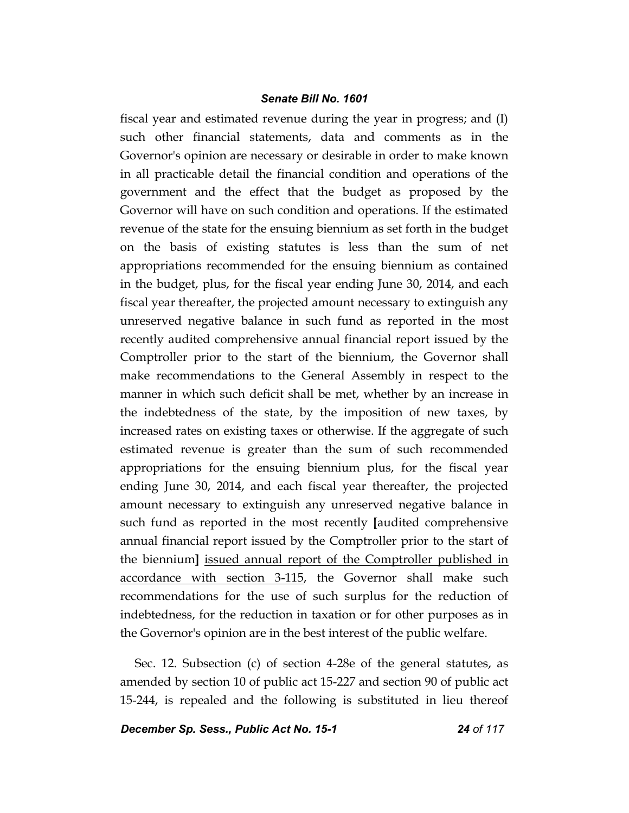fiscal year and estimated revenue during the year in progress; and (I) such other financial statements, data and comments as in the Governor's opinion are necessary or desirable in order to make known in all practicable detail the financial condition and operations of the government and the effect that the budget as proposed by the Governor will have on such condition and operations. If the estimated revenue of the state for the ensuing biennium as set forth in the budget on the basis of existing statutes is less than the sum of net appropriations recommended for the ensuing biennium as contained in the budget, plus, for the fiscal year ending June 30, 2014, and each fiscal year thereafter, the projected amount necessary to extinguish any unreserved negative balance in such fund as reported in the most recently audited comprehensive annual financial report issued by the Comptroller prior to the start of the biennium, the Governor shall make recommendations to the General Assembly in respect to the manner in which such deficit shall be met, whether by an increase in the indebtedness of the state, by the imposition of new taxes, by increased rates on existing taxes or otherwise. If the aggregate of such estimated revenue is greater than the sum of such recommended appropriations for the ensuing biennium plus, for the fiscal year ending June 30, 2014, and each fiscal year thereafter, the projected amount necessary to extinguish any unreserved negative balance in such fund as reported in the most recently **[**audited comprehensive annual financial report issued by the Comptroller prior to the start of the biennium**]** issued annual report of the Comptroller published in accordance with section 3-115, the Governor shall make such recommendations for the use of such surplus for the reduction of indebtedness, for the reduction in taxation or for other purposes as in the Governor's opinion are in the best interest of the public welfare.

Sec. 12. Subsection (c) of section 4-28e of the general statutes, as amended by section 10 of public act 15-227 and section 90 of public act 15-244, is repealed and the following is substituted in lieu thereof

*December Sp. Sess., Public Act No. 15-1 24 of 117*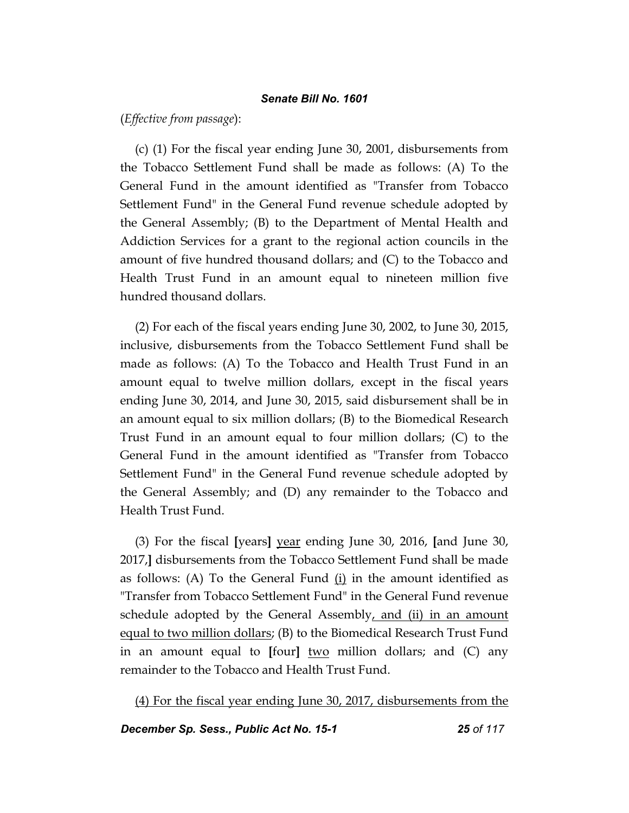(*Effective from passage*):

(c) (1) For the fiscal year ending June 30, 2001, disbursements from the Tobacco Settlement Fund shall be made as follows: (A) To the General Fund in the amount identified as "Transfer from Tobacco Settlement Fund" in the General Fund revenue schedule adopted by the General Assembly; (B) to the Department of Mental Health and Addiction Services for a grant to the regional action councils in the amount of five hundred thousand dollars; and (C) to the Tobacco and Health Trust Fund in an amount equal to nineteen million five hundred thousand dollars.

(2) For each of the fiscal years ending June 30, 2002, to June 30, 2015, inclusive, disbursements from the Tobacco Settlement Fund shall be made as follows: (A) To the Tobacco and Health Trust Fund in an amount equal to twelve million dollars, except in the fiscal years ending June 30, 2014, and June 30, 2015, said disbursement shall be in an amount equal to six million dollars; (B) to the Biomedical Research Trust Fund in an amount equal to four million dollars; (C) to the General Fund in the amount identified as "Transfer from Tobacco Settlement Fund" in the General Fund revenue schedule adopted by the General Assembly; and (D) any remainder to the Tobacco and Health Trust Fund.

(3) For the fiscal **[**years**]** year ending June 30, 2016, **[**and June 30, 2017,**]** disbursements from the Tobacco Settlement Fund shall be made as follows: (A) To the General Fund (i) in the amount identified as "Transfer from Tobacco Settlement Fund" in the General Fund revenue schedule adopted by the General Assembly, and (ii) in an amount equal to two million dollars; (B) to the Biomedical Research Trust Fund in an amount equal to **[**four**]** two million dollars; and (C) any remainder to the Tobacco and Health Trust Fund.

(4) For the fiscal year ending June 30, 2017, disbursements from the

*December Sp. Sess., Public Act No. 15-1 25 of 117*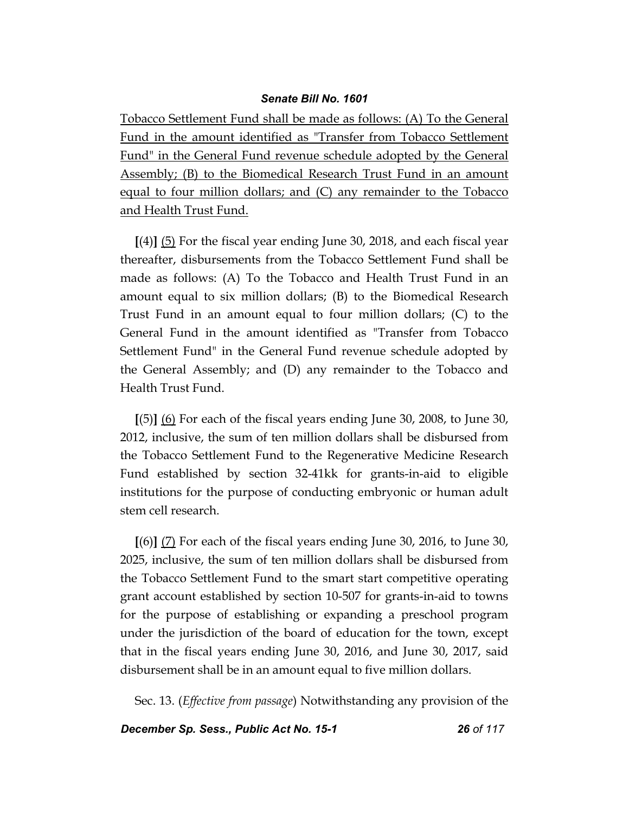Tobacco Settlement Fund shall be made as follows: (A) To the General Fund in the amount identified as "Transfer from Tobacco Settlement Fund" in the General Fund revenue schedule adopted by the General Assembly; (B) to the Biomedical Research Trust Fund in an amount equal to four million dollars; and (C) any remainder to the Tobacco and Health Trust Fund.

**[**(4)**]** (5) For the fiscal year ending June 30, 2018, and each fiscal year thereafter, disbursements from the Tobacco Settlement Fund shall be made as follows: (A) To the Tobacco and Health Trust Fund in an amount equal to six million dollars; (B) to the Biomedical Research Trust Fund in an amount equal to four million dollars; (C) to the General Fund in the amount identified as "Transfer from Tobacco Settlement Fund" in the General Fund revenue schedule adopted by the General Assembly; and (D) any remainder to the Tobacco and Health Trust Fund.

**[**(5)**]** (6) For each of the fiscal years ending June 30, 2008, to June 30, 2012, inclusive, the sum of ten million dollars shall be disbursed from the Tobacco Settlement Fund to the Regenerative Medicine Research Fund established by section 32-41kk for grants-in-aid to eligible institutions for the purpose of conducting embryonic or human adult stem cell research.

**[**(6)**]** (7) For each of the fiscal years ending June 30, 2016, to June 30, 2025, inclusive, the sum of ten million dollars shall be disbursed from the Tobacco Settlement Fund to the smart start competitive operating grant account established by section 10-507 for grants-in-aid to towns for the purpose of establishing or expanding a preschool program under the jurisdiction of the board of education for the town, except that in the fiscal years ending June 30, 2016, and June 30, 2017, said disbursement shall be in an amount equal to five million dollars.

Sec. 13. (*Effective from passage*) Notwithstanding any provision of the

*December Sp. Sess., Public Act No. 15-1 26 of 117*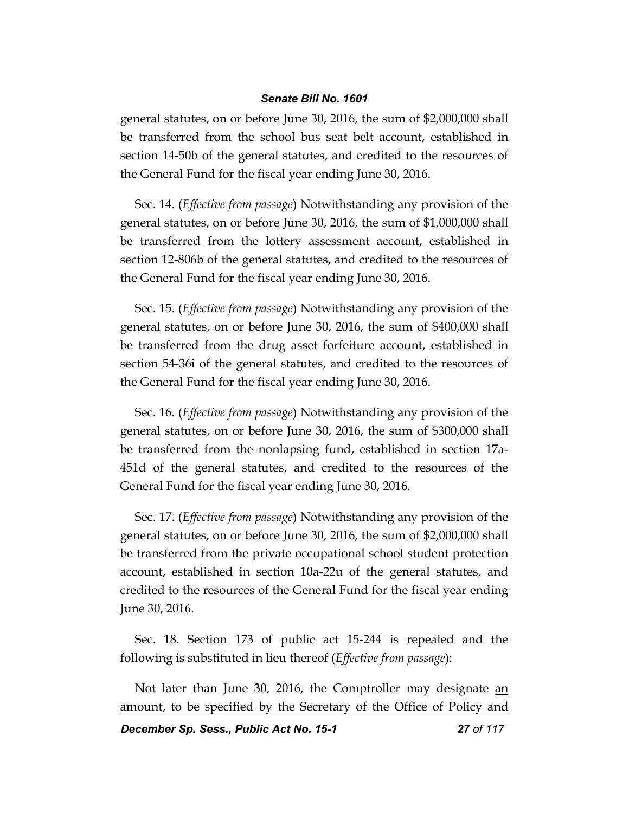general statutes, on or before June 30, 2016, the sum of \$2,000,000 shall be transferred from the school bus seat belt account, established in section 14-50b of the general statutes, and credited to the resources of the General Fund for the fiscal year ending June 30, 2016.

Sec. 14. (*Effective from passage*) Notwithstanding any provision of the general statutes, on or before June 30, 2016, the sum of \$1,000,000 shall be transferred from the lottery assessment account, established in section 12-806b of the general statutes, and credited to the resources of the General Fund for the fiscal year ending June 30, 2016.

Sec. 15. (*Effective from passage*) Notwithstanding any provision of the general statutes, on or before June 30, 2016, the sum of \$400,000 shall be transferred from the drug asset forfeiture account, established in section 54-36i of the general statutes, and credited to the resources of the General Fund for the fiscal year ending June 30, 2016.

Sec. 16. (*Effective from passage*) Notwithstanding any provision of the general statutes, on or before June 30, 2016, the sum of \$300,000 shall be transferred from the nonlapsing fund, established in section 17a-451d of the general statutes, and credited to the resources of the General Fund for the fiscal year ending June 30, 2016.

Sec. 17. (*Effective from passage*) Notwithstanding any provision of the general statutes, on or before June 30, 2016, the sum of \$2,000,000 shall be transferred from the private occupational school student protection account, established in section 10a-22u of the general statutes, and credited to the resources of the General Fund for the fiscal year ending June 30, 2016.

Sec. 18. Section 173 of public act 15-244 is repealed and the following is substituted in lieu thereof (*Effective from passage*):

Not later than June 30, 2016, the Comptroller may designate an amount, to be specified by the Secretary of the Office of Policy and

*December Sp. Sess., Public Act No. 15-1 27 of 117*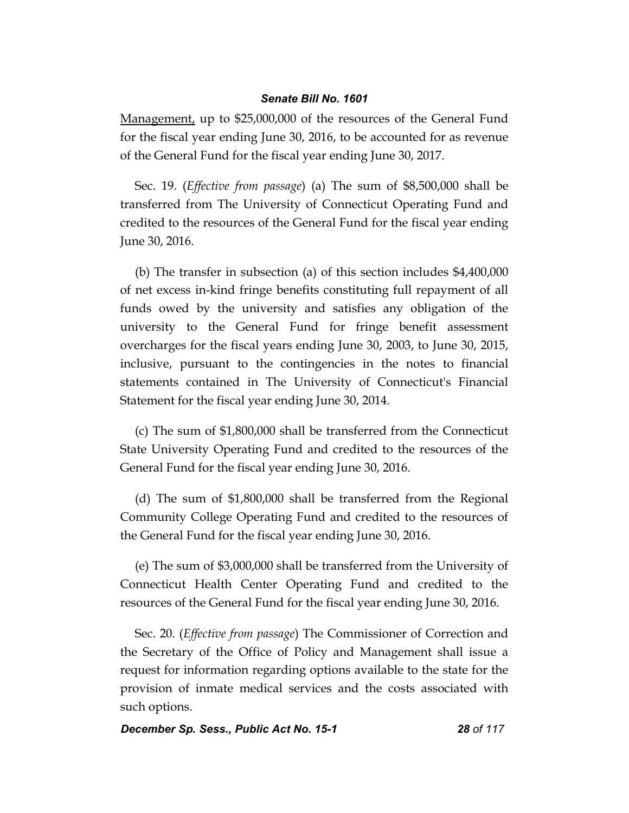Management, up to \$25,000,000 of the resources of the General Fund for the fiscal year ending June 30, 2016, to be accounted for as revenue of the General Fund for the fiscal year ending June 30, 2017.

Sec. 19. (*Effective from passage*) (a) The sum of \$8,500,000 shall be transferred from The University of Connecticut Operating Fund and credited to the resources of the General Fund for the fiscal year ending June 30, 2016.

(b) The transfer in subsection (a) of this section includes \$4,400,000 of net excess in-kind fringe benefits constituting full repayment of all funds owed by the university and satisfies any obligation of the university to the General Fund for fringe benefit assessment overcharges for the fiscal years ending June 30, 2003, to June 30, 2015, inclusive, pursuant to the contingencies in the notes to financial statements contained in The University of Connecticut's Financial Statement for the fiscal year ending June 30, 2014.

(c) The sum of \$1,800,000 shall be transferred from the Connecticut State University Operating Fund and credited to the resources of the General Fund for the fiscal year ending June 30, 2016.

(d) The sum of \$1,800,000 shall be transferred from the Regional Community College Operating Fund and credited to the resources of the General Fund for the fiscal year ending June 30, 2016.

(e) The sum of \$3,000,000 shall be transferred from the University of Connecticut Health Center Operating Fund and credited to the resources of the General Fund for the fiscal year ending June 30, 2016.

Sec. 20. (*Effective from passage*) The Commissioner of Correction and the Secretary of the Office of Policy and Management shall issue a request for information regarding options available to the state for the provision of inmate medical services and the costs associated with such options.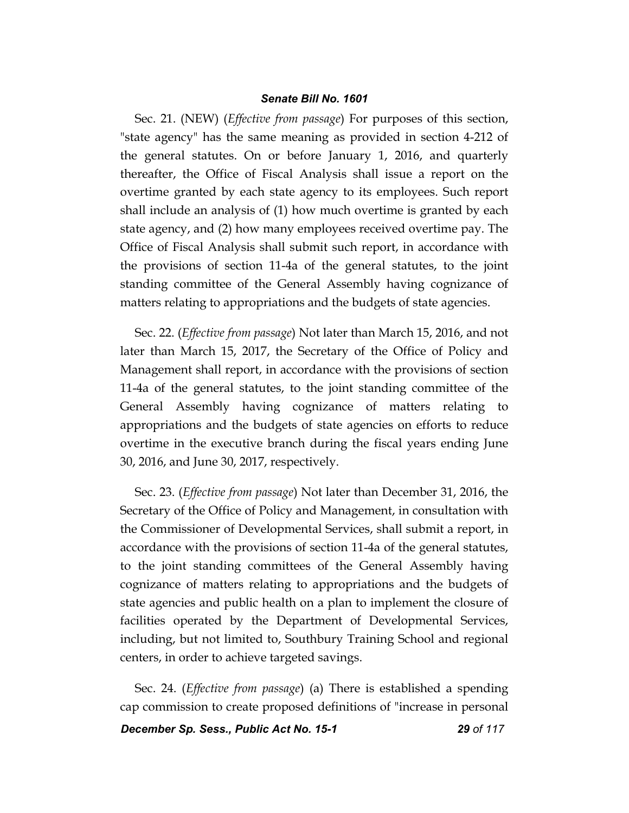Sec. 21. (NEW) (*Effective from passage*) For purposes of this section, "state agency" has the same meaning as provided in section 4-212 of the general statutes. On or before January 1, 2016, and quarterly thereafter, the Office of Fiscal Analysis shall issue a report on the overtime granted by each state agency to its employees. Such report shall include an analysis of (1) how much overtime is granted by each state agency, and (2) how many employees received overtime pay. The Office of Fiscal Analysis shall submit such report, in accordance with the provisions of section 11-4a of the general statutes, to the joint standing committee of the General Assembly having cognizance of matters relating to appropriations and the budgets of state agencies.

Sec. 22. (*Effective from passage*) Not later than March 15, 2016, and not later than March 15, 2017, the Secretary of the Office of Policy and Management shall report, in accordance with the provisions of section 11-4a of the general statutes, to the joint standing committee of the General Assembly having cognizance of matters relating to appropriations and the budgets of state agencies on efforts to reduce overtime in the executive branch during the fiscal years ending June 30, 2016, and June 30, 2017, respectively.

Sec. 23. (*Effective from passage*) Not later than December 31, 2016, the Secretary of the Office of Policy and Management, in consultation with the Commissioner of Developmental Services, shall submit a report, in accordance with the provisions of section 11-4a of the general statutes, to the joint standing committees of the General Assembly having cognizance of matters relating to appropriations and the budgets of state agencies and public health on a plan to implement the closure of facilities operated by the Department of Developmental Services, including, but not limited to, Southbury Training School and regional centers, in order to achieve targeted savings.

Sec. 24. (*Effective from passage*) (a) There is established a spending cap commission to create proposed definitions of "increase in personal

*December Sp. Sess., Public Act No. 15-1 29 of 117*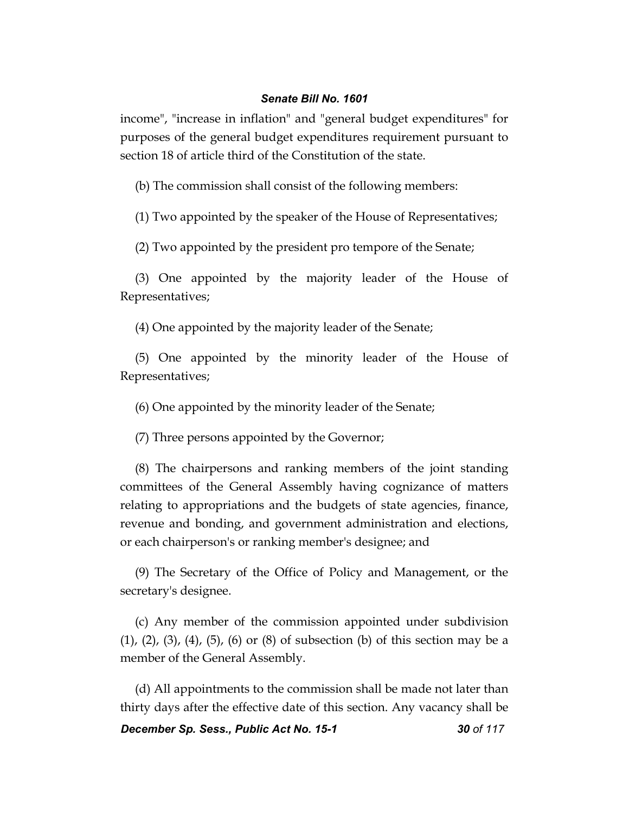income", "increase in inflation" and "general budget expenditures" for purposes of the general budget expenditures requirement pursuant to section 18 of article third of the Constitution of the state.

(b) The commission shall consist of the following members:

(1) Two appointed by the speaker of the House of Representatives;

(2) Two appointed by the president pro tempore of the Senate;

(3) One appointed by the majority leader of the House of Representatives;

(4) One appointed by the majority leader of the Senate;

(5) One appointed by the minority leader of the House of Representatives;

(6) One appointed by the minority leader of the Senate;

(7) Three persons appointed by the Governor;

(8) The chairpersons and ranking members of the joint standing committees of the General Assembly having cognizance of matters relating to appropriations and the budgets of state agencies, finance, revenue and bonding, and government administration and elections, or each chairperson's or ranking member's designee; and

(9) The Secretary of the Office of Policy and Management, or the secretary's designee.

(c) Any member of the commission appointed under subdivision (1), (2), (3), (4), (5), (6) or (8) of subsection (b) of this section may be a member of the General Assembly.

(d) All appointments to the commission shall be made not later than thirty days after the effective date of this section. Any vacancy shall be

*December Sp. Sess., Public Act No. 15-1 30 of 117*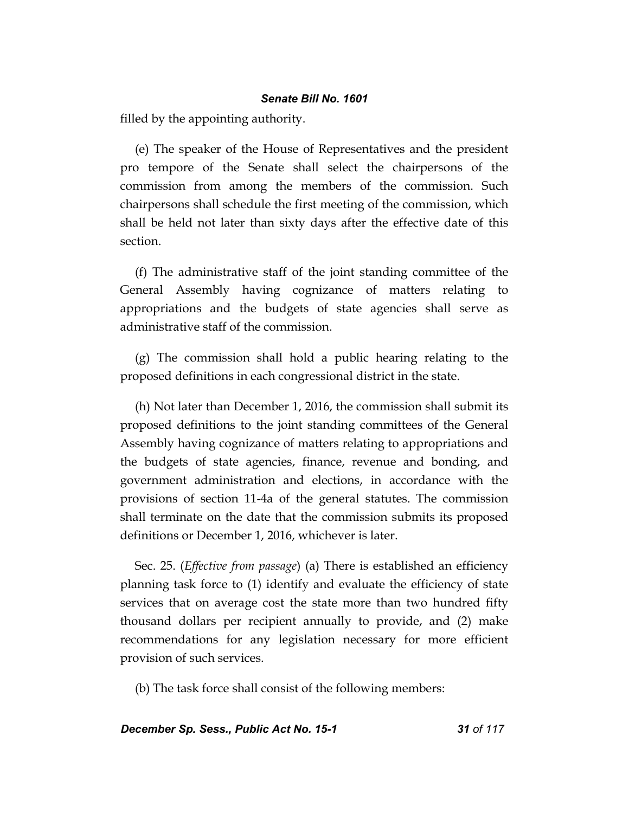filled by the appointing authority.

(e) The speaker of the House of Representatives and the president pro tempore of the Senate shall select the chairpersons of the commission from among the members of the commission. Such chairpersons shall schedule the first meeting of the commission, which shall be held not later than sixty days after the effective date of this section.

(f) The administrative staff of the joint standing committee of the General Assembly having cognizance of matters relating to appropriations and the budgets of state agencies shall serve as administrative staff of the commission.

(g) The commission shall hold a public hearing relating to the proposed definitions in each congressional district in the state.

(h) Not later than December 1, 2016, the commission shall submit its proposed definitions to the joint standing committees of the General Assembly having cognizance of matters relating to appropriations and the budgets of state agencies, finance, revenue and bonding, and government administration and elections, in accordance with the provisions of section 11-4a of the general statutes. The commission shall terminate on the date that the commission submits its proposed definitions or December 1, 2016, whichever is later.

Sec. 25. (*Effective from passage*) (a) There is established an efficiency planning task force to (1) identify and evaluate the efficiency of state services that on average cost the state more than two hundred fifty thousand dollars per recipient annually to provide, and (2) make recommendations for any legislation necessary for more efficient provision of such services.

(b) The task force shall consist of the following members:

*December Sp. Sess., Public Act No. 15-1 31 of 117*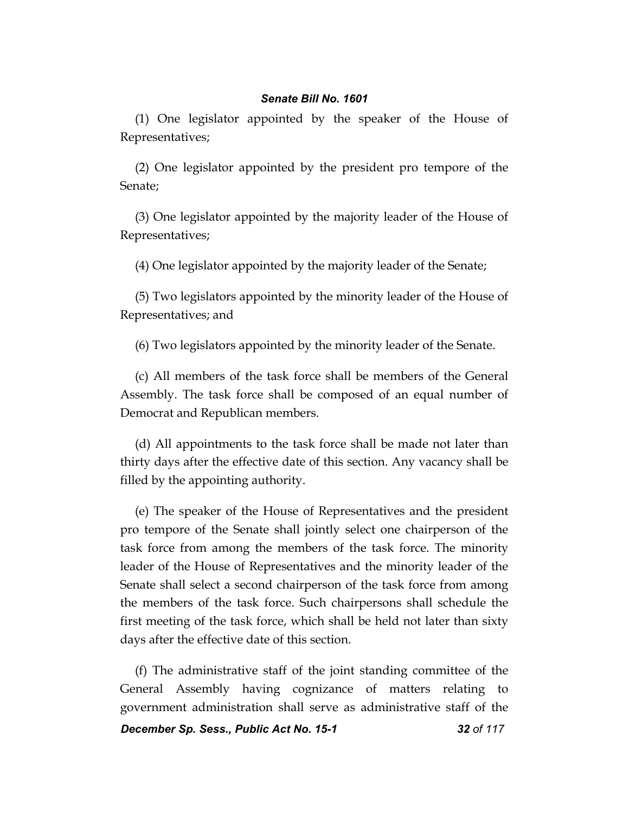(1) One legislator appointed by the speaker of the House of Representatives;

(2) One legislator appointed by the president pro tempore of the Senate;

(3) One legislator appointed by the majority leader of the House of Representatives;

(4) One legislator appointed by the majority leader of the Senate;

(5) Two legislators appointed by the minority leader of the House of Representatives; and

(6) Two legislators appointed by the minority leader of the Senate.

(c) All members of the task force shall be members of the General Assembly. The task force shall be composed of an equal number of Democrat and Republican members.

(d) All appointments to the task force shall be made not later than thirty days after the effective date of this section. Any vacancy shall be filled by the appointing authority.

(e) The speaker of the House of Representatives and the president pro tempore of the Senate shall jointly select one chairperson of the task force from among the members of the task force. The minority leader of the House of Representatives and the minority leader of the Senate shall select a second chairperson of the task force from among the members of the task force. Such chairpersons shall schedule the first meeting of the task force, which shall be held not later than sixty days after the effective date of this section.

(f) The administrative staff of the joint standing committee of the General Assembly having cognizance of matters relating to government administration shall serve as administrative staff of the

*December Sp. Sess., Public Act No. 15-1 32 of 117*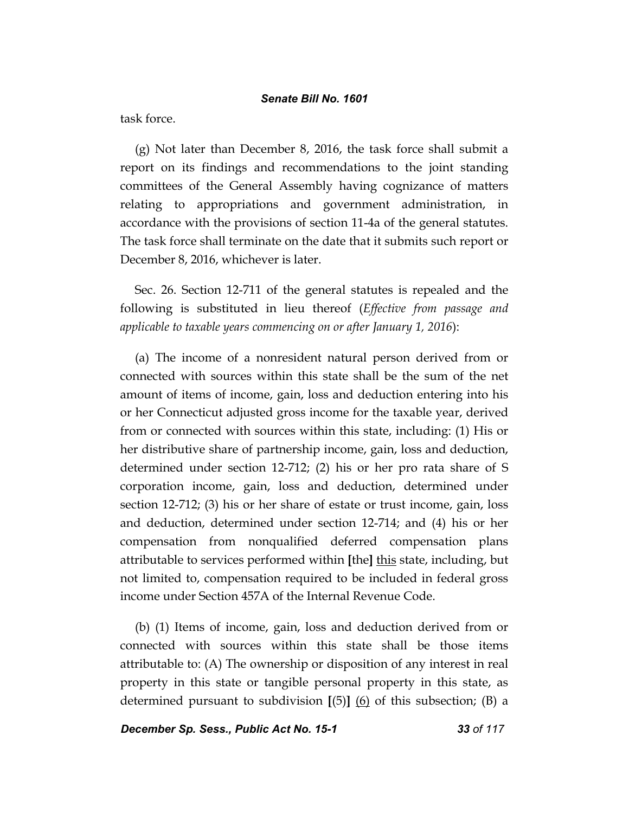task force.

(g) Not later than December 8, 2016, the task force shall submit a report on its findings and recommendations to the joint standing committees of the General Assembly having cognizance of matters relating to appropriations and government administration, in accordance with the provisions of section 11-4a of the general statutes. The task force shall terminate on the date that it submits such report or December 8, 2016, whichever is later.

Sec. 26. Section 12-711 of the general statutes is repealed and the following is substituted in lieu thereof (*Effective from passage and applicable to taxable years commencing on or after January 1, 2016*):

(a) The income of a nonresident natural person derived from or connected with sources within this state shall be the sum of the net amount of items of income, gain, loss and deduction entering into his or her Connecticut adjusted gross income for the taxable year, derived from or connected with sources within this state, including: (1) His or her distributive share of partnership income, gain, loss and deduction, determined under section 12-712; (2) his or her pro rata share of S corporation income, gain, loss and deduction, determined under section 12-712; (3) his or her share of estate or trust income, gain, loss and deduction, determined under section 12-714; and (4) his or her compensation from nonqualified deferred compensation plans attributable to services performed within **[**the**]** this state, including, but not limited to, compensation required to be included in federal gross income under Section 457A of the Internal Revenue Code.

(b) (1) Items of income, gain, loss and deduction derived from or connected with sources within this state shall be those items attributable to: (A) The ownership or disposition of any interest in real property in this state or tangible personal property in this state, as determined pursuant to subdivision **[**(5)**]** (6) of this subsection; (B) a

*December Sp. Sess., Public Act No. 15-1 33 of 117*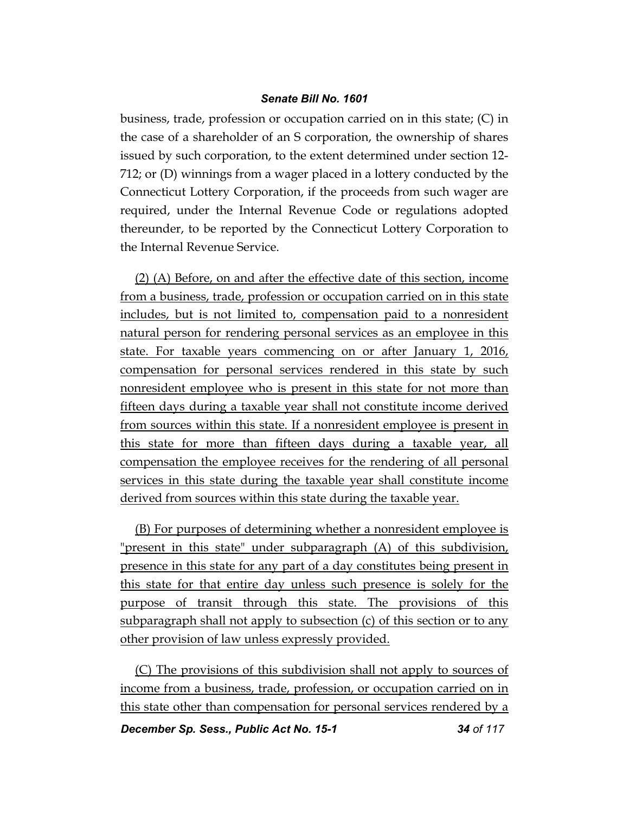business, trade, profession or occupation carried on in this state; (C) in the case of a shareholder of an S corporation, the ownership of shares issued by such corporation, to the extent determined under section 12- 712; or (D) winnings from a wager placed in a lottery conducted by the Connecticut Lottery Corporation, if the proceeds from such wager are required, under the Internal Revenue Code or regulations adopted thereunder, to be reported by the Connecticut Lottery Corporation to the Internal Revenue Service.

(2) (A) Before, on and after the effective date of this section, income from a business, trade, profession or occupation carried on in this state includes, but is not limited to, compensation paid to a nonresident natural person for rendering personal services as an employee in this state. For taxable years commencing on or after January 1, 2016, compensation for personal services rendered in this state by such nonresident employee who is present in this state for not more than fifteen days during a taxable year shall not constitute income derived from sources within this state. If a nonresident employee is present in this state for more than fifteen days during a taxable year, all compensation the employee receives for the rendering of all personal services in this state during the taxable year shall constitute income derived from sources within this state during the taxable year.

(B) For purposes of determining whether a nonresident employee is "present in this state" under subparagraph (A) of this subdivision, presence in this state for any part of a day constitutes being present in this state for that entire day unless such presence is solely for the purpose of transit through this state. The provisions of this subparagraph shall not apply to subsection (c) of this section or to any other provision of law unless expressly provided.

(C) The provisions of this subdivision shall not apply to sources of income from a business, trade, profession, or occupation carried on in this state other than compensation for personal services rendered by a

*December Sp. Sess., Public Act No. 15-1 34 of 117*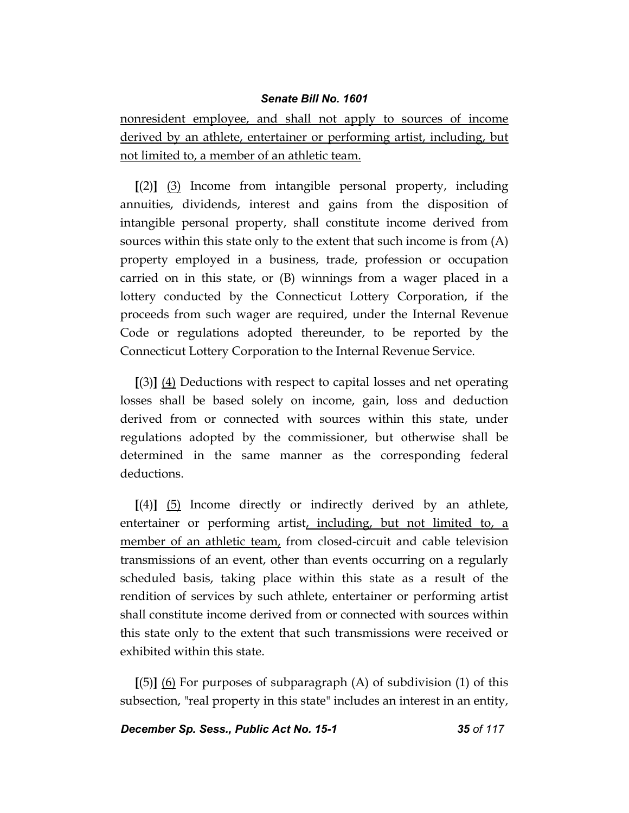nonresident employee, and shall not apply to sources of income derived by an athlete, entertainer or performing artist, including, but not limited to, a member of an athletic team.

**[**(2)**]** (3) Income from intangible personal property, including annuities, dividends, interest and gains from the disposition of intangible personal property, shall constitute income derived from sources within this state only to the extent that such income is from (A) property employed in a business, trade, profession or occupation carried on in this state, or (B) winnings from a wager placed in a lottery conducted by the Connecticut Lottery Corporation, if the proceeds from such wager are required, under the Internal Revenue Code or regulations adopted thereunder, to be reported by the Connecticut Lottery Corporation to the Internal Revenue Service.

**[**(3)**]** (4) Deductions with respect to capital losses and net operating losses shall be based solely on income, gain, loss and deduction derived from or connected with sources within this state, under regulations adopted by the commissioner, but otherwise shall be determined in the same manner as the corresponding federal deductions.

**[**(4)**]** (5) Income directly or indirectly derived by an athlete, entertainer or performing artist, including, but not limited to, a member of an athletic team, from closed-circuit and cable television transmissions of an event, other than events occurring on a regularly scheduled basis, taking place within this state as a result of the rendition of services by such athlete, entertainer or performing artist shall constitute income derived from or connected with sources within this state only to the extent that such transmissions were received or exhibited within this state.

**[**(5)**]** (6) For purposes of subparagraph (A) of subdivision (1) of this subsection, "real property in this state" includes an interest in an entity,

*December Sp. Sess., Public Act No. 15-1 35 of 117*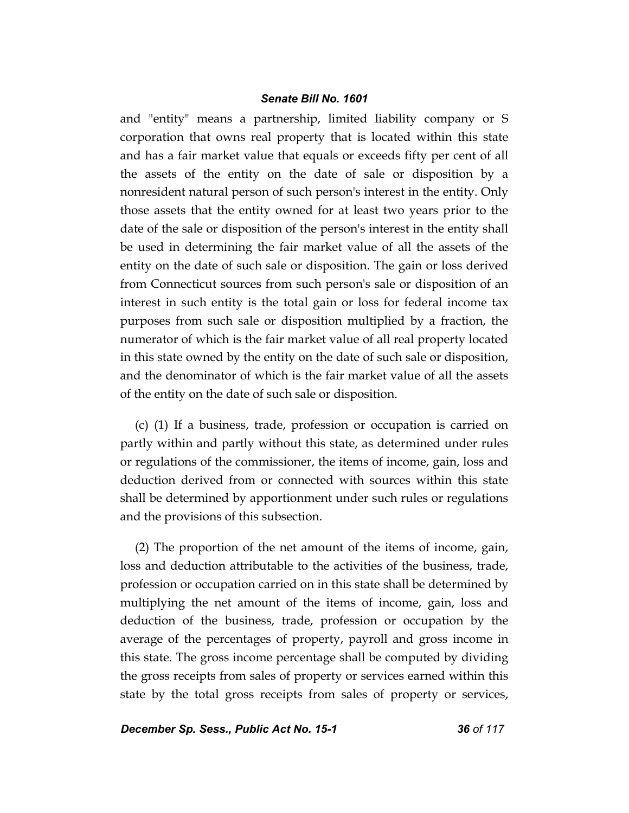and "entity" means a partnership, limited liability company or S corporation that owns real property that is located within this state and has a fair market value that equals or exceeds fifty per cent of all the assets of the entity on the date of sale or disposition by a nonresident natural person of such person's interest in the entity. Only those assets that the entity owned for at least two years prior to the date of the sale or disposition of the person's interest in the entity shall be used in determining the fair market value of all the assets of the entity on the date of such sale or disposition. The gain or loss derived from Connecticut sources from such person's sale or disposition of an interest in such entity is the total gain or loss for federal income tax purposes from such sale or disposition multiplied by a fraction, the numerator of which is the fair market value of all real property located in this state owned by the entity on the date of such sale or disposition, and the denominator of which is the fair market value of all the assets of the entity on the date of such sale or disposition.

(c) (1) If a business, trade, profession or occupation is carried on partly within and partly without this state, as determined under rules or regulations of the commissioner, the items of income, gain, loss and deduction derived from or connected with sources within this state shall be determined by apportionment under such rules or regulations and the provisions of this subsection.

(2) The proportion of the net amount of the items of income, gain, loss and deduction attributable to the activities of the business, trade, profession or occupation carried on in this state shall be determined by multiplying the net amount of the items of income, gain, loss and deduction of the business, trade, profession or occupation by the average of the percentages of property, payroll and gross income in this state. The gross income percentage shall be computed by dividing the gross receipts from sales of property or services earned within this state by the total gross receipts from sales of property or services,

*December Sp. Sess., Public Act No. 15-1 36 of 117*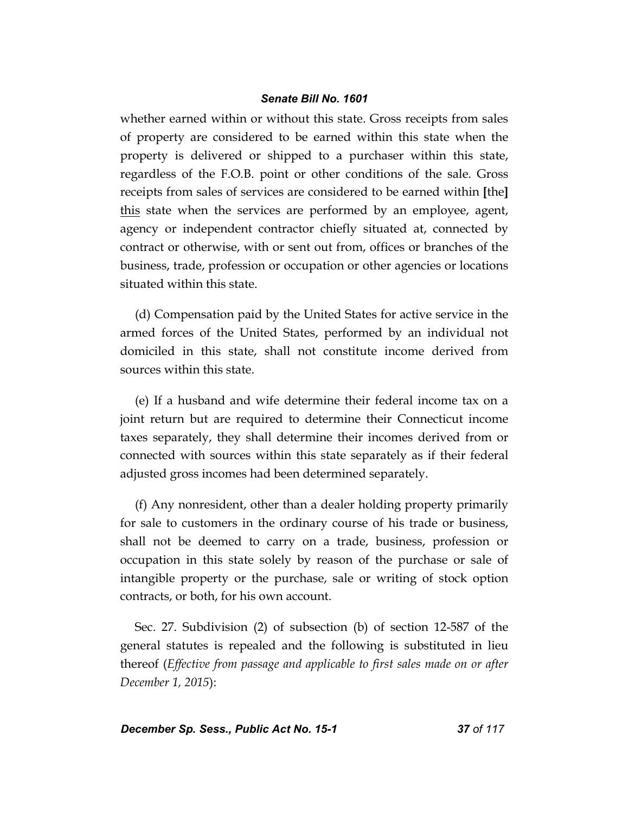whether earned within or without this state. Gross receipts from sales of property are considered to be earned within this state when the property is delivered or shipped to a purchaser within this state, regardless of the F.O.B. point or other conditions of the sale. Gross receipts from sales of services are considered to be earned within **[**the**]** this state when the services are performed by an employee, agent, agency or independent contractor chiefly situated at, connected by contract or otherwise, with or sent out from, offices or branches of the business, trade, profession or occupation or other agencies or locations situated within this state.

(d) Compensation paid by the United States for active service in the armed forces of the United States, performed by an individual not domiciled in this state, shall not constitute income derived from sources within this state.

(e) If a husband and wife determine their federal income tax on a joint return but are required to determine their Connecticut income taxes separately, they shall determine their incomes derived from or connected with sources within this state separately as if their federal adjusted gross incomes had been determined separately.

(f) Any nonresident, other than a dealer holding property primarily for sale to customers in the ordinary course of his trade or business, shall not be deemed to carry on a trade, business, profession or occupation in this state solely by reason of the purchase or sale of intangible property or the purchase, sale or writing of stock option contracts, or both, for his own account.

Sec. 27. Subdivision (2) of subsection (b) of section 12-587 of the general statutes is repealed and the following is substituted in lieu thereof (*Effective from passage and applicable to first sales made on or after December 1, 2015*):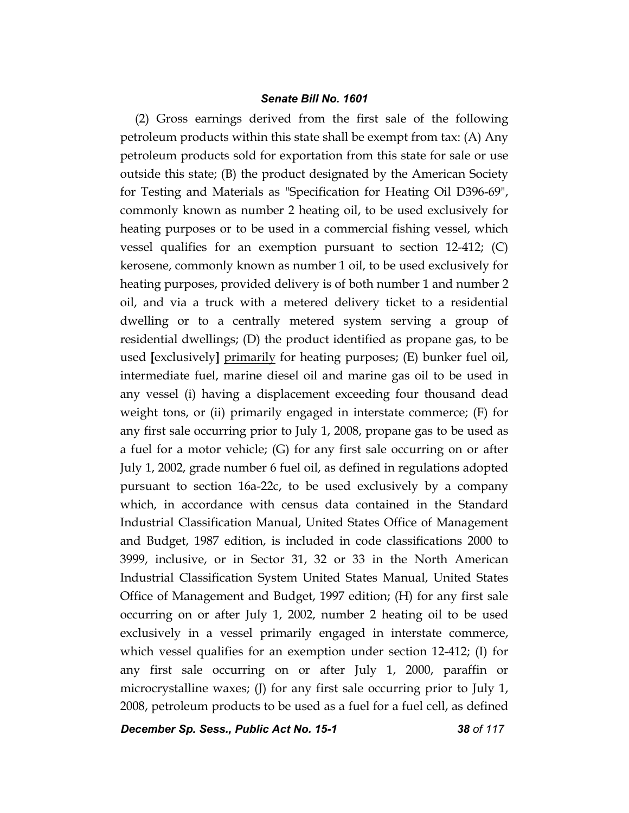(2) Gross earnings derived from the first sale of the following petroleum products within this state shall be exempt from tax: (A) Any petroleum products sold for exportation from this state for sale or use outside this state; (B) the product designated by the American Society for Testing and Materials as "Specification for Heating Oil D396-69", commonly known as number 2 heating oil, to be used exclusively for heating purposes or to be used in a commercial fishing vessel, which vessel qualifies for an exemption pursuant to section 12-412; (C) kerosene, commonly known as number 1 oil, to be used exclusively for heating purposes, provided delivery is of both number 1 and number 2 oil, and via a truck with a metered delivery ticket to a residential dwelling or to a centrally metered system serving a group of residential dwellings; (D) the product identified as propane gas, to be used **[**exclusively**]** primarily for heating purposes; (E) bunker fuel oil, intermediate fuel, marine diesel oil and marine gas oil to be used in any vessel (i) having a displacement exceeding four thousand dead weight tons, or (ii) primarily engaged in interstate commerce; (F) for any first sale occurring prior to July 1, 2008, propane gas to be used as a fuel for a motor vehicle; (G) for any first sale occurring on or after July 1, 2002, grade number 6 fuel oil, as defined in regulations adopted pursuant to section 16a-22c, to be used exclusively by a company which, in accordance with census data contained in the Standard Industrial Classification Manual, United States Office of Management and Budget, 1987 edition, is included in code classifications 2000 to 3999, inclusive, or in Sector 31, 32 or 33 in the North American Industrial Classification System United States Manual, United States Office of Management and Budget, 1997 edition; (H) for any first sale occurring on or after July 1, 2002, number 2 heating oil to be used exclusively in a vessel primarily engaged in interstate commerce, which vessel qualifies for an exemption under section 12-412; (I) for any first sale occurring on or after July 1, 2000, paraffin or microcrystalline waxes; (J) for any first sale occurring prior to July 1, 2008, petroleum products to be used as a fuel for a fuel cell, as defined

*December Sp. Sess., Public Act No. 15-1 38 of 117*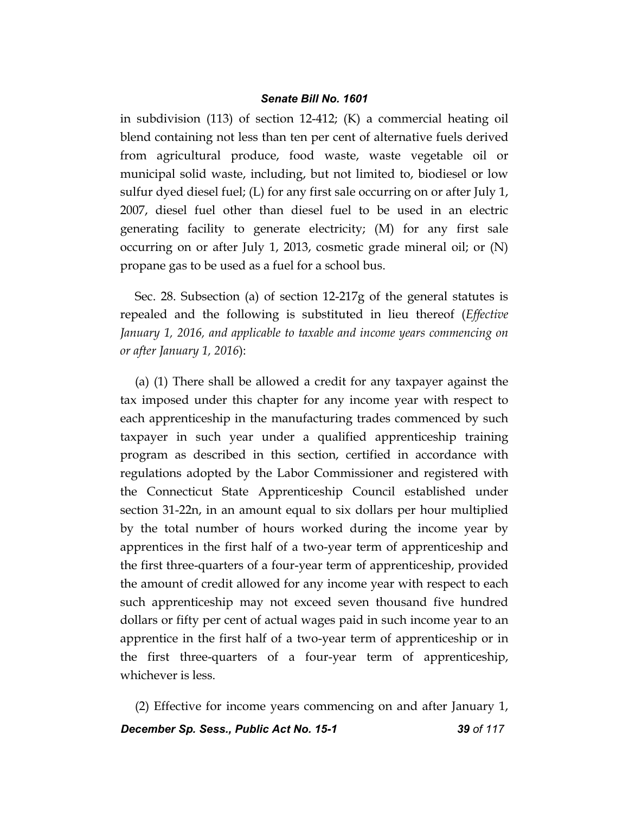in subdivision (113) of section 12-412; (K) a commercial heating oil blend containing not less than ten per cent of alternative fuels derived from agricultural produce, food waste, waste vegetable oil or municipal solid waste, including, but not limited to, biodiesel or low sulfur dyed diesel fuel; (L) for any first sale occurring on or after July 1, 2007, diesel fuel other than diesel fuel to be used in an electric generating facility to generate electricity; (M) for any first sale occurring on or after July 1, 2013, cosmetic grade mineral oil; or (N) propane gas to be used as a fuel for a school bus.

Sec. 28. Subsection (a) of section 12-217g of the general statutes is repealed and the following is substituted in lieu thereof (*Effective January 1, 2016, and applicable to taxable and income years commencing on or after January 1, 2016*):

(a) (1) There shall be allowed a credit for any taxpayer against the tax imposed under this chapter for any income year with respect to each apprenticeship in the manufacturing trades commenced by such taxpayer in such year under a qualified apprenticeship training program as described in this section, certified in accordance with regulations adopted by the Labor Commissioner and registered with the Connecticut State Apprenticeship Council established under section 31-22n, in an amount equal to six dollars per hour multiplied by the total number of hours worked during the income year by apprentices in the first half of a two-year term of apprenticeship and the first three-quarters of a four-year term of apprenticeship, provided the amount of credit allowed for any income year with respect to each such apprenticeship may not exceed seven thousand five hundred dollars or fifty per cent of actual wages paid in such income year to an apprentice in the first half of a two-year term of apprenticeship or in the first three-quarters of a four-year term of apprenticeship, whichever is less.

*December Sp. Sess., Public Act No. 15-1 39 of 117* (2) Effective for income years commencing on and after January 1,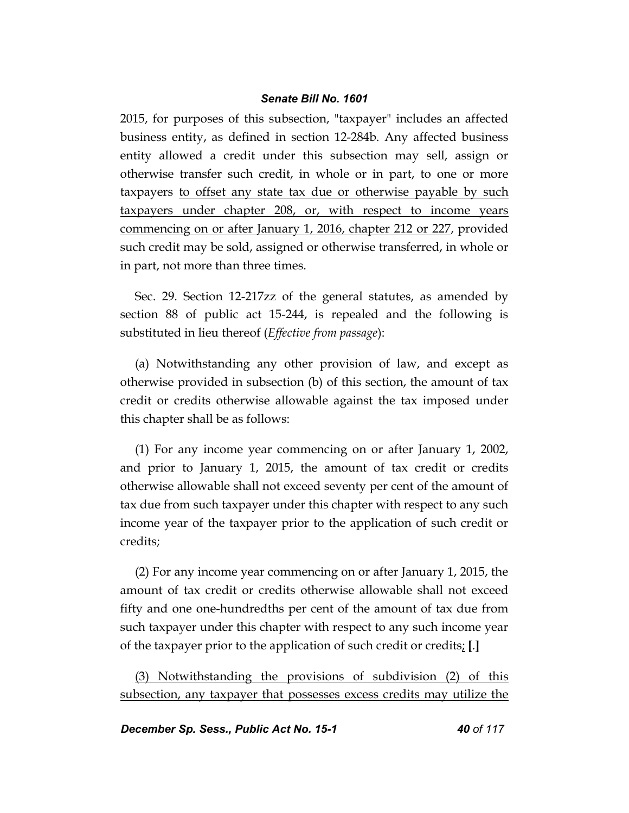2015, for purposes of this subsection, "taxpayer" includes an affected business entity, as defined in section 12-284b. Any affected business entity allowed a credit under this subsection may sell, assign or otherwise transfer such credit, in whole or in part, to one or more taxpayers to offset any state tax due or otherwise payable by such taxpayers under chapter 208, or, with respect to income years commencing on or after January 1, 2016, chapter 212 or 227, provided such credit may be sold, assigned or otherwise transferred, in whole or in part, not more than three times.

Sec. 29. Section 12-217zz of the general statutes, as amended by section 88 of public act 15-244, is repealed and the following is substituted in lieu thereof (*Effective from passage*):

(a) Notwithstanding any other provision of law, and except as otherwise provided in subsection (b) of this section, the amount of tax credit or credits otherwise allowable against the tax imposed under this chapter shall be as follows:

(1) For any income year commencing on or after January 1, 2002, and prior to January 1, 2015, the amount of tax credit or credits otherwise allowable shall not exceed seventy per cent of the amount of tax due from such taxpayer under this chapter with respect to any such income year of the taxpayer prior to the application of such credit or credits;

(2) For any income year commencing on or after January 1, 2015, the amount of tax credit or credits otherwise allowable shall not exceed fifty and one one-hundredths per cent of the amount of tax due from such taxpayer under this chapter with respect to any such income year of the taxpayer prior to the application of such credit or credits; **[**.**]**

(3) Notwithstanding the provisions of subdivision (2) of this subsection, any taxpayer that possesses excess credits may utilize the

*December Sp. Sess., Public Act No. 15-1 40 of 117*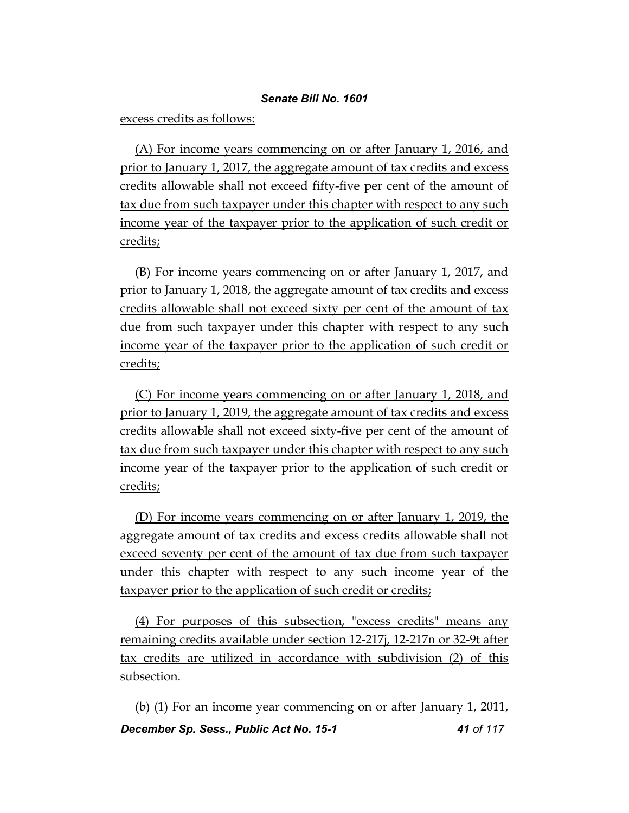excess credits as follows:

(A) For income years commencing on or after January 1, 2016, and prior to January 1, 2017, the aggregate amount of tax credits and excess credits allowable shall not exceed fifty-five per cent of the amount of tax due from such taxpayer under this chapter with respect to any such income year of the taxpayer prior to the application of such credit or credits;

(B) For income years commencing on or after January 1, 2017, and prior to January 1, 2018, the aggregate amount of tax credits and excess credits allowable shall not exceed sixty per cent of the amount of tax due from such taxpayer under this chapter with respect to any such income year of the taxpayer prior to the application of such credit or credits;

(C) For income years commencing on or after January 1, 2018, and prior to January 1, 2019, the aggregate amount of tax credits and excess credits allowable shall not exceed sixty-five per cent of the amount of tax due from such taxpayer under this chapter with respect to any such income year of the taxpayer prior to the application of such credit or credits;

(D) For income years commencing on or after January 1, 2019, the aggregate amount of tax credits and excess credits allowable shall not exceed seventy per cent of the amount of tax due from such taxpayer under this chapter with respect to any such income year of the taxpayer prior to the application of such credit or credits;

(4) For purposes of this subsection, "excess credits" means any remaining credits available under section 12-217j, 12-217n or 32-9t after tax credits are utilized in accordance with subdivision (2) of this subsection.

*December Sp. Sess., Public Act No. 15-1 41 of 117* (b) (1) For an income year commencing on or after January 1, 2011,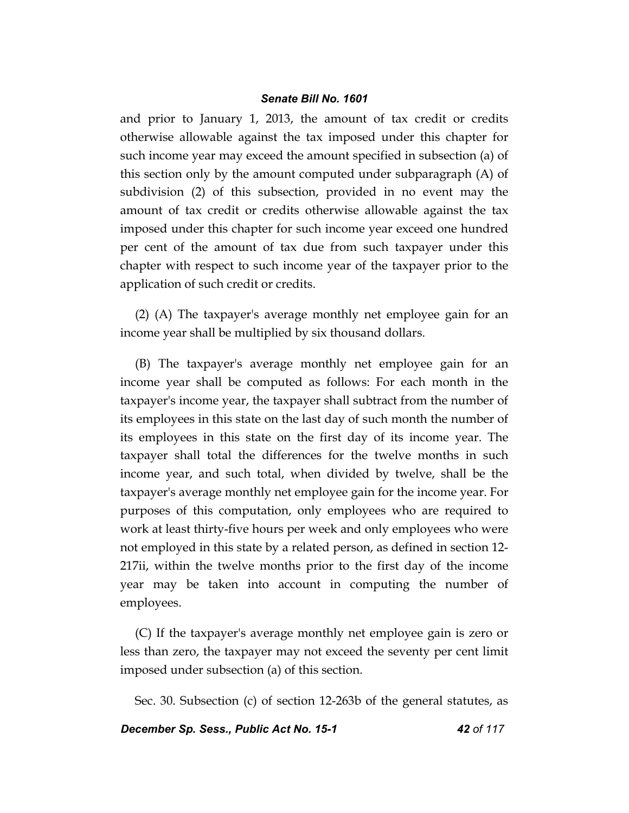and prior to January 1, 2013, the amount of tax credit or credits otherwise allowable against the tax imposed under this chapter for such income year may exceed the amount specified in subsection (a) of this section only by the amount computed under subparagraph (A) of subdivision (2) of this subsection, provided in no event may the amount of tax credit or credits otherwise allowable against the tax imposed under this chapter for such income year exceed one hundred per cent of the amount of tax due from such taxpayer under this chapter with respect to such income year of the taxpayer prior to the application of such credit or credits.

(2) (A) The taxpayer's average monthly net employee gain for an income year shall be multiplied by six thousand dollars.

(B) The taxpayer's average monthly net employee gain for an income year shall be computed as follows: For each month in the taxpayer's income year, the taxpayer shall subtract from the number of its employees in this state on the last day of such month the number of its employees in this state on the first day of its income year. The taxpayer shall total the differences for the twelve months in such income year, and such total, when divided by twelve, shall be the taxpayer's average monthly net employee gain for the income year. For purposes of this computation, only employees who are required to work at least thirty-five hours per week and only employees who were not employed in this state by a related person, as defined in section 12- 217ii, within the twelve months prior to the first day of the income year may be taken into account in computing the number of employees.

(C) If the taxpayer's average monthly net employee gain is zero or less than zero, the taxpayer may not exceed the seventy per cent limit imposed under subsection (a) of this section.

Sec. 30. Subsection (c) of section 12-263b of the general statutes, as

## *December Sp. Sess., Public Act No. 15-1 42 of 117*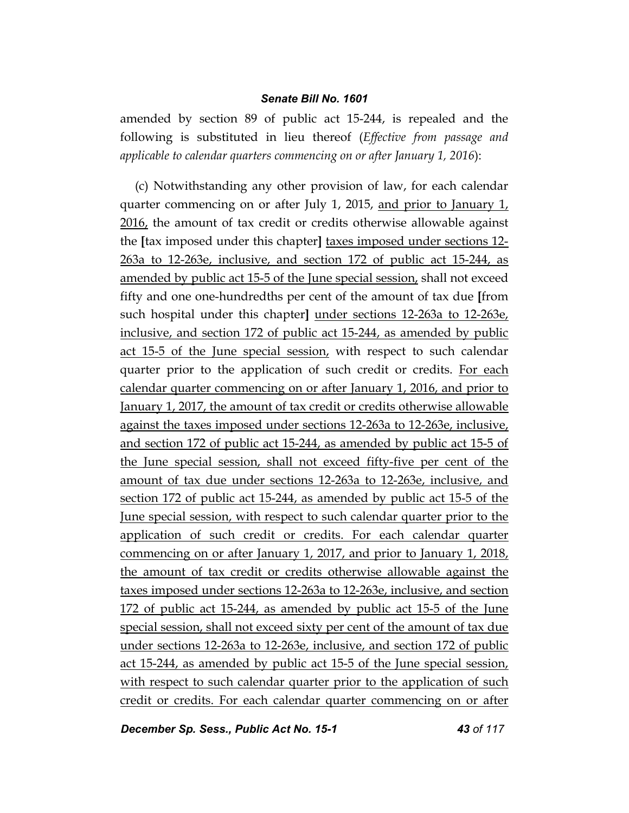amended by section 89 of public act 15-244, is repealed and the following is substituted in lieu thereof (*Effective from passage and applicable to calendar quarters commencing on or after January 1, 2016*):

(c) Notwithstanding any other provision of law, for each calendar quarter commencing on or after July 1, 2015, and prior to January 1, 2016, the amount of tax credit or credits otherwise allowable against the **[**tax imposed under this chapter**]** taxes imposed under sections 12- 263a to 12-263e, inclusive, and section 172 of public act 15-244, as amended by public act 15-5 of the June special session, shall not exceed fifty and one one-hundredths per cent of the amount of tax due **[**from such hospital under this chapter**]** under sections 12-263a to 12-263e, inclusive, and section 172 of public act 15-244, as amended by public act 15-5 of the June special session, with respect to such calendar quarter prior to the application of such credit or credits. For each calendar quarter commencing on or after January 1, 2016, and prior to January 1, 2017, the amount of tax credit or credits otherwise allowable against the taxes imposed under sections 12-263a to 12-263e, inclusive, and section 172 of public act 15-244, as amended by public act 15-5 of the June special session, shall not exceed fifty-five per cent of the amount of tax due under sections 12-263a to 12-263e, inclusive, and section 172 of public act 15-244, as amended by public act 15-5 of the June special session, with respect to such calendar quarter prior to the application of such credit or credits. For each calendar quarter commencing on or after January 1, 2017, and prior to January 1, 2018, the amount of tax credit or credits otherwise allowable against the taxes imposed under sections 12-263a to 12-263e, inclusive, and section 172 of public act 15-244, as amended by public act 15-5 of the June special session, shall not exceed sixty per cent of the amount of tax due under sections 12-263a to 12-263e, inclusive, and section 172 of public act 15-244, as amended by public act 15-5 of the June special session, with respect to such calendar quarter prior to the application of such credit or credits. For each calendar quarter commencing on or after

*December Sp. Sess., Public Act No. 15-1 43 of 117*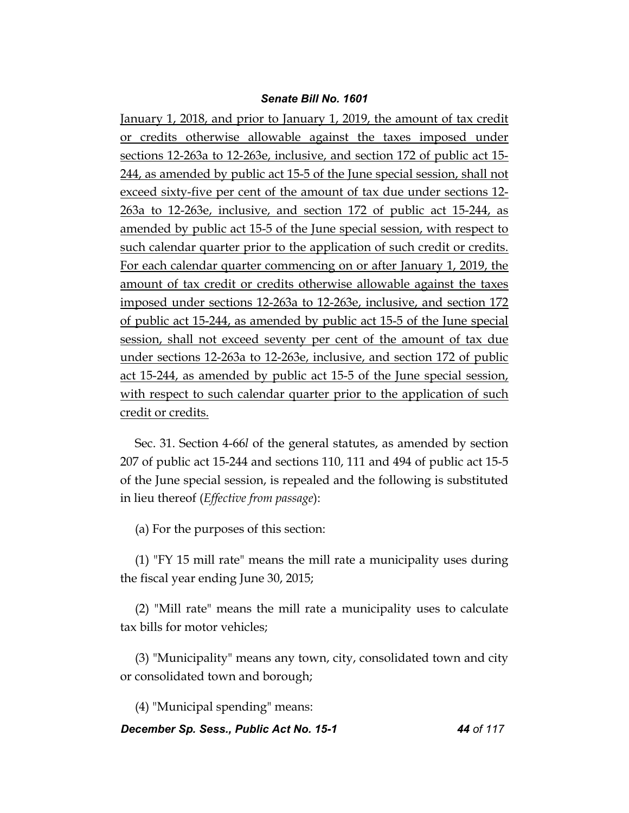January 1, 2018, and prior to January 1, 2019, the amount of tax credit or credits otherwise allowable against the taxes imposed under sections 12-263a to 12-263e, inclusive, and section 172 of public act 15- 244, as amended by public act 15-5 of the June special session, shall not exceed sixty-five per cent of the amount of tax due under sections 12- 263a to 12-263e, inclusive, and section 172 of public act 15-244, as amended by public act 15-5 of the June special session, with respect to such calendar quarter prior to the application of such credit or credits. For each calendar quarter commencing on or after January 1, 2019, the amount of tax credit or credits otherwise allowable against the taxes imposed under sections 12-263a to 12-263e, inclusive, and section 172 of public act 15-244, as amended by public act 15-5 of the June special session, shall not exceed seventy per cent of the amount of tax due under sections 12-263a to 12-263e, inclusive, and section 172 of public act 15-244, as amended by public act 15-5 of the June special session, with respect to such calendar quarter prior to the application of such credit or credits.

Sec. 31. Section 4-66*l* of the general statutes, as amended by section 207 of public act 15-244 and sections 110, 111 and 494 of public act 15-5 of the June special session, is repealed and the following is substituted in lieu thereof (*Effective from passage*):

(a) For the purposes of this section:

(1) "FY 15 mill rate" means the mill rate a municipality uses during the fiscal year ending June 30, 2015;

(2) "Mill rate" means the mill rate a municipality uses to calculate tax bills for motor vehicles;

(3) "Municipality" means any town, city, consolidated town and city or consolidated town and borough;

(4) "Municipal spending" means:

*December Sp. Sess., Public Act No. 15-1 44 of 117*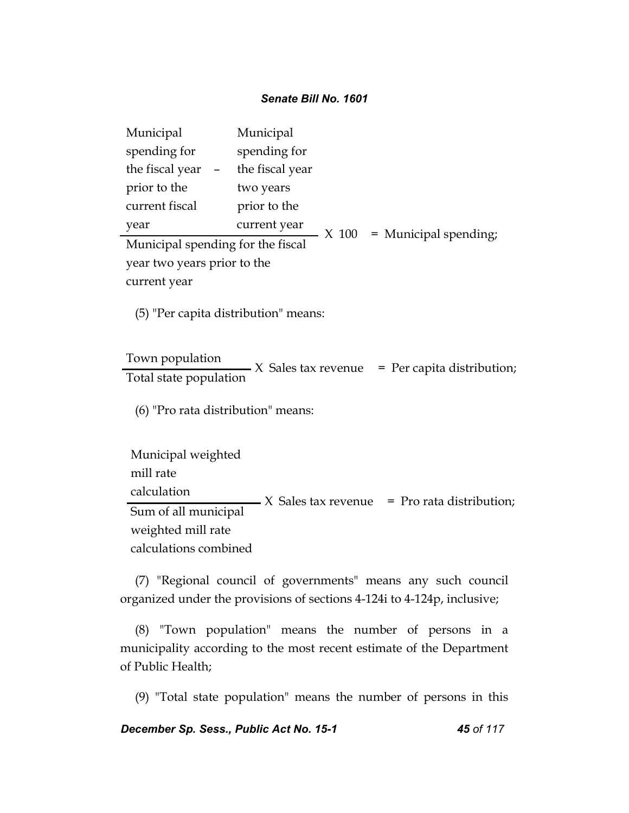| Municipal                         |  | Municipal       |       |                       |  |
|-----------------------------------|--|-----------------|-------|-----------------------|--|
| spending for                      |  | spending for    |       |                       |  |
| the fiscal year                   |  | the fiscal year |       |                       |  |
| prior to the                      |  | two years       |       |                       |  |
| current fiscal                    |  | prior to the    |       |                       |  |
| year                              |  | current year    | X 100 | = Municipal spending; |  |
| Municipal spending for the fiscal |  |                 |       |                       |  |
| year two years prior to the       |  |                 |       |                       |  |
| current year                      |  |                 |       |                       |  |

(5) "Per capita distribution" means:

## Town population

 $T - T$   $\overline{Y}$   $\overline{Y}$   $\overline{Y}$   $\overline{Y}$   $\overline{Y}$   $\overline{Y}$   $\overline{Y}$   $\overline{Y}$   $\overline{Y}$   $\overline{Y}$   $\overline{Y}$   $\overline{Y}$   $\overline{Y}$   $\overline{Y}$   $\overline{Y}$   $\overline{Y}$   $\overline{Y}$   $\overline{Y}$   $\overline{Y}$   $\overline{Y}$   $\overline{Y}$   $\overline{Y}$   $\overline{Y}$   $\overline{Y}$ 

(6) "Pro rata distribution" means:

Municipal weighted mill rate calculation Sum of all municipal weighted mill rate calculations combined  $\overline{\phantom{a}}$  X Sales tax revenue = Pro rata distribution;

(7) "Regional council of governments" means any such council organized under the provisions of sections 4-124i to 4-124p, inclusive;

(8) "Town population" means the number of persons in a municipality according to the most recent estimate of the Department of Public Health;

(9) "Total state population" means the number of persons in this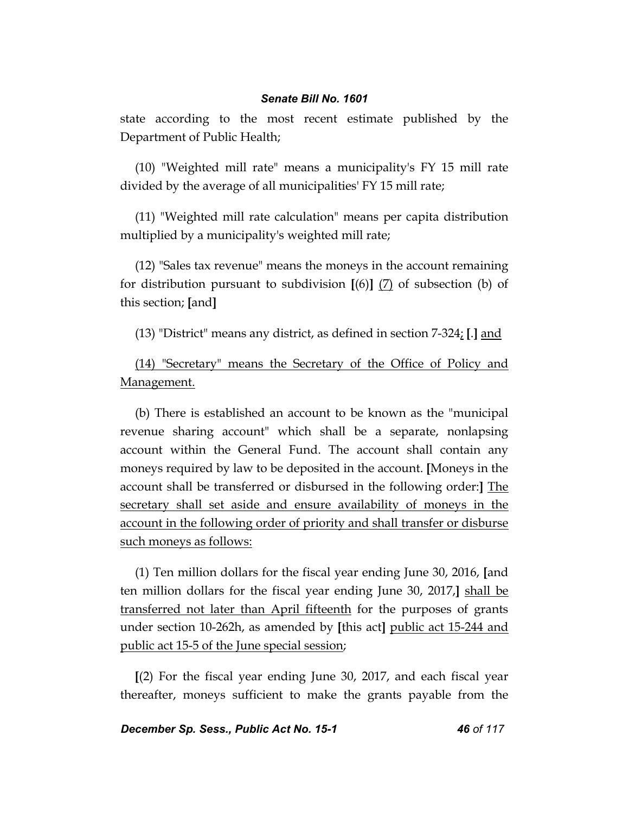state according to the most recent estimate published by the Department of Public Health;

(10) "Weighted mill rate" means a municipality's FY 15 mill rate divided by the average of all municipalities' FY 15 mill rate;

(11) "Weighted mill rate calculation" means per capita distribution multiplied by a municipality's weighted mill rate;

(12) "Sales tax revenue" means the moneys in the account remaining for distribution pursuant to subdivision **[**(6)**]** (7) of subsection (b) of this section; **[**and**]**

(13) "District" means any district, as defined in section 7-324; **[**.**]** and

(14) "Secretary" means the Secretary of the Office of Policy and Management.

(b) There is established an account to be known as the "municipal revenue sharing account" which shall be a separate, nonlapsing account within the General Fund. The account shall contain any moneys required by law to be deposited in the account. **[**Moneys in the account shall be transferred or disbursed in the following order:**]** The secretary shall set aside and ensure availability of moneys in the account in the following order of priority and shall transfer or disburse such moneys as follows:

(1) Ten million dollars for the fiscal year ending June 30, 2016, **[**and ten million dollars for the fiscal year ending June 30, 2017,**]** shall be transferred not later than April fifteenth for the purposes of grants under section 10-262h, as amended by **[**this act**]** public act 15-244 and public act 15-5 of the June special session;

**[**(2) For the fiscal year ending June 30, 2017, and each fiscal year thereafter, moneys sufficient to make the grants payable from the

*December Sp. Sess., Public Act No. 15-1 46 of 117*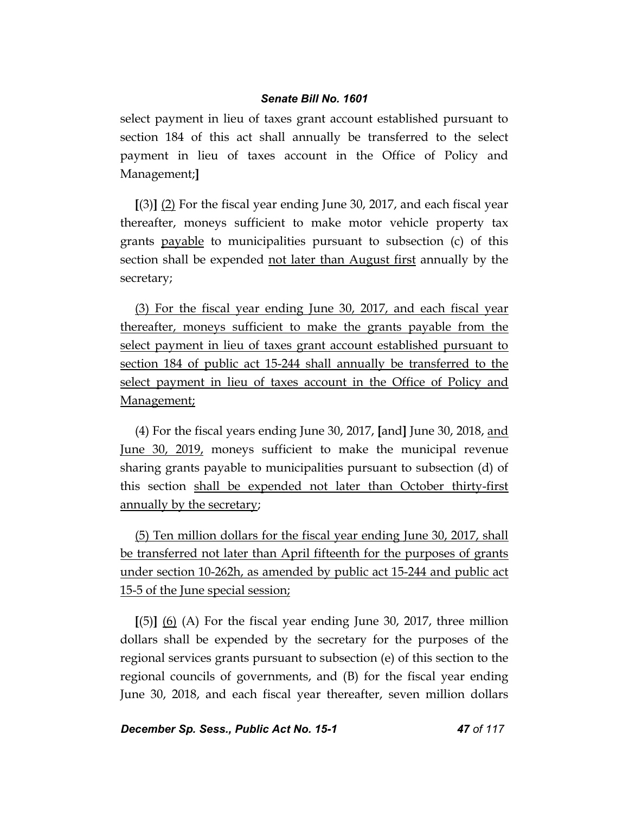select payment in lieu of taxes grant account established pursuant to section 184 of this act shall annually be transferred to the select payment in lieu of taxes account in the Office of Policy and Management;**]**

**[**(3)**]** (2) For the fiscal year ending June 30, 2017, and each fiscal year thereafter, moneys sufficient to make motor vehicle property tax grants payable to municipalities pursuant to subsection (c) of this section shall be expended not later than August first annually by the secretary;

(3) For the fiscal year ending June 30, 2017, and each fiscal year thereafter, moneys sufficient to make the grants payable from the select payment in lieu of taxes grant account established pursuant to section 184 of public act 15-244 shall annually be transferred to the select payment in lieu of taxes account in the Office of Policy and Management;

(4) For the fiscal years ending June 30, 2017, **[**and**]** June 30, 2018, and June 30, 2019, moneys sufficient to make the municipal revenue sharing grants payable to municipalities pursuant to subsection (d) of this section shall be expended not later than October thirty-first annually by the secretary;

(5) Ten million dollars for the fiscal year ending June 30, 2017, shall be transferred not later than April fifteenth for the purposes of grants under section 10-262h, as amended by public act 15-244 and public act 15-5 of the June special session;

**[**(5)**]** (6) (A) For the fiscal year ending June 30, 2017, three million dollars shall be expended by the secretary for the purposes of the regional services grants pursuant to subsection (e) of this section to the regional councils of governments, and (B) for the fiscal year ending June 30, 2018, and each fiscal year thereafter, seven million dollars

*December Sp. Sess., Public Act No. 15-1 47 of 117*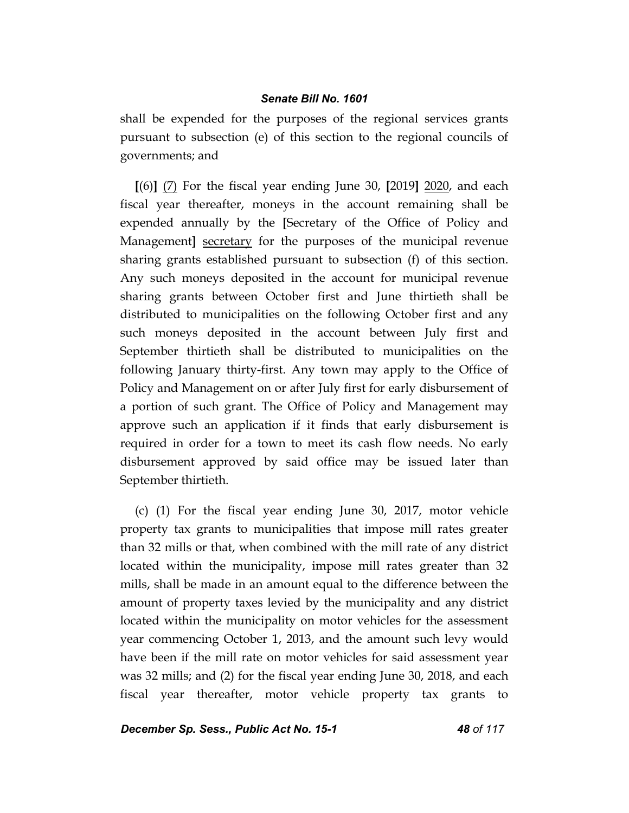shall be expended for the purposes of the regional services grants pursuant to subsection (e) of this section to the regional councils of governments; and

**[**(6)**]** (7) For the fiscal year ending June 30, **[**2019**]** 2020, and each fiscal year thereafter, moneys in the account remaining shall be expended annually by the **[**Secretary of the Office of Policy and Management**]** secretary for the purposes of the municipal revenue sharing grants established pursuant to subsection (f) of this section. Any such moneys deposited in the account for municipal revenue sharing grants between October first and June thirtieth shall be distributed to municipalities on the following October first and any such moneys deposited in the account between July first and September thirtieth shall be distributed to municipalities on the following January thirty-first. Any town may apply to the Office of Policy and Management on or after July first for early disbursement of a portion of such grant. The Office of Policy and Management may approve such an application if it finds that early disbursement is required in order for a town to meet its cash flow needs. No early disbursement approved by said office may be issued later than September thirtieth.

(c) (1) For the fiscal year ending June 30, 2017, motor vehicle property tax grants to municipalities that impose mill rates greater than 32 mills or that, when combined with the mill rate of any district located within the municipality, impose mill rates greater than 32 mills, shall be made in an amount equal to the difference between the amount of property taxes levied by the municipality and any district located within the municipality on motor vehicles for the assessment year commencing October 1, 2013, and the amount such levy would have been if the mill rate on motor vehicles for said assessment year was 32 mills; and (2) for the fiscal year ending June 30, 2018, and each fiscal year thereafter, motor vehicle property tax grants to

*December Sp. Sess., Public Act No. 15-1 48 of 117*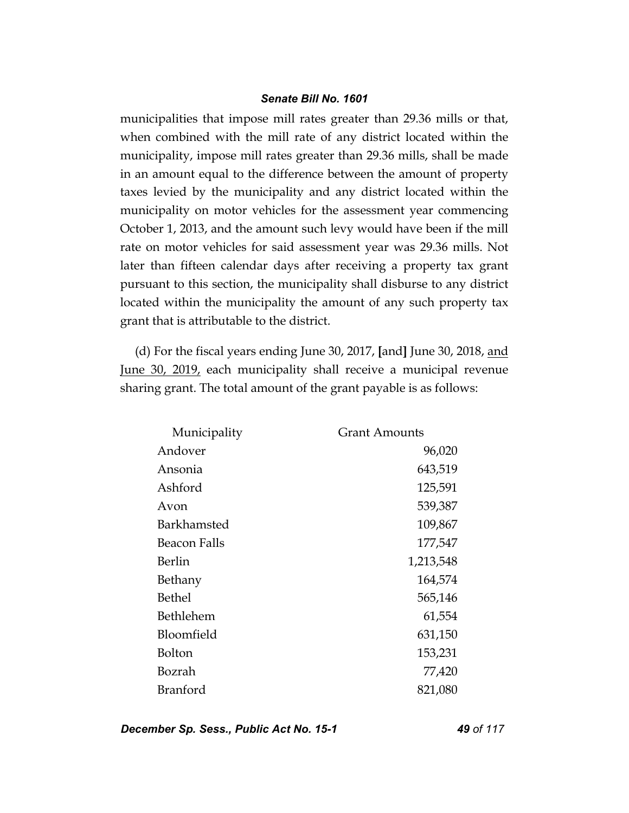municipalities that impose mill rates greater than 29.36 mills or that, when combined with the mill rate of any district located within the municipality, impose mill rates greater than 29.36 mills, shall be made in an amount equal to the difference between the amount of property taxes levied by the municipality and any district located within the municipality on motor vehicles for the assessment year commencing October 1, 2013, and the amount such levy would have been if the mill rate on motor vehicles for said assessment year was 29.36 mills. Not later than fifteen calendar days after receiving a property tax grant pursuant to this section, the municipality shall disburse to any district located within the municipality the amount of any such property tax grant that is attributable to the district.

(d) For the fiscal years ending June 30, 2017, **[**and**]** June 30, 2018, and June 30, 2019, each municipality shall receive a municipal revenue sharing grant. The total amount of the grant payable is as follows:

| Municipality    | <b>Grant Amounts</b> |
|-----------------|----------------------|
| Andover         | 96,020               |
| Ansonia         | 643,519              |
| Ashford         | 125,591              |
| Avon            | 539,387              |
| Barkhamsted     | 109,867              |
| Beacon Falls    | 177,547              |
| Berlin          | 1,213,548            |
| Bethany         | 164,574              |
| <b>Bethel</b>   | 565,146              |
| Bethlehem       | 61,554               |
| Bloomfield      | 631,150              |
| <b>Bolton</b>   | 153,231              |
| Bozrah          | 77,420               |
| <b>Branford</b> | 821,080              |

*December Sp. Sess., Public Act No. 15-1 49 of 117*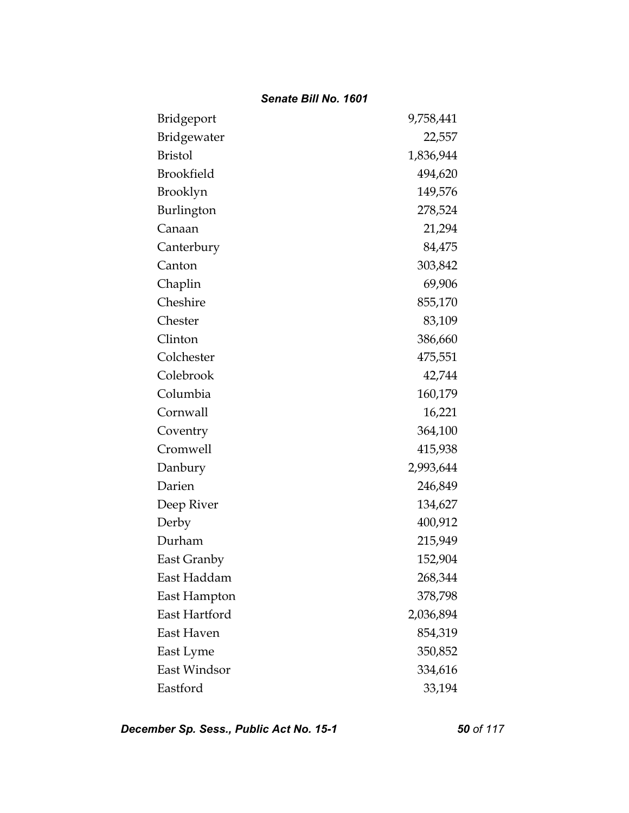| Bridgeport        | 9,758,441 |
|-------------------|-----------|
| Bridgewater       | 22,557    |
| <b>Bristol</b>    | 1,836,944 |
| <b>Brookfield</b> | 494,620   |
| <b>Brooklyn</b>   | 149,576   |
| Burlington        | 278,524   |
| Canaan            | 21,294    |
| Canterbury        | 84,475    |
| Canton            | 303,842   |
| Chaplin           | 69,906    |
| Cheshire          | 855,170   |
| Chester           | 83,109    |
| Clinton           | 386,660   |
| Colchester        | 475,551   |
| Colebrook         | 42,744    |
| Columbia          | 160,179   |
| Cornwall          | 16,221    |
| Coventry          | 364,100   |
| Cromwell          | 415,938   |
| Danbury           | 2,993,644 |
| Darien            | 246,849   |
| Deep River        | 134,627   |
| Derby             | 400,912   |
| Durham            | 215,949   |
| East Granby       | 152,904   |
| East Haddam       | 268,344   |
| East Hampton      | 378,798   |
| East Hartford     | 2,036,894 |
| East Haven        | 854,319   |
| East Lyme         | 350,852   |
| East Windsor      | 334,616   |
| Eastford          | 33,194    |

*December Sp. Sess., Public Act No. 15-1 50 of 117*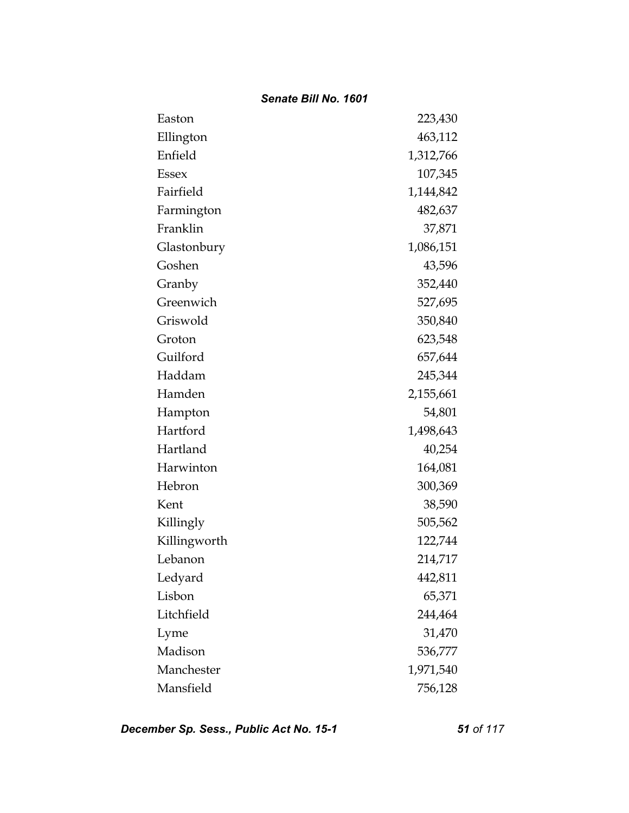| Easton       | 223,430   |
|--------------|-----------|
| Ellington    | 463,112   |
| Enfield      | 1,312,766 |
| Essex        | 107,345   |
| Fairfield    | 1,144,842 |
| Farmington   | 482,637   |
| Franklin     | 37,871    |
| Glastonbury  | 1,086,151 |
| Goshen       | 43,596    |
| Granby       | 352,440   |
| Greenwich    | 527,695   |
| Griswold     | 350,840   |
| Groton       | 623,548   |
| Guilford     | 657,644   |
| Haddam       | 245,344   |
| Hamden       | 2,155,661 |
| Hampton      | 54,801    |
| Hartford     | 1,498,643 |
| Hartland     | 40,254    |
| Harwinton    | 164,081   |
| Hebron       | 300,369   |
| Kent         | 38,590    |
| Killingly    | 505,562   |
| Killingworth | 122,744   |
| Lebanon      | 214,717   |
| Ledyard      | 442,811   |
| Lisbon       | 65,371    |
| Litchfield   | 244,464   |
| Lyme         | 31,470    |
| Madison      | 536,777   |
| Manchester   | 1,971,540 |
| Mansfield    | 756,128   |

*December Sp. Sess., Public Act No. 15-1 51 of 117*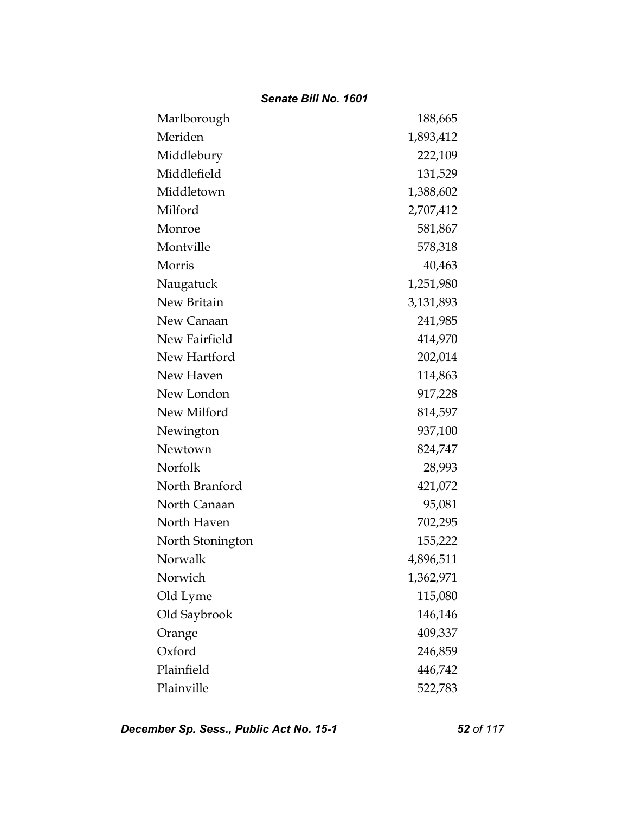| Marlborough      | 188,665   |
|------------------|-----------|
| Meriden          | 1,893,412 |
| Middlebury       | 222,109   |
| Middlefield      | 131,529   |
| Middletown       | 1,388,602 |
| Milford          | 2,707,412 |
| Monroe           | 581,867   |
| Montville        | 578,318   |
| Morris           | 40,463    |
| Naugatuck        | 1,251,980 |
| New Britain      | 3,131,893 |
| New Canaan       | 241,985   |
| New Fairfield    | 414,970   |
| New Hartford     | 202,014   |
| New Haven        | 114,863   |
| New London       | 917,228   |
| New Milford      | 814,597   |
| Newington        | 937,100   |
| Newtown          | 824,747   |
| Norfolk          | 28,993    |
| North Branford   | 421,072   |
| North Canaan     | 95,081    |
| North Haven      | 702,295   |
| North Stonington | 155,222   |
| Norwalk          | 4,896,511 |
| Norwich          | 1,362,971 |
| Old Lyme         | 115,080   |
| Old Saybrook     | 146,146   |
| Orange           | 409,337   |
| Oxford           | 246,859   |
| Plainfield       | 446,742   |
| Plainville       | 522,783   |

*December Sp. Sess., Public Act No. 15-1 52 of 117*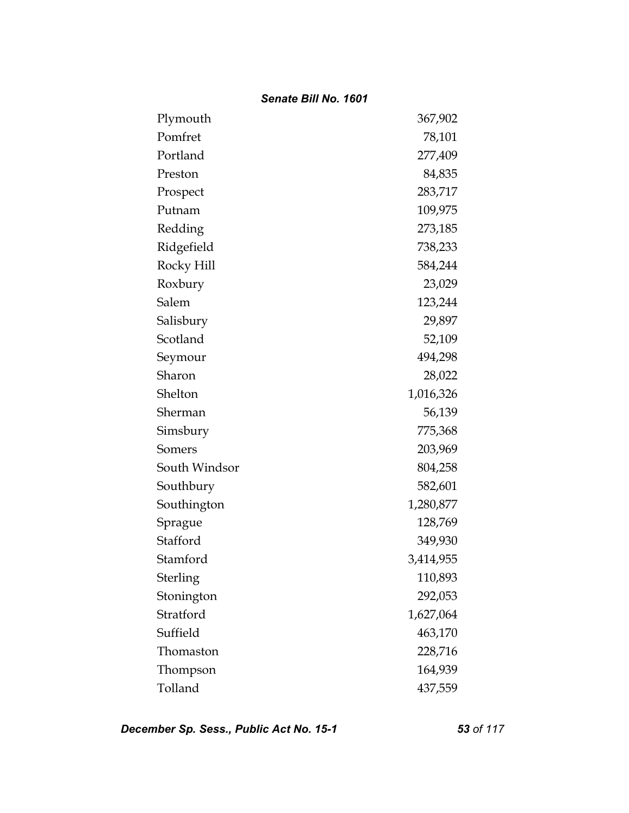| Plymouth      | 367,902   |
|---------------|-----------|
| Pomfret       | 78,101    |
| Portland      | 277,409   |
| Preston       | 84,835    |
| Prospect      | 283,717   |
| Putnam        | 109,975   |
| Redding       | 273,185   |
| Ridgefield    | 738,233   |
| Rocky Hill    | 584,244   |
| Roxbury       | 23,029    |
| Salem         | 123,244   |
| Salisbury     | 29,897    |
| Scotland      | 52,109    |
| Seymour       | 494,298   |
| Sharon        | 28,022    |
| Shelton       | 1,016,326 |
| Sherman       | 56,139    |
| Simsbury      | 775,368   |
| Somers        | 203,969   |
| South Windsor | 804,258   |
| Southbury     | 582,601   |
| Southington   | 1,280,877 |
| Sprague       | 128,769   |
| Stafford      | 349,930   |
| Stamford      | 3,414,955 |
| Sterling      | 110,893   |
| Stonington    | 292,053   |
| Stratford     | 1,627,064 |
| Suffield      | 463,170   |
| Thomaston     | 228,716   |
| Thompson      | 164,939   |
| Tolland       | 437,559   |

*December Sp. Sess., Public Act No. 15-1 53 of 117*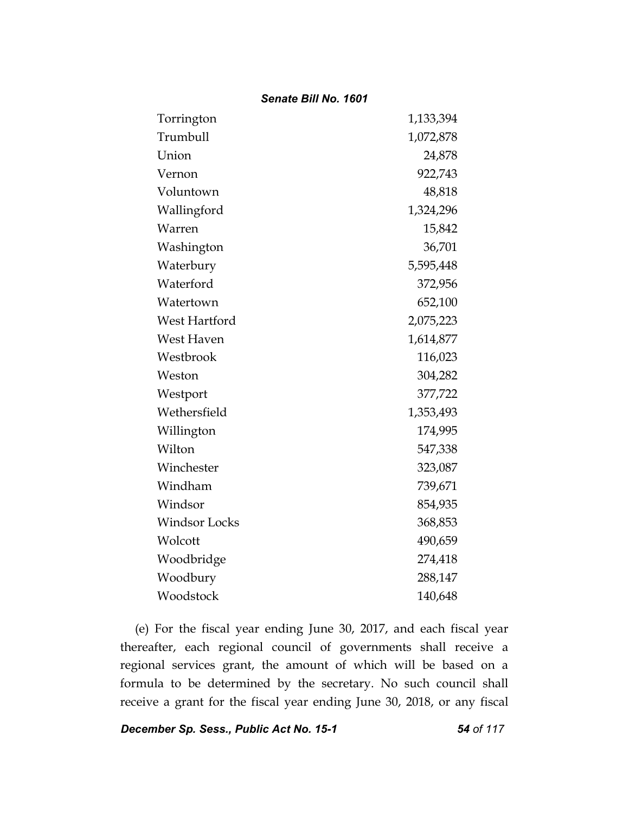| Torrington           | 1,133,394 |
|----------------------|-----------|
| Trumbull             | 1,072,878 |
| Union                | 24,878    |
| Vernon               | 922,743   |
| Voluntown            | 48,818    |
| Wallingford          | 1,324,296 |
| Warren               | 15,842    |
| Washington           | 36,701    |
| Waterbury            | 5,595,448 |
| Waterford            | 372,956   |
| Watertown            | 652,100   |
| West Hartford        | 2,075,223 |
| West Haven           | 1,614,877 |
| Westbrook            | 116,023   |
| Weston               | 304,282   |
| Westport             | 377,722   |
| Wethersfield         | 1,353,493 |
| Willington           | 174,995   |
| Wilton               | 547,338   |
| Winchester           | 323,087   |
| Windham              | 739,671   |
| Windsor              | 854,935   |
| <b>Windsor Locks</b> | 368,853   |
| Wolcott              | 490,659   |
| Woodbridge           | 274,418   |
| Woodbury             | 288,147   |
| Woodstock            | 140,648   |

(e) For the fiscal year ending June 30, 2017, and each fiscal year thereafter, each regional council of governments shall receive a regional services grant, the amount of which will be based on a formula to be determined by the secretary. No such council shall receive a grant for the fiscal year ending June 30, 2018, or any fiscal

*December Sp. Sess., Public Act No. 15-1 54 of 117*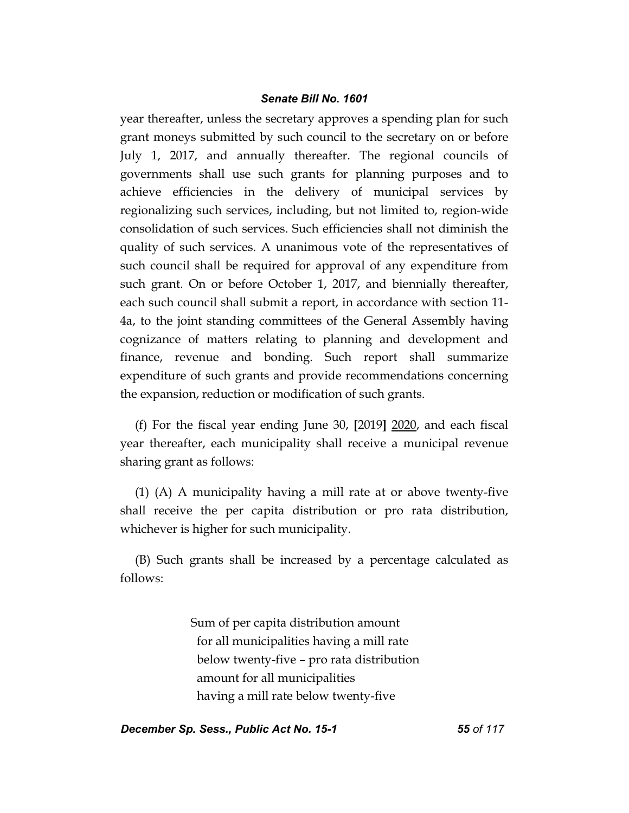year thereafter, unless the secretary approves a spending plan for such grant moneys submitted by such council to the secretary on or before July 1, 2017, and annually thereafter. The regional councils of governments shall use such grants for planning purposes and to achieve efficiencies in the delivery of municipal services by regionalizing such services, including, but not limited to, region-wide consolidation of such services. Such efficiencies shall not diminish the quality of such services. A unanimous vote of the representatives of such council shall be required for approval of any expenditure from such grant. On or before October 1, 2017, and biennially thereafter, each such council shall submit a report, in accordance with section 11- 4a, to the joint standing committees of the General Assembly having cognizance of matters relating to planning and development and finance, revenue and bonding. Such report shall summarize expenditure of such grants and provide recommendations concerning the expansion, reduction or modification of such grants.

(f) For the fiscal year ending June 30, **[**2019**]** 2020, and each fiscal year thereafter, each municipality shall receive a municipal revenue sharing grant as follows:

(1) (A) A municipality having a mill rate at or above twenty-five shall receive the per capita distribution or pro rata distribution, whichever is higher for such municipality.

(B) Such grants shall be increased by a percentage calculated as follows:

> Sum of per capita distribution amount for all municipalities having a mill rate below twenty-five – pro rata distribution amount for all municipalities having a mill rate below twenty-five

*December Sp. Sess., Public Act No. 15-1 55 of 117*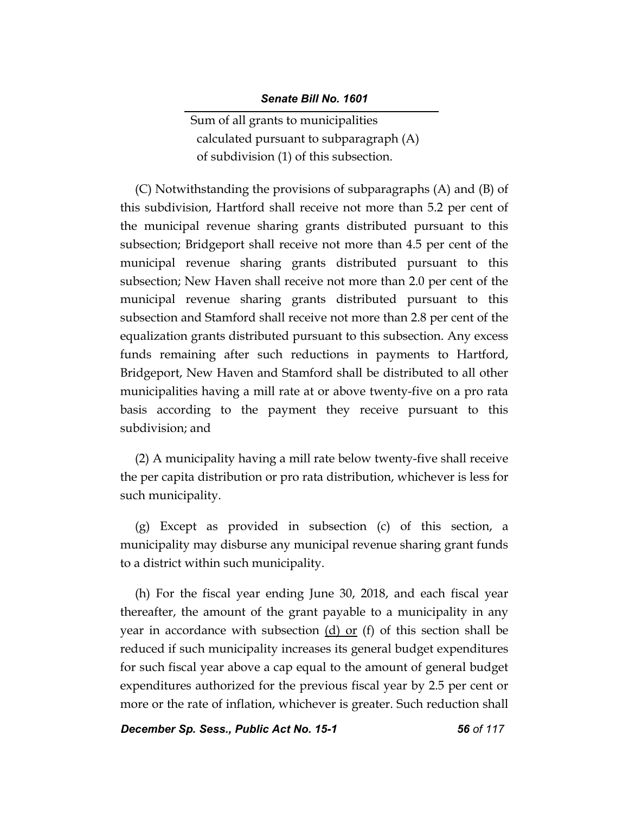Sum of all grants to municipalities calculated pursuant to subparagraph (A) of subdivision (1) of this subsection.

(C) Notwithstanding the provisions of subparagraphs (A) and (B) of this subdivision, Hartford shall receive not more than 5.2 per cent of the municipal revenue sharing grants distributed pursuant to this subsection; Bridgeport shall receive not more than 4.5 per cent of the municipal revenue sharing grants distributed pursuant to this subsection; New Haven shall receive not more than 2.0 per cent of the municipal revenue sharing grants distributed pursuant to this subsection and Stamford shall receive not more than 2.8 per cent of the equalization grants distributed pursuant to this subsection. Any excess funds remaining after such reductions in payments to Hartford, Bridgeport, New Haven and Stamford shall be distributed to all other municipalities having a mill rate at or above twenty-five on a pro rata basis according to the payment they receive pursuant to this subdivision; and

(2) A municipality having a mill rate below twenty-five shall receive the per capita distribution or pro rata distribution, whichever is less for such municipality.

(g) Except as provided in subsection (c) of this section, a municipality may disburse any municipal revenue sharing grant funds to a district within such municipality.

(h) For the fiscal year ending June 30, 2018, and each fiscal year thereafter, the amount of the grant payable to a municipality in any year in accordance with subsection  $(d)$  or  $(f)$  of this section shall be reduced if such municipality increases its general budget expenditures for such fiscal year above a cap equal to the amount of general budget expenditures authorized for the previous fiscal year by 2.5 per cent or more or the rate of inflation, whichever is greater. Such reduction shall

*December Sp. Sess., Public Act No. 15-1 56 of 117*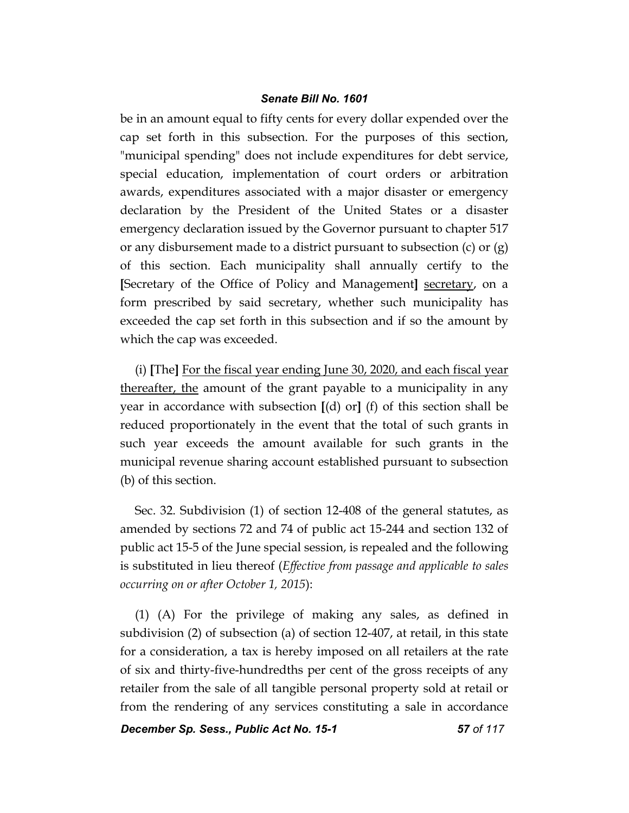be in an amount equal to fifty cents for every dollar expended over the cap set forth in this subsection. For the purposes of this section, "municipal spending" does not include expenditures for debt service, special education, implementation of court orders or arbitration awards, expenditures associated with a major disaster or emergency declaration by the President of the United States or a disaster emergency declaration issued by the Governor pursuant to chapter 517 or any disbursement made to a district pursuant to subsection (c) or (g) of this section. Each municipality shall annually certify to the **[**Secretary of the Office of Policy and Management**]** secretary, on a form prescribed by said secretary, whether such municipality has exceeded the cap set forth in this subsection and if so the amount by which the cap was exceeded.

(i) **[**The**]** For the fiscal year ending June 30, 2020, and each fiscal year thereafter, the amount of the grant payable to a municipality in any year in accordance with subsection **[**(d) or**]** (f) of this section shall be reduced proportionately in the event that the total of such grants in such year exceeds the amount available for such grants in the municipal revenue sharing account established pursuant to subsection (b) of this section.

Sec. 32. Subdivision (1) of section 12-408 of the general statutes, as amended by sections 72 and 74 of public act 15-244 and section 132 of public act 15-5 of the June special session, is repealed and the following is substituted in lieu thereof (*Effective from passage and applicable to sales occurring on or after October 1, 2015*):

(1) (A) For the privilege of making any sales, as defined in subdivision (2) of subsection (a) of section 12-407, at retail, in this state for a consideration, a tax is hereby imposed on all retailers at the rate of six and thirty-five-hundredths per cent of the gross receipts of any retailer from the sale of all tangible personal property sold at retail or from the rendering of any services constituting a sale in accordance

*December Sp. Sess., Public Act No. 15-1 57 of 117*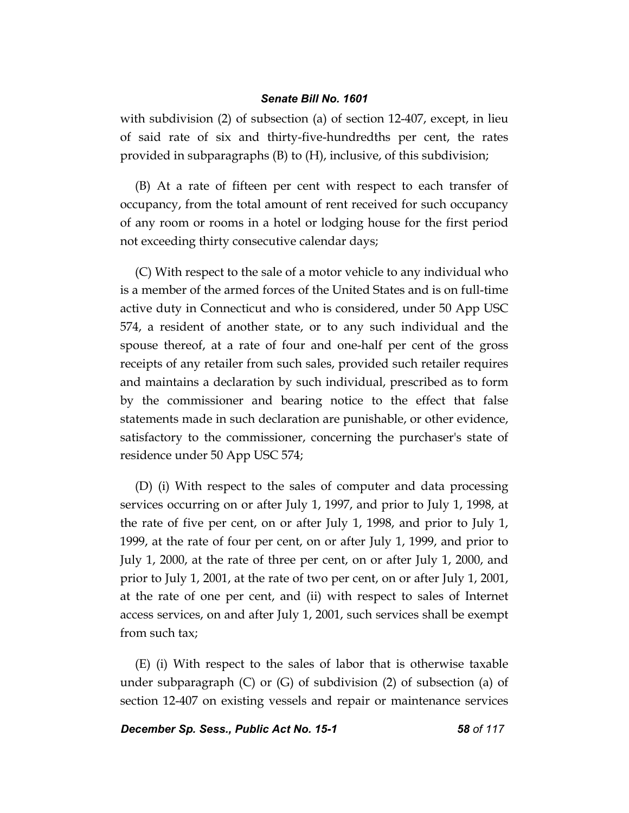with subdivision (2) of subsection (a) of section 12-407, except, in lieu of said rate of six and thirty-five-hundredths per cent, the rates provided in subparagraphs (B) to (H), inclusive, of this subdivision;

(B) At a rate of fifteen per cent with respect to each transfer of occupancy, from the total amount of rent received for such occupancy of any room or rooms in a hotel or lodging house for the first period not exceeding thirty consecutive calendar days;

(C) With respect to the sale of a motor vehicle to any individual who is a member of the armed forces of the United States and is on full-time active duty in Connecticut and who is considered, under 50 App USC 574, a resident of another state, or to any such individual and the spouse thereof, at a rate of four and one-half per cent of the gross receipts of any retailer from such sales, provided such retailer requires and maintains a declaration by such individual, prescribed as to form by the commissioner and bearing notice to the effect that false statements made in such declaration are punishable, or other evidence, satisfactory to the commissioner, concerning the purchaser's state of residence under 50 App USC 574;

(D) (i) With respect to the sales of computer and data processing services occurring on or after July 1, 1997, and prior to July 1, 1998, at the rate of five per cent, on or after July 1, 1998, and prior to July 1, 1999, at the rate of four per cent, on or after July 1, 1999, and prior to July 1, 2000, at the rate of three per cent, on or after July 1, 2000, and prior to July 1, 2001, at the rate of two per cent, on or after July 1, 2001, at the rate of one per cent, and (ii) with respect to sales of Internet access services, on and after July 1, 2001, such services shall be exempt from such tax;

(E) (i) With respect to the sales of labor that is otherwise taxable under subparagraph (C) or (G) of subdivision (2) of subsection (a) of section 12-407 on existing vessels and repair or maintenance services

*December Sp. Sess., Public Act No. 15-1 58 of 117*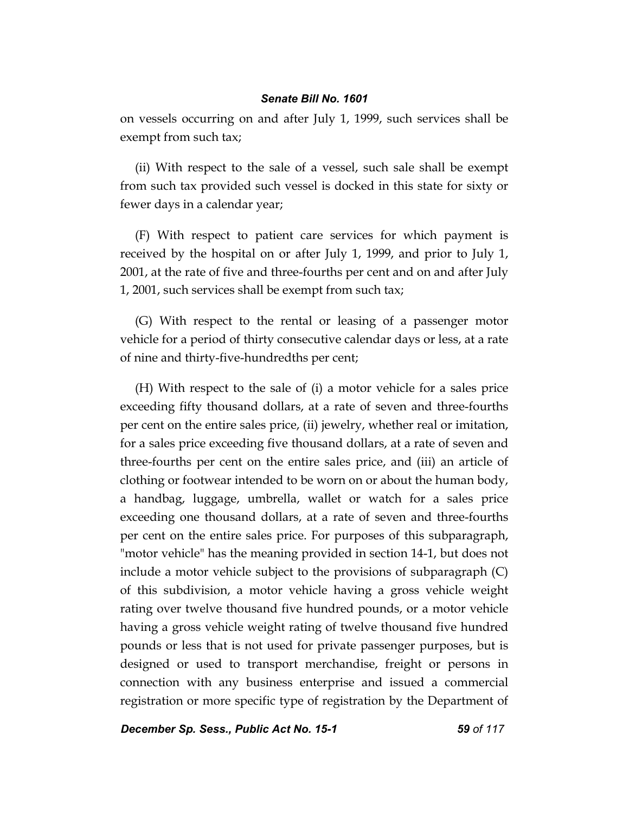on vessels occurring on and after July 1, 1999, such services shall be exempt from such tax;

(ii) With respect to the sale of a vessel, such sale shall be exempt from such tax provided such vessel is docked in this state for sixty or fewer days in a calendar year;

(F) With respect to patient care services for which payment is received by the hospital on or after July 1, 1999, and prior to July 1, 2001, at the rate of five and three-fourths per cent and on and after July 1, 2001, such services shall be exempt from such tax;

(G) With respect to the rental or leasing of a passenger motor vehicle for a period of thirty consecutive calendar days or less, at a rate of nine and thirty-five-hundredths per cent;

(H) With respect to the sale of (i) a motor vehicle for a sales price exceeding fifty thousand dollars, at a rate of seven and three-fourths per cent on the entire sales price, (ii) jewelry, whether real or imitation, for a sales price exceeding five thousand dollars, at a rate of seven and three-fourths per cent on the entire sales price, and (iii) an article of clothing or footwear intended to be worn on or about the human body, a handbag, luggage, umbrella, wallet or watch for a sales price exceeding one thousand dollars, at a rate of seven and three-fourths per cent on the entire sales price. For purposes of this subparagraph, "motor vehicle" has the meaning provided in section 14-1, but does not include a motor vehicle subject to the provisions of subparagraph (C) of this subdivision, a motor vehicle having a gross vehicle weight rating over twelve thousand five hundred pounds, or a motor vehicle having a gross vehicle weight rating of twelve thousand five hundred pounds or less that is not used for private passenger purposes, but is designed or used to transport merchandise, freight or persons in connection with any business enterprise and issued a commercial registration or more specific type of registration by the Department of

*December Sp. Sess., Public Act No. 15-1 59 of 117*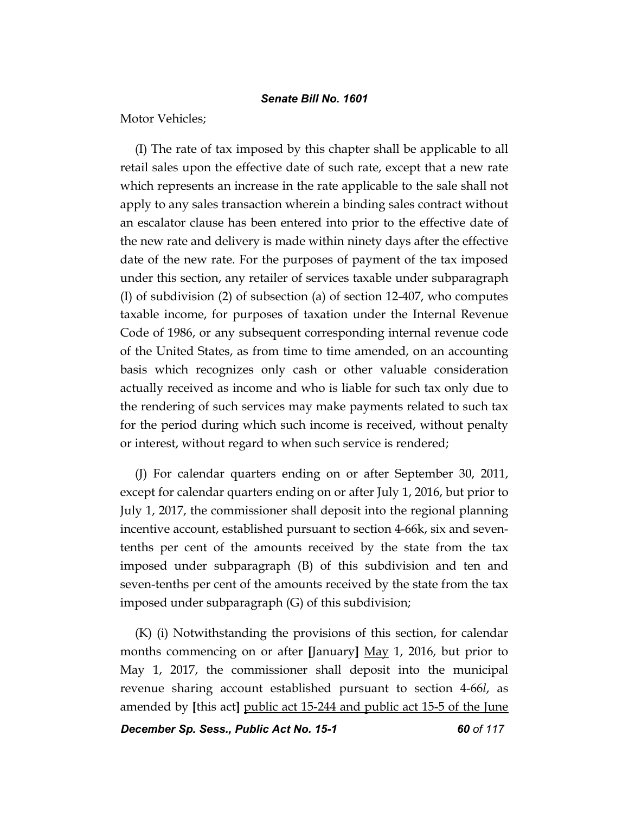Motor Vehicles;

(I) The rate of tax imposed by this chapter shall be applicable to all retail sales upon the effective date of such rate, except that a new rate which represents an increase in the rate applicable to the sale shall not apply to any sales transaction wherein a binding sales contract without an escalator clause has been entered into prior to the effective date of the new rate and delivery is made within ninety days after the effective date of the new rate. For the purposes of payment of the tax imposed under this section, any retailer of services taxable under subparagraph (I) of subdivision (2) of subsection (a) of section 12-407, who computes taxable income, for purposes of taxation under the Internal Revenue Code of 1986, or any subsequent corresponding internal revenue code of the United States, as from time to time amended, on an accounting basis which recognizes only cash or other valuable consideration actually received as income and who is liable for such tax only due to the rendering of such services may make payments related to such tax for the period during which such income is received, without penalty or interest, without regard to when such service is rendered;

(J) For calendar quarters ending on or after September 30, 2011, except for calendar quarters ending on or after July 1, 2016, but prior to July 1, 2017, the commissioner shall deposit into the regional planning incentive account, established pursuant to section 4-66k, six and seventenths per cent of the amounts received by the state from the tax imposed under subparagraph (B) of this subdivision and ten and seven-tenths per cent of the amounts received by the state from the tax imposed under subparagraph (G) of this subdivision;

(K) (i) Notwithstanding the provisions of this section, for calendar months commencing on or after **[**January**]** May 1, 2016, but prior to May 1, 2017, the commissioner shall deposit into the municipal revenue sharing account established pursuant to section 4-66*l*, as amended by **[**this act**]** public act 15-244 and public act 15-5 of the June

*December Sp. Sess., Public Act No. 15-1 60 of 117*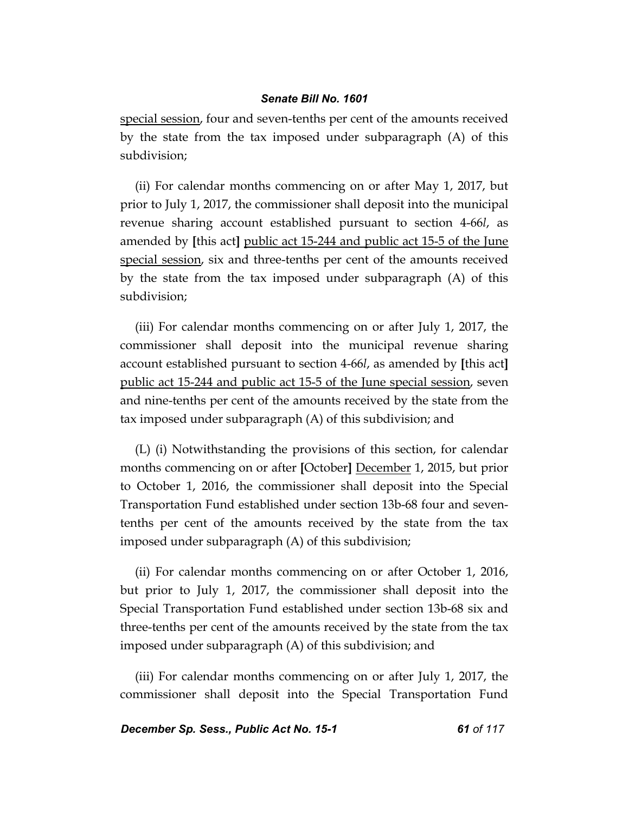special session, four and seven-tenths per cent of the amounts received by the state from the tax imposed under subparagraph (A) of this subdivision;

(ii) For calendar months commencing on or after May 1, 2017, but prior to July 1, 2017, the commissioner shall deposit into the municipal revenue sharing account established pursuant to section 4-66*l*, as amended by **[**this act**]** public act 15-244 and public act 15-5 of the June special session, six and three-tenths per cent of the amounts received by the state from the tax imposed under subparagraph (A) of this subdivision;

(iii) For calendar months commencing on or after July 1, 2017, the commissioner shall deposit into the municipal revenue sharing account established pursuant to section 4-66*l*, as amended by **[**this act**]**  public act 15-244 and public act 15-5 of the June special session, seven and nine-tenths per cent of the amounts received by the state from the tax imposed under subparagraph (A) of this subdivision; and

(L) (i) Notwithstanding the provisions of this section, for calendar months commencing on or after **[**October**]** December 1, 2015, but prior to October 1, 2016, the commissioner shall deposit into the Special Transportation Fund established under section 13b-68 four and seventenths per cent of the amounts received by the state from the tax imposed under subparagraph (A) of this subdivision;

(ii) For calendar months commencing on or after October 1, 2016, but prior to July 1, 2017, the commissioner shall deposit into the Special Transportation Fund established under section 13b-68 six and three-tenths per cent of the amounts received by the state from the tax imposed under subparagraph (A) of this subdivision; and

(iii) For calendar months commencing on or after July 1, 2017, the commissioner shall deposit into the Special Transportation Fund

**December Sp. Sess., Public Act No. 15-1 61 61 of 117**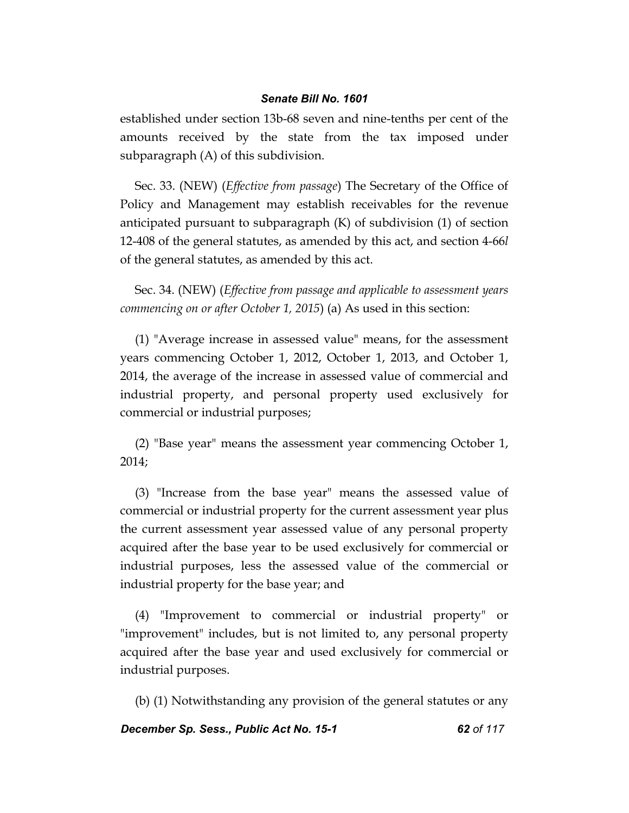established under section 13b-68 seven and nine-tenths per cent of the amounts received by the state from the tax imposed under subparagraph (A) of this subdivision.

Sec. 33. (NEW) (*Effective from passage*) The Secretary of the Office of Policy and Management may establish receivables for the revenue anticipated pursuant to subparagraph (K) of subdivision (1) of section 12-408 of the general statutes, as amended by this act, and section 4-66*l* of the general statutes, as amended by this act.

Sec. 34. (NEW) (*Effective from passage and applicable to assessment years commencing on or after October 1, 2015*) (a) As used in this section:

(1) "Average increase in assessed value" means, for the assessment years commencing October 1, 2012, October 1, 2013, and October 1, 2014, the average of the increase in assessed value of commercial and industrial property, and personal property used exclusively for commercial or industrial purposes;

(2) "Base year" means the assessment year commencing October 1, 2014;

(3) "Increase from the base year" means the assessed value of commercial or industrial property for the current assessment year plus the current assessment year assessed value of any personal property acquired after the base year to be used exclusively for commercial or industrial purposes, less the assessed value of the commercial or industrial property for the base year; and

(4) "Improvement to commercial or industrial property" or "improvement" includes, but is not limited to, any personal property acquired after the base year and used exclusively for commercial or industrial purposes.

(b) (1) Notwithstanding any provision of the general statutes or any

*December Sp. Sess., Public Act No. 15-1 62 of 117*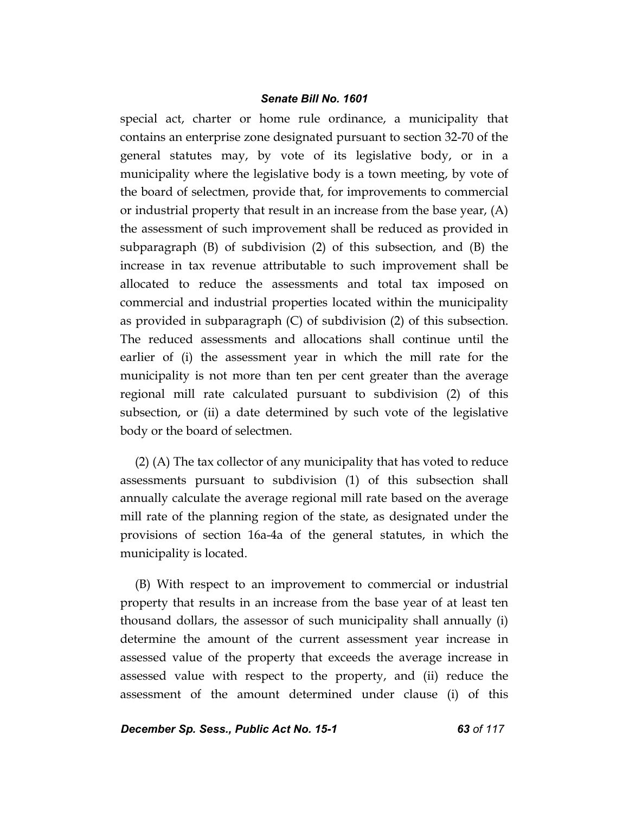special act, charter or home rule ordinance, a municipality that contains an enterprise zone designated pursuant to section 32-70 of the general statutes may, by vote of its legislative body, or in a municipality where the legislative body is a town meeting, by vote of the board of selectmen, provide that, for improvements to commercial or industrial property that result in an increase from the base year, (A) the assessment of such improvement shall be reduced as provided in subparagraph (B) of subdivision (2) of this subsection, and (B) the increase in tax revenue attributable to such improvement shall be allocated to reduce the assessments and total tax imposed on commercial and industrial properties located within the municipality as provided in subparagraph (C) of subdivision (2) of this subsection. The reduced assessments and allocations shall continue until the earlier of (i) the assessment year in which the mill rate for the municipality is not more than ten per cent greater than the average regional mill rate calculated pursuant to subdivision (2) of this subsection, or (ii) a date determined by such vote of the legislative body or the board of selectmen.

(2) (A) The tax collector of any municipality that has voted to reduce assessments pursuant to subdivision (1) of this subsection shall annually calculate the average regional mill rate based on the average mill rate of the planning region of the state, as designated under the provisions of section 16a-4a of the general statutes, in which the municipality is located.

(B) With respect to an improvement to commercial or industrial property that results in an increase from the base year of at least ten thousand dollars, the assessor of such municipality shall annually (i) determine the amount of the current assessment year increase in assessed value of the property that exceeds the average increase in assessed value with respect to the property, and (ii) reduce the assessment of the amount determined under clause (i) of this

*December Sp. Sess., Public Act No. 15-1 63 of 117*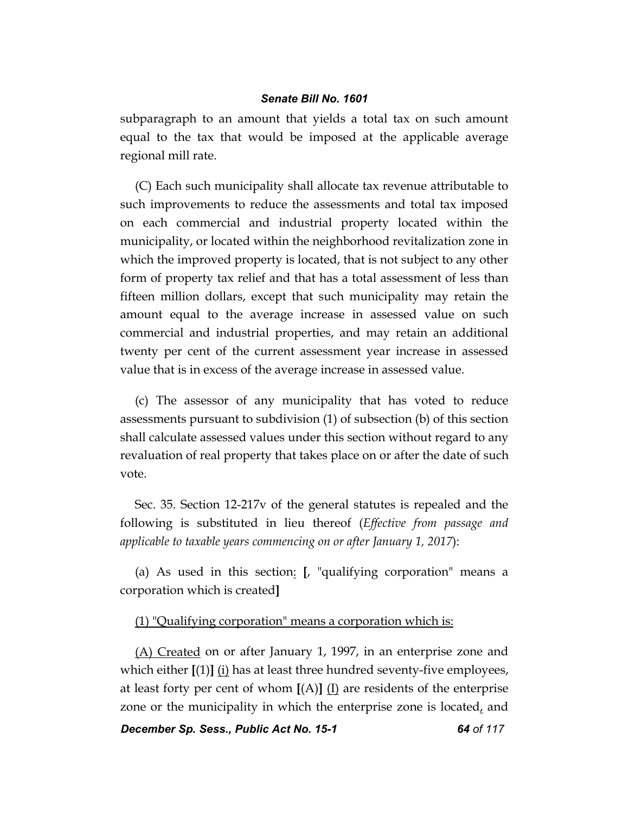subparagraph to an amount that yields a total tax on such amount equal to the tax that would be imposed at the applicable average regional mill rate.

(C) Each such municipality shall allocate tax revenue attributable to such improvements to reduce the assessments and total tax imposed on each commercial and industrial property located within the municipality, or located within the neighborhood revitalization zone in which the improved property is located, that is not subject to any other form of property tax relief and that has a total assessment of less than fifteen million dollars, except that such municipality may retain the amount equal to the average increase in assessed value on such commercial and industrial properties, and may retain an additional twenty per cent of the current assessment year increase in assessed value that is in excess of the average increase in assessed value.

(c) The assessor of any municipality that has voted to reduce assessments pursuant to subdivision (1) of subsection (b) of this section shall calculate assessed values under this section without regard to any revaluation of real property that takes place on or after the date of such vote.

Sec. 35. Section 12-217v of the general statutes is repealed and the following is substituted in lieu thereof (*Effective from passage and applicable to taxable years commencing on or after January 1, 2017*):

(a) As used in this section: **[**, "qualifying corporation" means a corporation which is created**]**

## (1) "Qualifying corporation" means a corporation which is:

(A) Created on or after January 1, 1997, in an enterprise zone and which either  $[(1)]$   $(i)$  has at least three hundred seventy-five employees, at least forty per cent of whom  $[(A)]$   $(I)$  are residents of the enterprise zone or the municipality in which the enterprise zone is located, and

*December Sp. Sess., Public Act No. 15-1 64 of 117*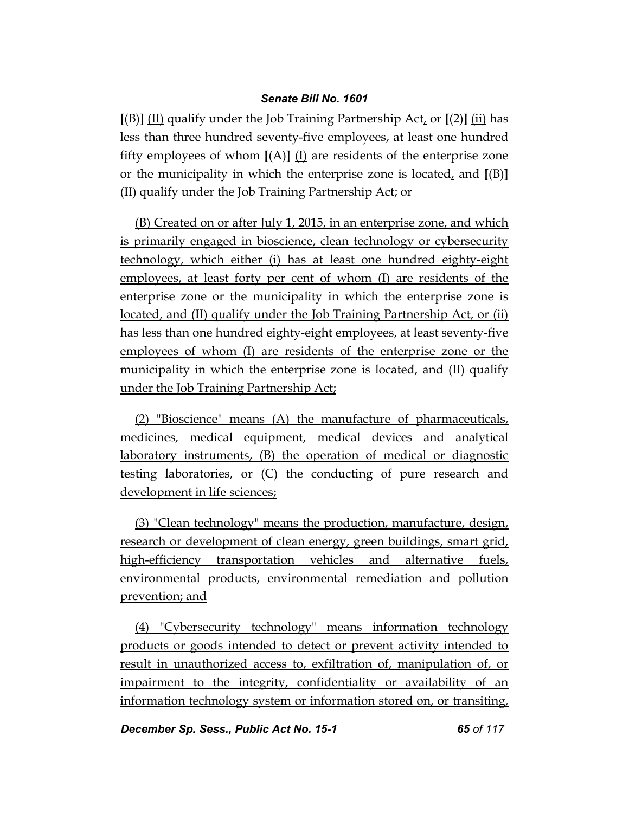**[**(B)**]** (II) qualify under the Job Training Partnership Act, or **[**(2)**]** (ii) has less than three hundred seventy-five employees, at least one hundred fifty employees of whom  $[(A)]$   $(I)$  are residents of the enterprise zone or the municipality in which the enterprise zone is located, and **[**(B)**]** (II) qualify under the Job Training Partnership Act; or

(B) Created on or after July 1, 2015, in an enterprise zone, and which is primarily engaged in bioscience, clean technology or cybersecurity technology, which either (i) has at least one hundred eighty-eight employees, at least forty per cent of whom (I) are residents of the enterprise zone or the municipality in which the enterprise zone is located, and (II) qualify under the Job Training Partnership Act, or (ii) has less than one hundred eighty-eight employees, at least seventy-five employees of whom (I) are residents of the enterprise zone or the municipality in which the enterprise zone is located, and (II) qualify under the Job Training Partnership Act;

(2) "Bioscience" means (A) the manufacture of pharmaceuticals, medicines, medical equipment, medical devices and analytical laboratory instruments, (B) the operation of medical or diagnostic testing laboratories, or (C) the conducting of pure research and development in life sciences;

(3) "Clean technology" means the production, manufacture, design, research or development of clean energy, green buildings, smart grid, high-efficiency transportation vehicles and alternative fuels, environmental products, environmental remediation and pollution prevention; and

(4) "Cybersecurity technology" means information technology products or goods intended to detect or prevent activity intended to result in unauthorized access to, exfiltration of, manipulation of, or impairment to the integrity, confidentiality or availability of an information technology system or information stored on, or transiting,

*December Sp. Sess., Public Act No. 15-1 65 of 117*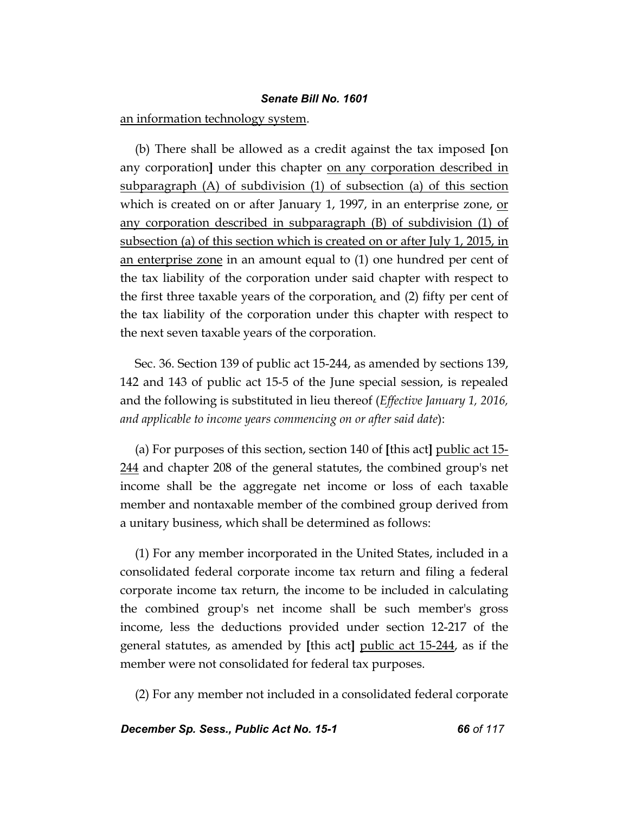an information technology system.

(b) There shall be allowed as a credit against the tax imposed **[**on any corporation] under this chapter on any corporation described in subparagraph (A) of subdivision (1) of subsection (a) of this section which is created on or after January 1, 1997, in an enterprise zone, or any corporation described in subparagraph (B) of subdivision (1) of subsection (a) of this section which is created on or after July 1, 2015, in an enterprise zone in an amount equal to (1) one hundred per cent of the tax liability of the corporation under said chapter with respect to the first three taxable years of the corporation, and (2) fifty per cent of the tax liability of the corporation under this chapter with respect to the next seven taxable years of the corporation.

Sec. 36. Section 139 of public act 15-244, as amended by sections 139, 142 and 143 of public act 15-5 of the June special session, is repealed and the following is substituted in lieu thereof (*Effective January 1, 2016, and applicable to income years commencing on or after said date*):

(a) For purposes of this section, section 140 of **[**this act**]** public act 15- 244 and chapter 208 of the general statutes, the combined group's net income shall be the aggregate net income or loss of each taxable member and nontaxable member of the combined group derived from a unitary business, which shall be determined as follows:

(1) For any member incorporated in the United States, included in a consolidated federal corporate income tax return and filing a federal corporate income tax return, the income to be included in calculating the combined group's net income shall be such member's gross income, less the deductions provided under section 12-217 of the general statutes, as amended by **[**this act**]** public act 15-244, as if the member were not consolidated for federal tax purposes.

(2) For any member not included in a consolidated federal corporate

*December Sp. Sess., Public Act No. 15-1 66 of 117*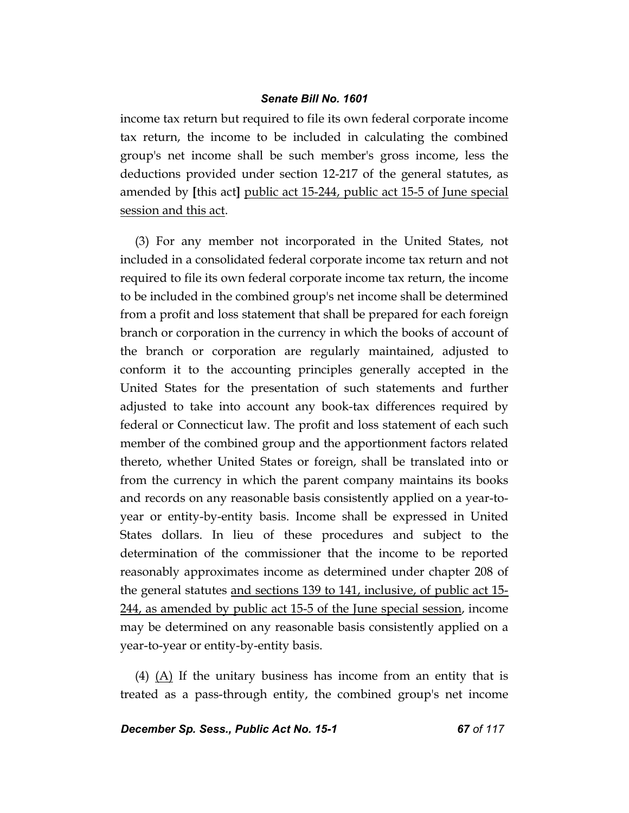income tax return but required to file its own federal corporate income tax return, the income to be included in calculating the combined group's net income shall be such member's gross income, less the deductions provided under section 12-217 of the general statutes, as amended by **[**this act**]** public act 15-244, public act 15-5 of June special session and this act.

(3) For any member not incorporated in the United States, not included in a consolidated federal corporate income tax return and not required to file its own federal corporate income tax return, the income to be included in the combined group's net income shall be determined from a profit and loss statement that shall be prepared for each foreign branch or corporation in the currency in which the books of account of the branch or corporation are regularly maintained, adjusted to conform it to the accounting principles generally accepted in the United States for the presentation of such statements and further adjusted to take into account any book-tax differences required by federal or Connecticut law. The profit and loss statement of each such member of the combined group and the apportionment factors related thereto, whether United States or foreign, shall be translated into or from the currency in which the parent company maintains its books and records on any reasonable basis consistently applied on a year-toyear or entity-by-entity basis. Income shall be expressed in United States dollars. In lieu of these procedures and subject to the determination of the commissioner that the income to be reported reasonably approximates income as determined under chapter 208 of the general statutes and sections 139 to 141, inclusive, of public act 15- 244, as amended by public act 15-5 of the June special session, income may be determined on any reasonable basis consistently applied on a year-to-year or entity-by-entity basis.

(4)  $(A)$  If the unitary business has income from an entity that is treated as a pass-through entity, the combined group's net income

*December Sp. Sess., Public Act No. 15-1 67 of 117*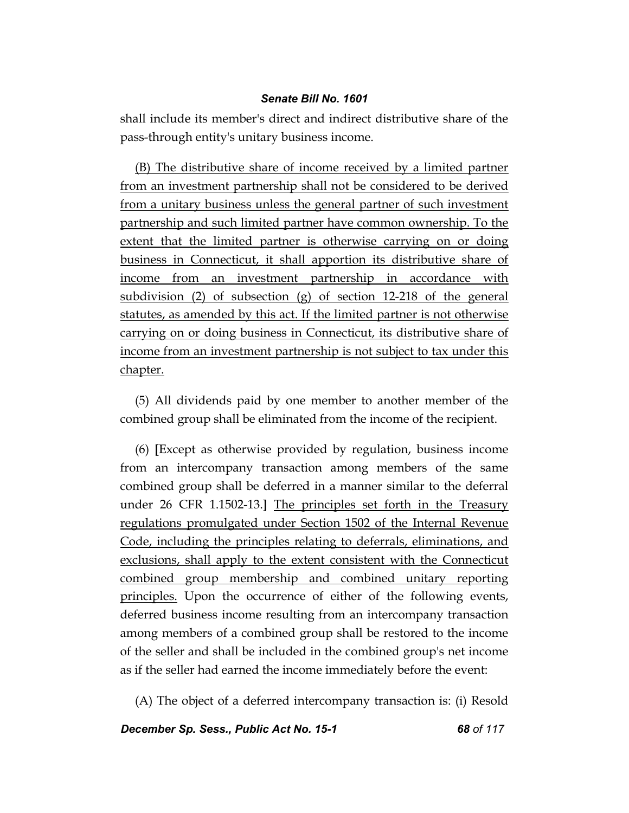shall include its member's direct and indirect distributive share of the pass-through entity's unitary business income.

(B) The distributive share of income received by a limited partner from an investment partnership shall not be considered to be derived from a unitary business unless the general partner of such investment partnership and such limited partner have common ownership. To the extent that the limited partner is otherwise carrying on or doing business in Connecticut, it shall apportion its distributive share of income from an investment partnership in accordance with subdivision (2) of subsection (g) of section 12-218 of the general statutes, as amended by this act. If the limited partner is not otherwise carrying on or doing business in Connecticut, its distributive share of income from an investment partnership is not subject to tax under this chapter.

(5) All dividends paid by one member to another member of the combined group shall be eliminated from the income of the recipient.

(6) **[**Except as otherwise provided by regulation, business income from an intercompany transaction among members of the same combined group shall be deferred in a manner similar to the deferral under 26 CFR 1.1502-13.**]** The principles set forth in the Treasury regulations promulgated under Section 1502 of the Internal Revenue Code, including the principles relating to deferrals, eliminations, and exclusions, shall apply to the extent consistent with the Connecticut combined group membership and combined unitary reporting principles. Upon the occurrence of either of the following events, deferred business income resulting from an intercompany transaction among members of a combined group shall be restored to the income of the seller and shall be included in the combined group's net income as if the seller had earned the income immediately before the event:

(A) The object of a deferred intercompany transaction is: (i) Resold

*December Sp. Sess., Public Act No. 15-1 68 of 117*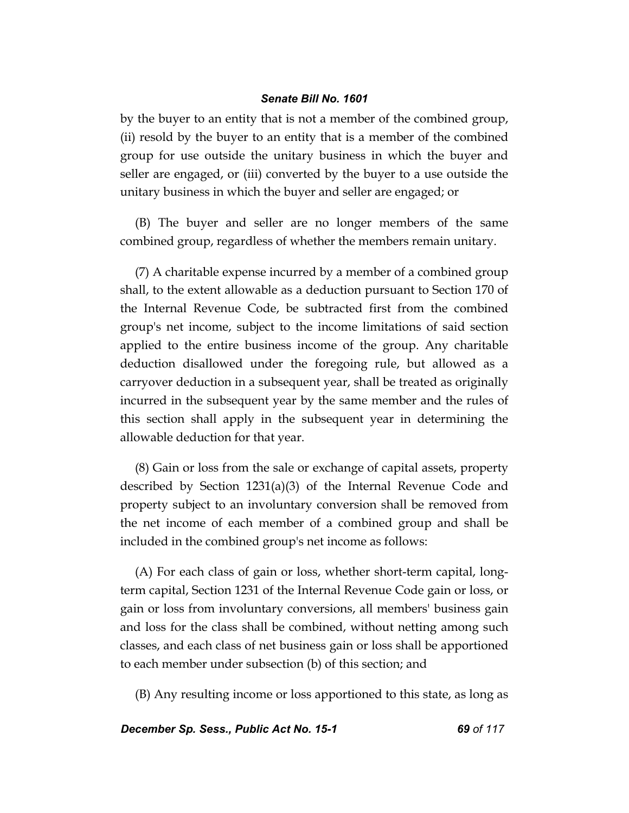by the buyer to an entity that is not a member of the combined group, (ii) resold by the buyer to an entity that is a member of the combined group for use outside the unitary business in which the buyer and seller are engaged, or (iii) converted by the buyer to a use outside the unitary business in which the buyer and seller are engaged; or

(B) The buyer and seller are no longer members of the same combined group, regardless of whether the members remain unitary.

(7) A charitable expense incurred by a member of a combined group shall, to the extent allowable as a deduction pursuant to Section 170 of the Internal Revenue Code, be subtracted first from the combined group's net income, subject to the income limitations of said section applied to the entire business income of the group. Any charitable deduction disallowed under the foregoing rule, but allowed as a carryover deduction in a subsequent year, shall be treated as originally incurred in the subsequent year by the same member and the rules of this section shall apply in the subsequent year in determining the allowable deduction for that year.

(8) Gain or loss from the sale or exchange of capital assets, property described by Section 1231(a)(3) of the Internal Revenue Code and property subject to an involuntary conversion shall be removed from the net income of each member of a combined group and shall be included in the combined group's net income as follows:

(A) For each class of gain or loss, whether short-term capital, longterm capital, Section 1231 of the Internal Revenue Code gain or loss, or gain or loss from involuntary conversions, all members' business gain and loss for the class shall be combined, without netting among such classes, and each class of net business gain or loss shall be apportioned to each member under subsection (b) of this section; and

(B) Any resulting income or loss apportioned to this state, as long as

*December Sp. Sess., Public Act No. 15-1 69 of 117*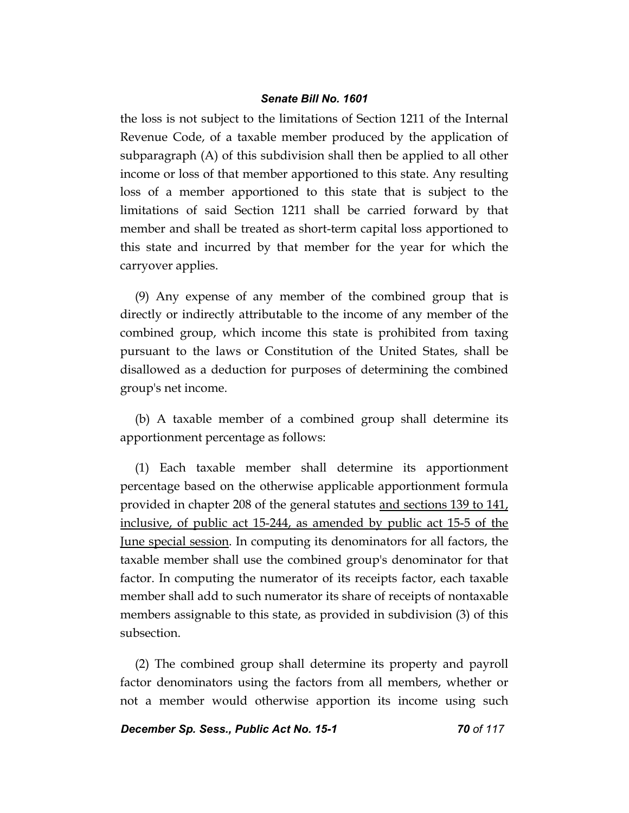the loss is not subject to the limitations of Section 1211 of the Internal Revenue Code, of a taxable member produced by the application of subparagraph (A) of this subdivision shall then be applied to all other income or loss of that member apportioned to this state. Any resulting loss of a member apportioned to this state that is subject to the limitations of said Section 1211 shall be carried forward by that member and shall be treated as short-term capital loss apportioned to this state and incurred by that member for the year for which the carryover applies.

(9) Any expense of any member of the combined group that is directly or indirectly attributable to the income of any member of the combined group, which income this state is prohibited from taxing pursuant to the laws or Constitution of the United States, shall be disallowed as a deduction for purposes of determining the combined group's net income.

(b) A taxable member of a combined group shall determine its apportionment percentage as follows:

(1) Each taxable member shall determine its apportionment percentage based on the otherwise applicable apportionment formula provided in chapter 208 of the general statutes and sections 139 to 141, inclusive, of public act 15-244, as amended by public act 15-5 of the June special session. In computing its denominators for all factors, the taxable member shall use the combined group's denominator for that factor. In computing the numerator of its receipts factor, each taxable member shall add to such numerator its share of receipts of nontaxable members assignable to this state, as provided in subdivision (3) of this subsection.

(2) The combined group shall determine its property and payroll factor denominators using the factors from all members, whether or not a member would otherwise apportion its income using such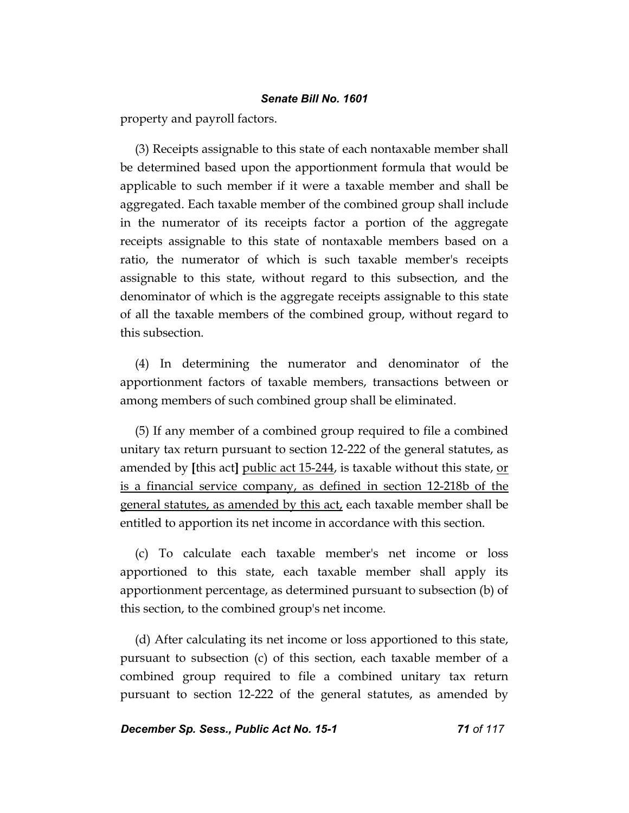property and payroll factors.

(3) Receipts assignable to this state of each nontaxable member shall be determined based upon the apportionment formula that would be applicable to such member if it were a taxable member and shall be aggregated. Each taxable member of the combined group shall include in the numerator of its receipts factor a portion of the aggregate receipts assignable to this state of nontaxable members based on a ratio, the numerator of which is such taxable member's receipts assignable to this state, without regard to this subsection, and the denominator of which is the aggregate receipts assignable to this state of all the taxable members of the combined group, without regard to this subsection.

(4) In determining the numerator and denominator of the apportionment factors of taxable members, transactions between or among members of such combined group shall be eliminated.

(5) If any member of a combined group required to file a combined unitary tax return pursuant to section 12-222 of the general statutes, as amended by **[**this act**]** public act 15-244, is taxable without this state, or is a financial service company, as defined in section 12-218b of the general statutes, as amended by this act, each taxable member shall be entitled to apportion its net income in accordance with this section.

(c) To calculate each taxable member's net income or loss apportioned to this state, each taxable member shall apply its apportionment percentage, as determined pursuant to subsection (b) of this section, to the combined group's net income.

(d) After calculating its net income or loss apportioned to this state, pursuant to subsection (c) of this section, each taxable member of a combined group required to file a combined unitary tax return pursuant to section 12-222 of the general statutes, as amended by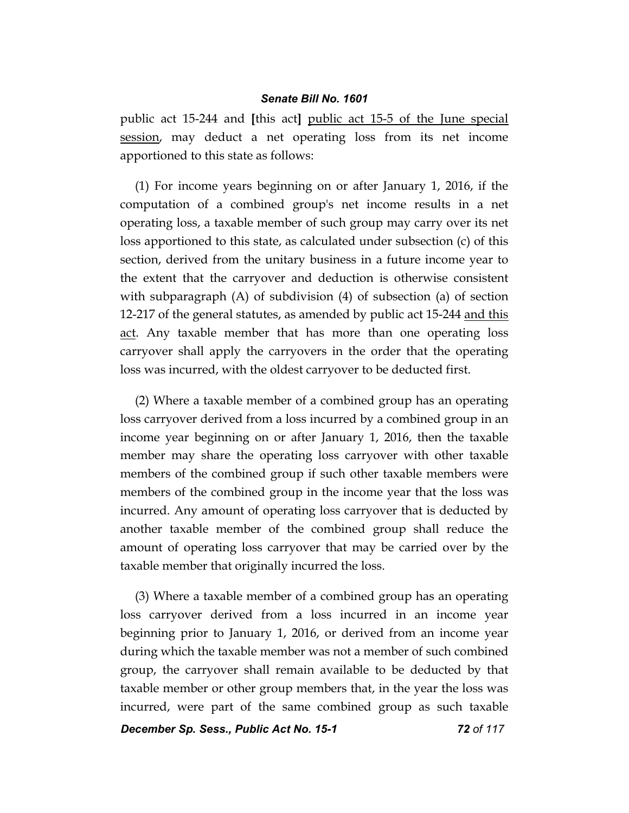public act 15-244 and **[**this act**]** public act 15-5 of the June special session, may deduct a net operating loss from its net income apportioned to this state as follows:

(1) For income years beginning on or after January 1, 2016, if the computation of a combined group's net income results in a net operating loss, a taxable member of such group may carry over its net loss apportioned to this state, as calculated under subsection (c) of this section, derived from the unitary business in a future income year to the extent that the carryover and deduction is otherwise consistent with subparagraph (A) of subdivision (4) of subsection (a) of section 12-217 of the general statutes, as amended by public act 15-244 and this act. Any taxable member that has more than one operating loss carryover shall apply the carryovers in the order that the operating loss was incurred, with the oldest carryover to be deducted first.

(2) Where a taxable member of a combined group has an operating loss carryover derived from a loss incurred by a combined group in an income year beginning on or after January 1, 2016, then the taxable member may share the operating loss carryover with other taxable members of the combined group if such other taxable members were members of the combined group in the income year that the loss was incurred. Any amount of operating loss carryover that is deducted by another taxable member of the combined group shall reduce the amount of operating loss carryover that may be carried over by the taxable member that originally incurred the loss.

(3) Where a taxable member of a combined group has an operating loss carryover derived from a loss incurred in an income year beginning prior to January 1, 2016, or derived from an income year during which the taxable member was not a member of such combined group, the carryover shall remain available to be deducted by that taxable member or other group members that, in the year the loss was incurred, were part of the same combined group as such taxable

*December Sp. Sess., Public Act No. 15-1 72 of 117*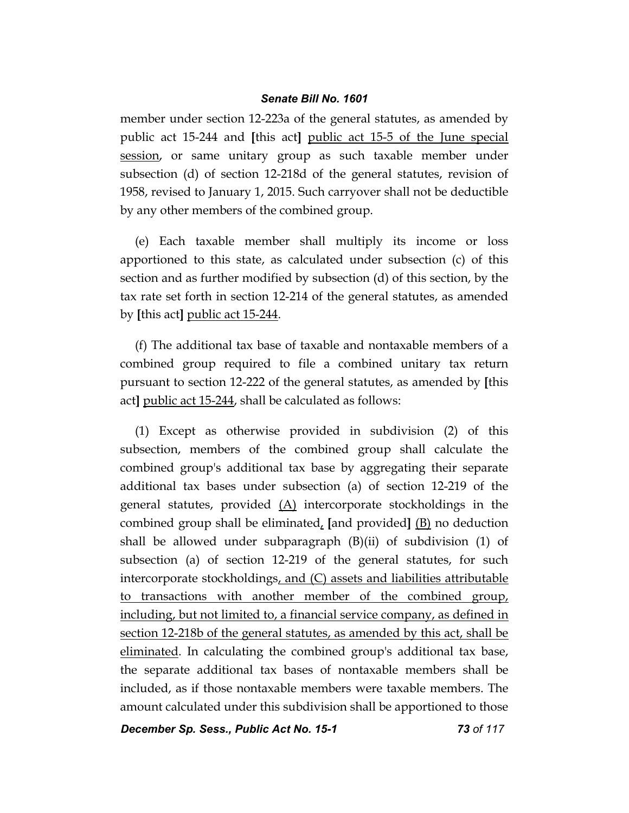member under section 12-223a of the general statutes, as amended by public act 15-244 and **[**this act**]** public act 15-5 of the June special session, or same unitary group as such taxable member under subsection (d) of section 12-218d of the general statutes, revision of 1958, revised to January 1, 2015. Such carryover shall not be deductible by any other members of the combined group.

(e) Each taxable member shall multiply its income or loss apportioned to this state, as calculated under subsection (c) of this section and as further modified by subsection (d) of this section, by the tax rate set forth in section 12-214 of the general statutes, as amended by **[**this act**]** public act 15-244.

(f) The additional tax base of taxable and nontaxable members of a combined group required to file a combined unitary tax return pursuant to section 12-222 of the general statutes, as amended by **[**this act**]** public act 15-244, shall be calculated as follows:

(1) Except as otherwise provided in subdivision (2) of this subsection, members of the combined group shall calculate the combined group's additional tax base by aggregating their separate additional tax bases under subsection (a) of section 12-219 of the general statutes, provided (A) intercorporate stockholdings in the combined group shall be eliminated, **[**and provided**]** (B) no deduction shall be allowed under subparagraph (B)(ii) of subdivision (1) of subsection (a) of section 12-219 of the general statutes, for such intercorporate stockholdings, and (C) assets and liabilities attributable to transactions with another member of the combined group, including, but not limited to, a financial service company, as defined in section 12-218b of the general statutes, as amended by this act, shall be eliminated. In calculating the combined group's additional tax base, the separate additional tax bases of nontaxable members shall be included, as if those nontaxable members were taxable members. The amount calculated under this subdivision shall be apportioned to those

*December Sp. Sess., Public Act No. 15-1 73 of 117*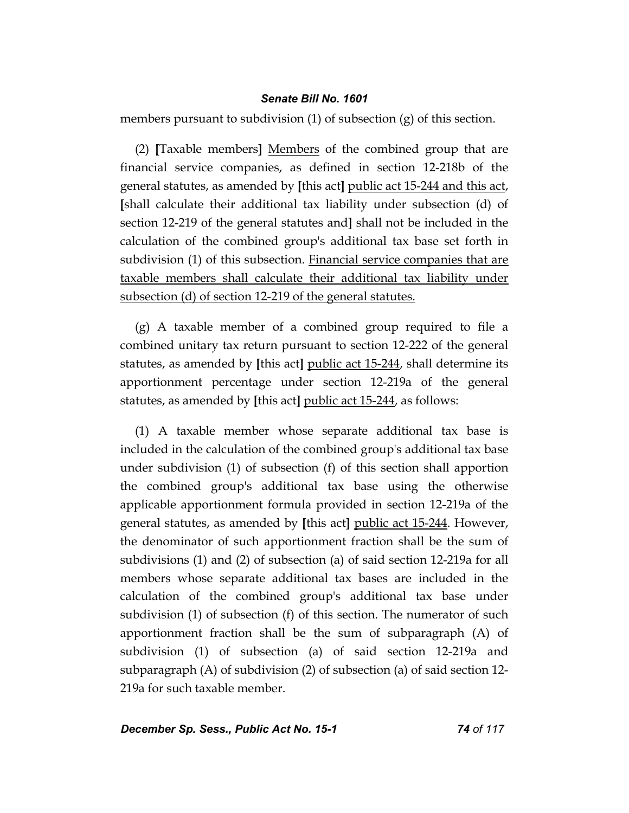members pursuant to subdivision (1) of subsection (g) of this section.

(2) **[**Taxable members**]** Members of the combined group that are financial service companies, as defined in section 12-218b of the general statutes, as amended by **[**this act**]** public act 15-244 and this act, **[**shall calculate their additional tax liability under subsection (d) of section 12-219 of the general statutes and**]** shall not be included in the calculation of the combined group's additional tax base set forth in subdivision (1) of this subsection. Financial service companies that are taxable members shall calculate their additional tax liability under subsection (d) of section 12-219 of the general statutes.

(g) A taxable member of a combined group required to file a combined unitary tax return pursuant to section 12-222 of the general statutes, as amended by **[**this act**]** public act 15-244, shall determine its apportionment percentage under section 12-219a of the general statutes, as amended by **[**this act**]** public act 15-244, as follows:

(1) A taxable member whose separate additional tax base is included in the calculation of the combined group's additional tax base under subdivision (1) of subsection (f) of this section shall apportion the combined group's additional tax base using the otherwise applicable apportionment formula provided in section 12-219a of the general statutes, as amended by **[**this act**]** public act 15-244. However, the denominator of such apportionment fraction shall be the sum of subdivisions (1) and (2) of subsection (a) of said section 12-219a for all members whose separate additional tax bases are included in the calculation of the combined group's additional tax base under subdivision (1) of subsection (f) of this section. The numerator of such apportionment fraction shall be the sum of subparagraph (A) of subdivision (1) of subsection (a) of said section 12-219a and subparagraph (A) of subdivision (2) of subsection (a) of said section 12- 219a for such taxable member.

# *December Sp. Sess., Public Act No. 15-1 74 of 117*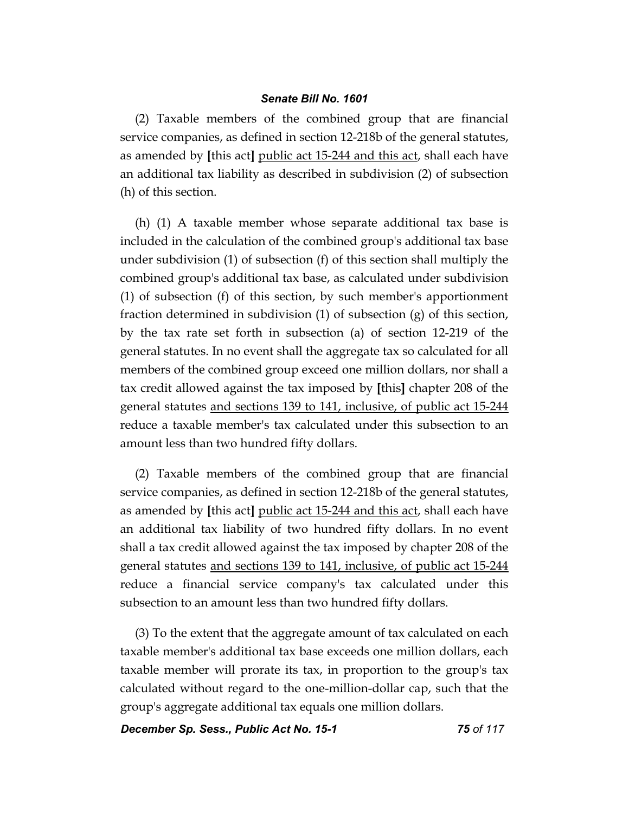(2) Taxable members of the combined group that are financial service companies, as defined in section 12-218b of the general statutes, as amended by **[**this act**]** public act 15-244 and this act, shall each have an additional tax liability as described in subdivision (2) of subsection (h) of this section.

(h) (1) A taxable member whose separate additional tax base is included in the calculation of the combined group's additional tax base under subdivision (1) of subsection (f) of this section shall multiply the combined group's additional tax base, as calculated under subdivision (1) of subsection (f) of this section, by such member's apportionment fraction determined in subdivision (1) of subsection (g) of this section, by the tax rate set forth in subsection (a) of section 12-219 of the general statutes. In no event shall the aggregate tax so calculated for all members of the combined group exceed one million dollars, nor shall a tax credit allowed against the tax imposed by **[**this**]** chapter 208 of the general statutes and sections 139 to 141, inclusive, of public act 15-244 reduce a taxable member's tax calculated under this subsection to an amount less than two hundred fifty dollars.

(2) Taxable members of the combined group that are financial service companies, as defined in section 12-218b of the general statutes, as amended by **[**this act**]** public act 15-244 and this act, shall each have an additional tax liability of two hundred fifty dollars. In no event shall a tax credit allowed against the tax imposed by chapter 208 of the general statutes and sections 139 to 141, inclusive, of public act 15-244 reduce a financial service company's tax calculated under this subsection to an amount less than two hundred fifty dollars.

(3) To the extent that the aggregate amount of tax calculated on each taxable member's additional tax base exceeds one million dollars, each taxable member will prorate its tax, in proportion to the group's tax calculated without regard to the one-million-dollar cap, such that the group's aggregate additional tax equals one million dollars.

*December Sp. Sess., Public Act No. 15-1 75 of 117*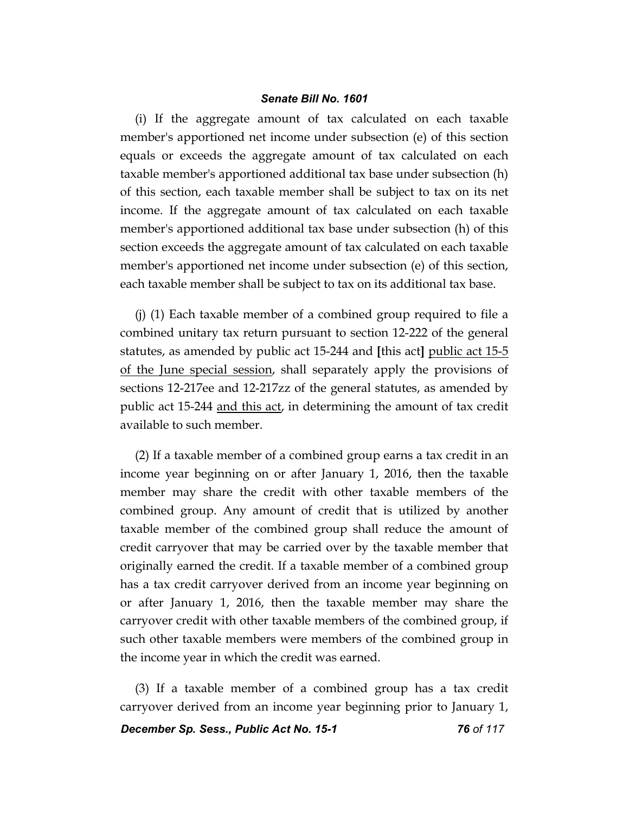(i) If the aggregate amount of tax calculated on each taxable member's apportioned net income under subsection (e) of this section equals or exceeds the aggregate amount of tax calculated on each taxable member's apportioned additional tax base under subsection (h) of this section, each taxable member shall be subject to tax on its net income. If the aggregate amount of tax calculated on each taxable member's apportioned additional tax base under subsection (h) of this section exceeds the aggregate amount of tax calculated on each taxable member's apportioned net income under subsection (e) of this section, each taxable member shall be subject to tax on its additional tax base.

(j) (1) Each taxable member of a combined group required to file a combined unitary tax return pursuant to section 12-222 of the general statutes, as amended by public act 15-244 and **[**this act**]** public act 15-5 of the June special session, shall separately apply the provisions of sections 12-217ee and 12-217zz of the general statutes, as amended by public act 15-244 and this act, in determining the amount of tax credit available to such member.

(2) If a taxable member of a combined group earns a tax credit in an income year beginning on or after January 1, 2016, then the taxable member may share the credit with other taxable members of the combined group. Any amount of credit that is utilized by another taxable member of the combined group shall reduce the amount of credit carryover that may be carried over by the taxable member that originally earned the credit. If a taxable member of a combined group has a tax credit carryover derived from an income year beginning on or after January 1, 2016, then the taxable member may share the carryover credit with other taxable members of the combined group, if such other taxable members were members of the combined group in the income year in which the credit was earned.

(3) If a taxable member of a combined group has a tax credit carryover derived from an income year beginning prior to January 1,

*December Sp. Sess., Public Act No. 15-1 76 of 117*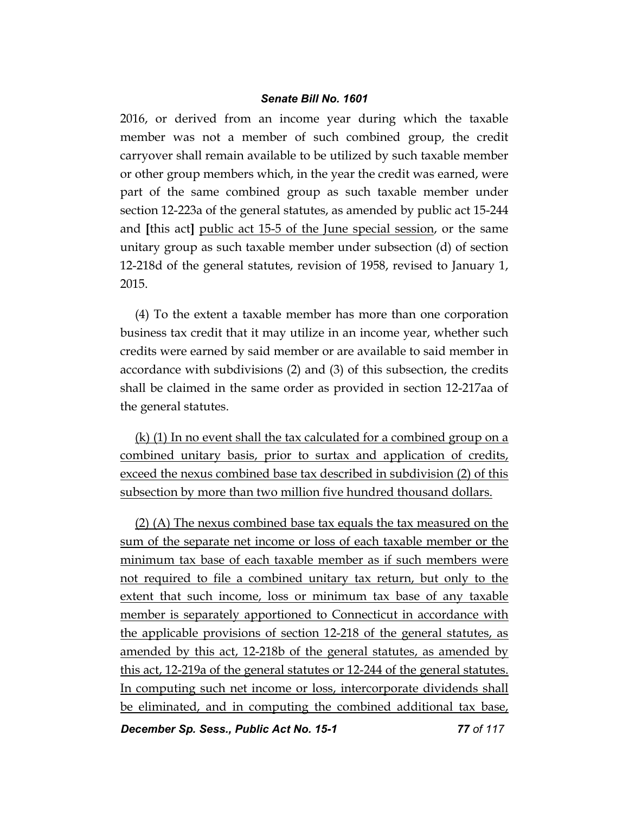2016, or derived from an income year during which the taxable member was not a member of such combined group, the credit carryover shall remain available to be utilized by such taxable member or other group members which, in the year the credit was earned, were part of the same combined group as such taxable member under section 12-223a of the general statutes, as amended by public act 15-244 and **[**this act**]** public act 15-5 of the June special session, or the same unitary group as such taxable member under subsection (d) of section 12-218d of the general statutes, revision of 1958, revised to January 1, 2015.

(4) To the extent a taxable member has more than one corporation business tax credit that it may utilize in an income year, whether such credits were earned by said member or are available to said member in accordance with subdivisions (2) and (3) of this subsection, the credits shall be claimed in the same order as provided in section 12-217aa of the general statutes.

(k) (1) In no event shall the tax calculated for a combined group on a combined unitary basis, prior to surtax and application of credits, exceed the nexus combined base tax described in subdivision (2) of this subsection by more than two million five hundred thousand dollars.

(2) (A) The nexus combined base tax equals the tax measured on the sum of the separate net income or loss of each taxable member or the minimum tax base of each taxable member as if such members were not required to file a combined unitary tax return, but only to the extent that such income, loss or minimum tax base of any taxable member is separately apportioned to Connecticut in accordance with the applicable provisions of section 12-218 of the general statutes, as amended by this act, 12-218b of the general statutes, as amended by this act, 12-219a of the general statutes or 12-244 of the general statutes. In computing such net income or loss, intercorporate dividends shall be eliminated, and in computing the combined additional tax base,

**December Sp. Sess., Public Act No. 15-1 77 0f 117**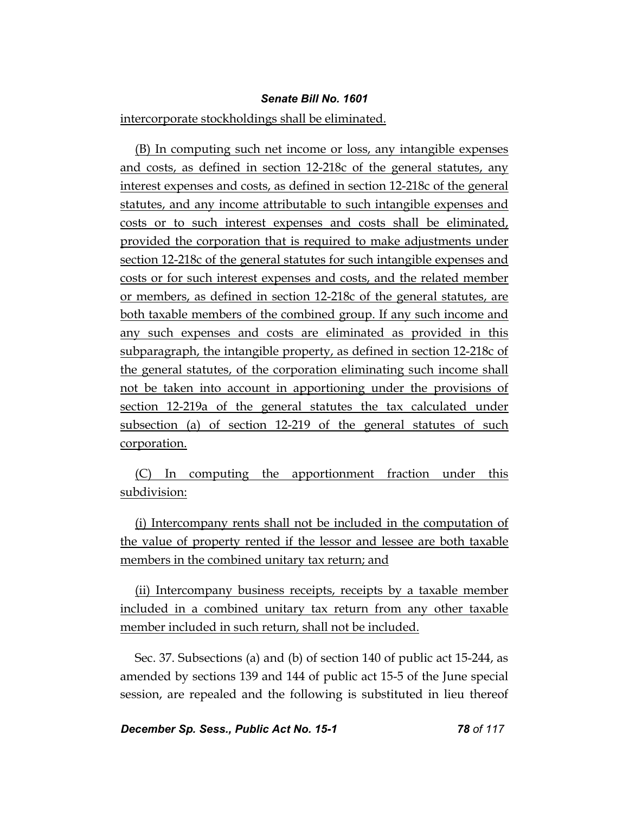intercorporate stockholdings shall be eliminated.

(B) In computing such net income or loss, any intangible expenses and costs, as defined in section 12-218c of the general statutes, any interest expenses and costs, as defined in section 12-218c of the general statutes, and any income attributable to such intangible expenses and costs or to such interest expenses and costs shall be eliminated, provided the corporation that is required to make adjustments under section 12-218c of the general statutes for such intangible expenses and costs or for such interest expenses and costs, and the related member or members, as defined in section 12-218c of the general statutes, are both taxable members of the combined group. If any such income and any such expenses and costs are eliminated as provided in this subparagraph, the intangible property, as defined in section 12-218c of the general statutes, of the corporation eliminating such income shall not be taken into account in apportioning under the provisions of section 12-219a of the general statutes the tax calculated under subsection (a) of section 12-219 of the general statutes of such corporation.

(C) In computing the apportionment fraction under this subdivision:

(i) Intercompany rents shall not be included in the computation of the value of property rented if the lessor and lessee are both taxable members in the combined unitary tax return; and

(ii) Intercompany business receipts, receipts by a taxable member included in a combined unitary tax return from any other taxable member included in such return, shall not be included.

Sec. 37. Subsections (a) and (b) of section 140 of public act 15-244, as amended by sections 139 and 144 of public act 15-5 of the June special session, are repealed and the following is substituted in lieu thereof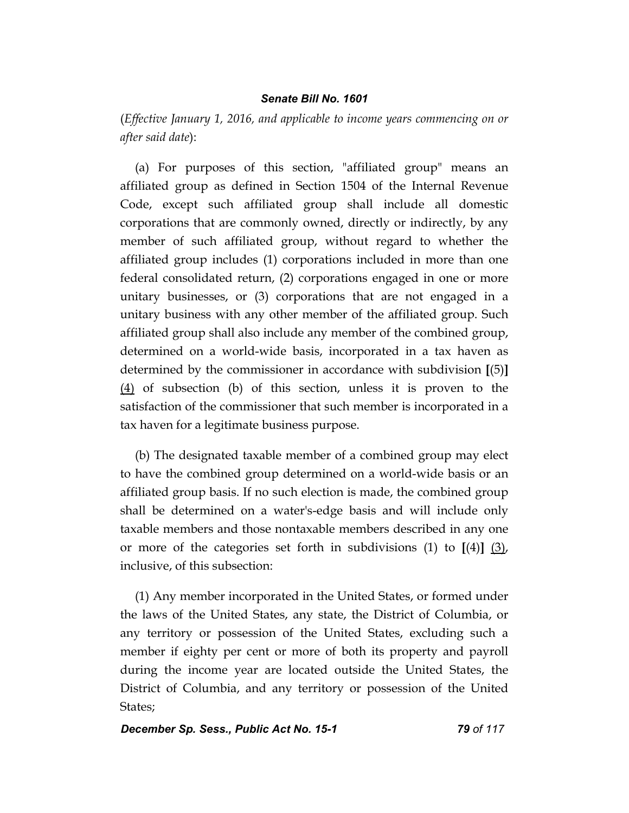(*Effective January 1, 2016, and applicable to income years commencing on or after said date*):

(a) For purposes of this section, "affiliated group" means an affiliated group as defined in Section 1504 of the Internal Revenue Code, except such affiliated group shall include all domestic corporations that are commonly owned, directly or indirectly, by any member of such affiliated group, without regard to whether the affiliated group includes (1) corporations included in more than one federal consolidated return, (2) corporations engaged in one or more unitary businesses, or (3) corporations that are not engaged in a unitary business with any other member of the affiliated group. Such affiliated group shall also include any member of the combined group, determined on a world-wide basis, incorporated in a tax haven as determined by the commissioner in accordance with subdivision **[**(5)**]** (4) of subsection (b) of this section, unless it is proven to the satisfaction of the commissioner that such member is incorporated in a tax haven for a legitimate business purpose.

(b) The designated taxable member of a combined group may elect to have the combined group determined on a world-wide basis or an affiliated group basis. If no such election is made, the combined group shall be determined on a water's-edge basis and will include only taxable members and those nontaxable members described in any one or more of the categories set forth in subdivisions (1) to **[**(4)**]** (3), inclusive, of this subsection:

(1) Any member incorporated in the United States, or formed under the laws of the United States, any state, the District of Columbia, or any territory or possession of the United States, excluding such a member if eighty per cent or more of both its property and payroll during the income year are located outside the United States, the District of Columbia, and any territory or possession of the United States;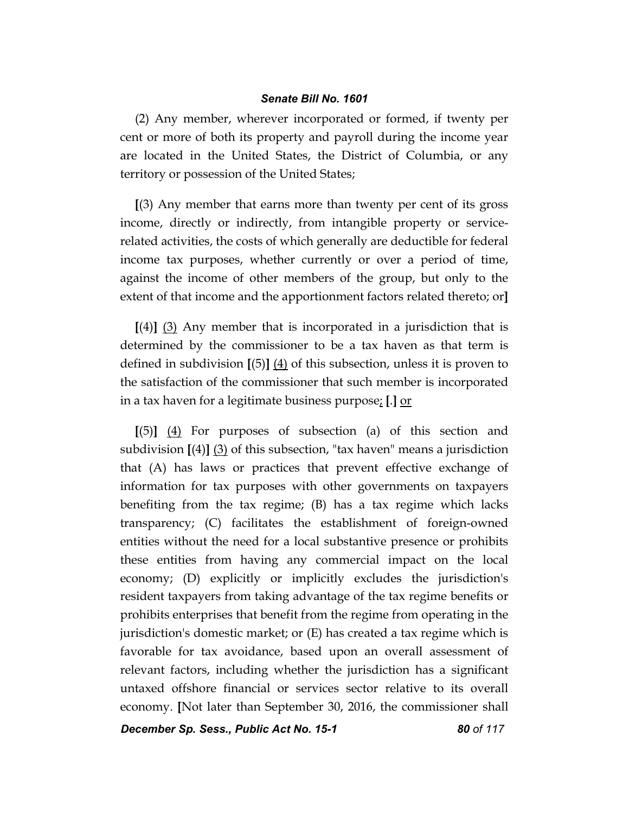(2) Any member, wherever incorporated or formed, if twenty per cent or more of both its property and payroll during the income year are located in the United States, the District of Columbia, or any territory or possession of the United States;

**[**(3) Any member that earns more than twenty per cent of its gross income, directly or indirectly, from intangible property or servicerelated activities, the costs of which generally are deductible for federal income tax purposes, whether currently or over a period of time, against the income of other members of the group, but only to the extent of that income and the apportionment factors related thereto; or**]**

**[**(4)**]** (3) Any member that is incorporated in a jurisdiction that is determined by the commissioner to be a tax haven as that term is defined in subdivision **[**(5)**]** (4) of this subsection, unless it is proven to the satisfaction of the commissioner that such member is incorporated in a tax haven for a legitimate business purpose; **[**.**]** or

**[**(5)**]** (4) For purposes of subsection (a) of this section and subdivision **[**(4)**]** (3) of this subsection, "tax haven" means a jurisdiction that (A) has laws or practices that prevent effective exchange of information for tax purposes with other governments on taxpayers benefiting from the tax regime; (B) has a tax regime which lacks transparency; (C) facilitates the establishment of foreign-owned entities without the need for a local substantive presence or prohibits these entities from having any commercial impact on the local economy; (D) explicitly or implicitly excludes the jurisdiction's resident taxpayers from taking advantage of the tax regime benefits or prohibits enterprises that benefit from the regime from operating in the jurisdiction's domestic market; or (E) has created a tax regime which is favorable for tax avoidance, based upon an overall assessment of relevant factors, including whether the jurisdiction has a significant untaxed offshore financial or services sector relative to its overall economy. **[**Not later than September 30, 2016, the commissioner shall

*December Sp. Sess., Public Act No. 15-1 80 of 117*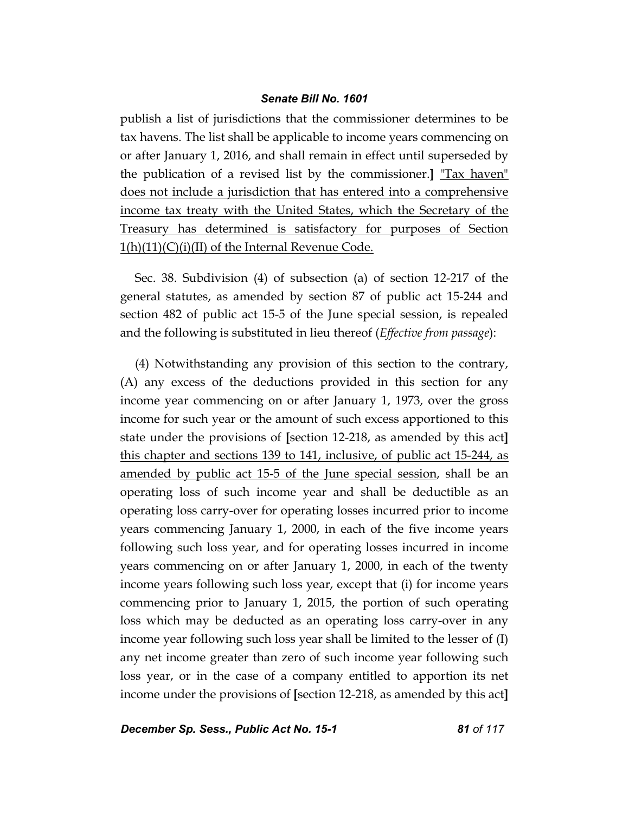publish a list of jurisdictions that the commissioner determines to be tax havens. The list shall be applicable to income years commencing on or after January 1, 2016, and shall remain in effect until superseded by the publication of a revised list by the commissioner.**]** "Tax haven" does not include a jurisdiction that has entered into a comprehensive income tax treaty with the United States, which the Secretary of the Treasury has determined is satisfactory for purposes of Section  $1(h)(11)(C)(i)(II)$  of the Internal Revenue Code.

Sec. 38. Subdivision (4) of subsection (a) of section 12-217 of the general statutes, as amended by section 87 of public act 15-244 and section 482 of public act 15-5 of the June special session, is repealed and the following is substituted in lieu thereof (*Effective from passage*):

(4) Notwithstanding any provision of this section to the contrary, (A) any excess of the deductions provided in this section for any income year commencing on or after January 1, 1973, over the gross income for such year or the amount of such excess apportioned to this state under the provisions of **[**section 12-218, as amended by this act**]**  this chapter and sections 139 to 141, inclusive, of public act 15-244, as amended by public act 15-5 of the June special session, shall be an operating loss of such income year and shall be deductible as an operating loss carry-over for operating losses incurred prior to income years commencing January 1, 2000, in each of the five income years following such loss year, and for operating losses incurred in income years commencing on or after January 1, 2000, in each of the twenty income years following such loss year, except that (i) for income years commencing prior to January 1, 2015, the portion of such operating loss which may be deducted as an operating loss carry-over in any income year following such loss year shall be limited to the lesser of (I) any net income greater than zero of such income year following such loss year, or in the case of a company entitled to apportion its net income under the provisions of **[**section 12-218, as amended by this act**]** 

**December Sp. Sess., Public Act No. 15-1 81 0f 117**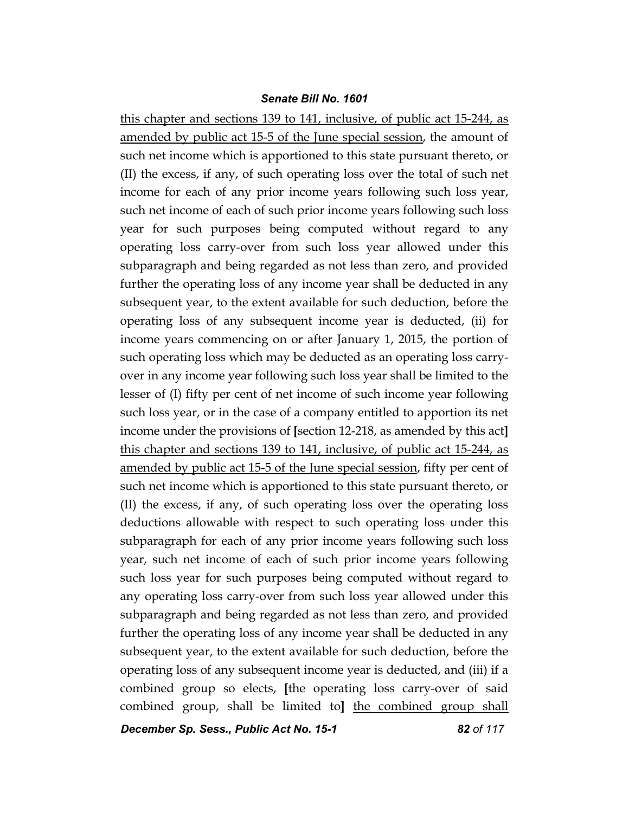this chapter and sections 139 to 141, inclusive, of public act 15-244, as amended by public act 15-5 of the June special session, the amount of such net income which is apportioned to this state pursuant thereto, or (II) the excess, if any, of such operating loss over the total of such net income for each of any prior income years following such loss year, such net income of each of such prior income years following such loss year for such purposes being computed without regard to any operating loss carry-over from such loss year allowed under this subparagraph and being regarded as not less than zero, and provided further the operating loss of any income year shall be deducted in any subsequent year, to the extent available for such deduction, before the operating loss of any subsequent income year is deducted, (ii) for income years commencing on or after January 1, 2015, the portion of such operating loss which may be deducted as an operating loss carryover in any income year following such loss year shall be limited to the lesser of (I) fifty per cent of net income of such income year following such loss year, or in the case of a company entitled to apportion its net income under the provisions of **[**section 12-218, as amended by this act**]**  this chapter and sections 139 to 141, inclusive, of public act 15-244, as amended by public act 15-5 of the June special session, fifty per cent of such net income which is apportioned to this state pursuant thereto, or (II) the excess, if any, of such operating loss over the operating loss deductions allowable with respect to such operating loss under this subparagraph for each of any prior income years following such loss year, such net income of each of such prior income years following such loss year for such purposes being computed without regard to any operating loss carry-over from such loss year allowed under this subparagraph and being regarded as not less than zero, and provided further the operating loss of any income year shall be deducted in any subsequent year, to the extent available for such deduction, before the operating loss of any subsequent income year is deducted, and (iii) if a combined group so elects, **[**the operating loss carry-over of said combined group, shall be limited to**]** the combined group shall

*December Sp. Sess., Public Act No. 15-1 82 of 117*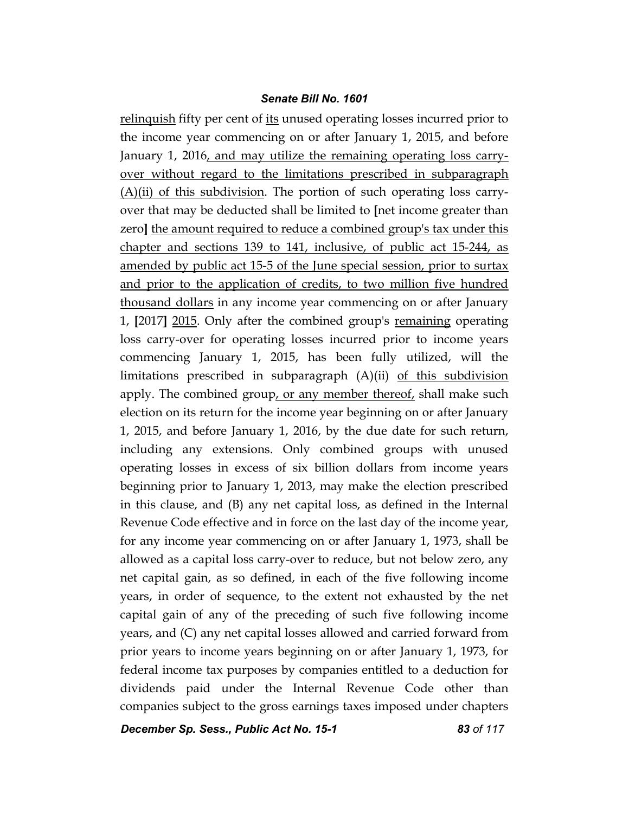relinquish fifty per cent of its unused operating losses incurred prior to the income year commencing on or after January 1, 2015, and before January 1, 2016, and may utilize the remaining operating loss carryover without regard to the limitations prescribed in subparagraph (A)(ii) of this subdivision. The portion of such operating loss carryover that may be deducted shall be limited to **[**net income greater than zero**]** the amount required to reduce a combined group's tax under this chapter and sections 139 to 141, inclusive, of public act 15-244, as amended by public act 15-5 of the June special session, prior to surtax and prior to the application of credits, to two million five hundred thousand dollars in any income year commencing on or after January 1, **[**2017**]** 2015. Only after the combined group's remaining operating loss carry-over for operating losses incurred prior to income years commencing January 1, 2015, has been fully utilized, will the limitations prescribed in subparagraph  $(A)(ii)$  of this subdivision apply. The combined group, or any member thereof, shall make such election on its return for the income year beginning on or after January 1, 2015, and before January 1, 2016, by the due date for such return, including any extensions. Only combined groups with unused operating losses in excess of six billion dollars from income years beginning prior to January 1, 2013, may make the election prescribed in this clause, and (B) any net capital loss, as defined in the Internal Revenue Code effective and in force on the last day of the income year, for any income year commencing on or after January 1, 1973, shall be allowed as a capital loss carry-over to reduce, but not below zero, any net capital gain, as so defined, in each of the five following income years, in order of sequence, to the extent not exhausted by the net capital gain of any of the preceding of such five following income years, and (C) any net capital losses allowed and carried forward from prior years to income years beginning on or after January 1, 1973, for federal income tax purposes by companies entitled to a deduction for dividends paid under the Internal Revenue Code other than companies subject to the gross earnings taxes imposed under chapters

*December Sp. Sess., Public Act No. 15-1 83 of 117*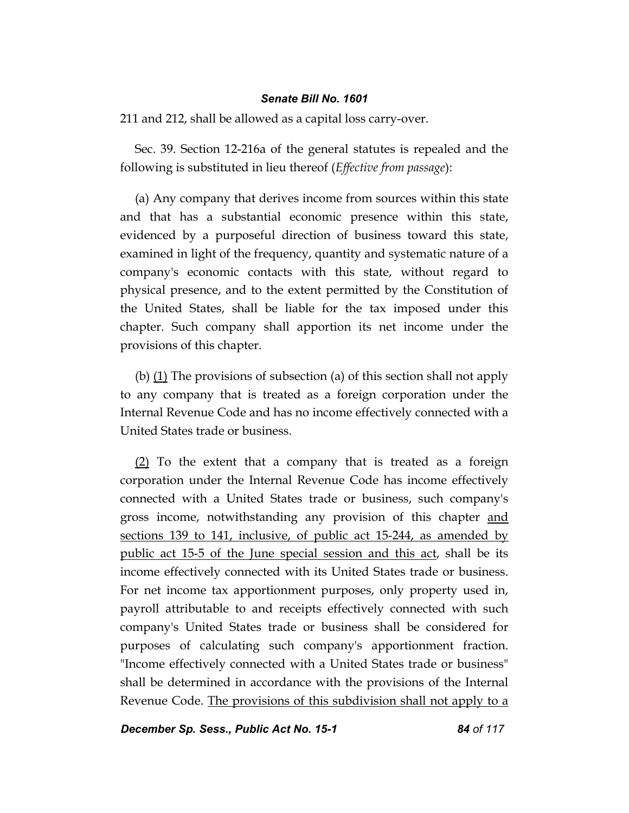211 and 212, shall be allowed as a capital loss carry-over.

Sec. 39. Section 12-216a of the general statutes is repealed and the following is substituted in lieu thereof (*Effective from passage*):

(a) Any company that derives income from sources within this state and that has a substantial economic presence within this state, evidenced by a purposeful direction of business toward this state, examined in light of the frequency, quantity and systematic nature of a company's economic contacts with this state, without regard to physical presence, and to the extent permitted by the Constitution of the United States, shall be liable for the tax imposed under this chapter. Such company shall apportion its net income under the provisions of this chapter.

(b)  $(1)$  The provisions of subsection (a) of this section shall not apply to any company that is treated as a foreign corporation under the Internal Revenue Code and has no income effectively connected with a United States trade or business.

(2) To the extent that a company that is treated as a foreign corporation under the Internal Revenue Code has income effectively connected with a United States trade or business, such company's gross income, notwithstanding any provision of this chapter and sections 139 to 141, inclusive, of public act 15-244, as amended by public act 15-5 of the June special session and this act, shall be its income effectively connected with its United States trade or business. For net income tax apportionment purposes, only property used in, payroll attributable to and receipts effectively connected with such company's United States trade or business shall be considered for purposes of calculating such company's apportionment fraction. "Income effectively connected with a United States trade or business" shall be determined in accordance with the provisions of the Internal Revenue Code. The provisions of this subdivision shall not apply to a

*December Sp. Sess., Public Act No. 15-1 84 of 117*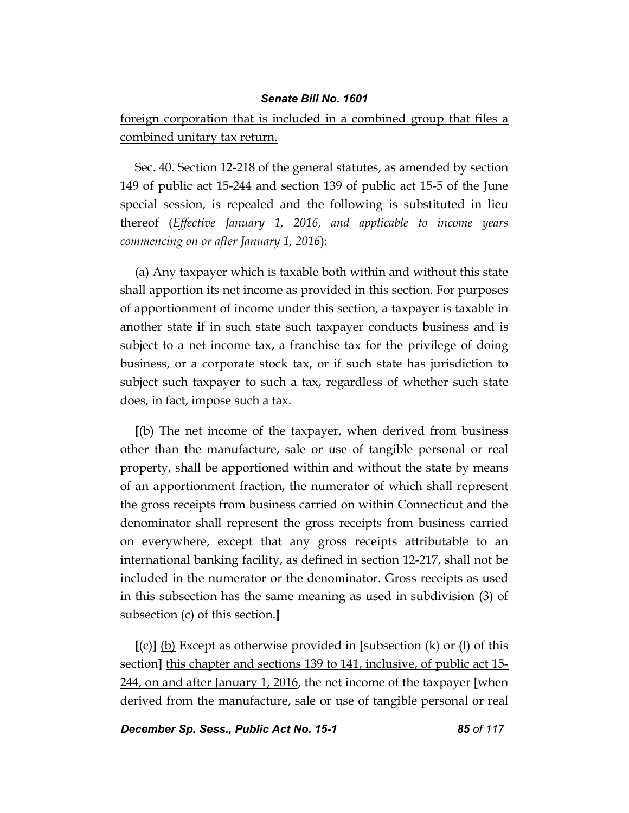foreign corporation that is included in a combined group that files a combined unitary tax return.

Sec. 40. Section 12-218 of the general statutes, as amended by section 149 of public act 15-244 and section 139 of public act 15-5 of the June special session, is repealed and the following is substituted in lieu thereof (*Effective January 1, 2016, and applicable to income years commencing on or after January 1, 2016*):

(a) Any taxpayer which is taxable both within and without this state shall apportion its net income as provided in this section. For purposes of apportionment of income under this section, a taxpayer is taxable in another state if in such state such taxpayer conducts business and is subject to a net income tax, a franchise tax for the privilege of doing business, or a corporate stock tax, or if such state has jurisdiction to subject such taxpayer to such a tax, regardless of whether such state does, in fact, impose such a tax.

**[**(b) The net income of the taxpayer, when derived from business other than the manufacture, sale or use of tangible personal or real property, shall be apportioned within and without the state by means of an apportionment fraction, the numerator of which shall represent the gross receipts from business carried on within Connecticut and the denominator shall represent the gross receipts from business carried on everywhere, except that any gross receipts attributable to an international banking facility, as defined in section 12-217, shall not be included in the numerator or the denominator. Gross receipts as used in this subsection has the same meaning as used in subdivision (3) of subsection (c) of this section.**]**

**[**(c)**]** (b) Except as otherwise provided in **[**subsection (k) or (l) of this section**]** this chapter and sections 139 to 141, inclusive, of public act 15- 244, on and after January 1, 2016, the net income of the taxpayer **[**when derived from the manufacture, sale or use of tangible personal or real

*December Sp. Sess., Public Act No. 15-1 85 of 117*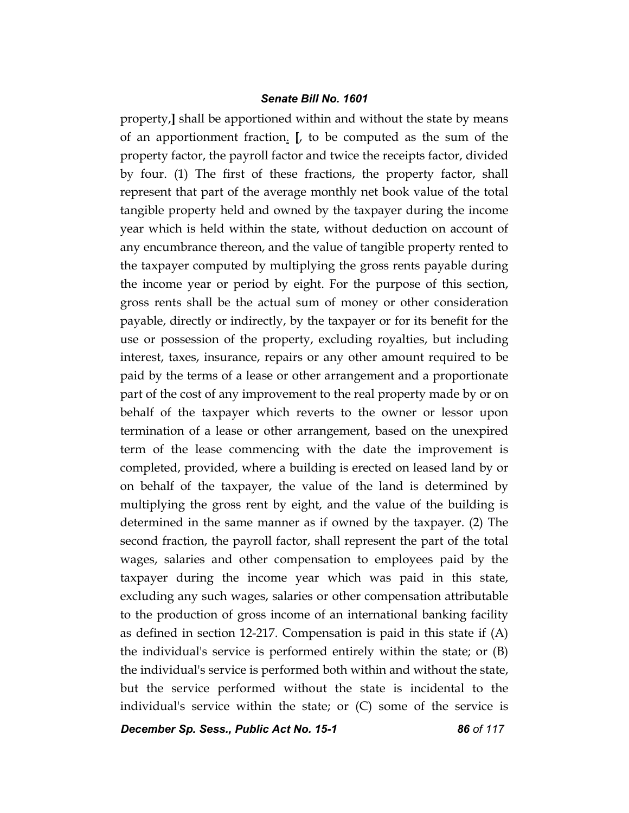property,**]** shall be apportioned within and without the state by means of an apportionment fraction. **[**, to be computed as the sum of the property factor, the payroll factor and twice the receipts factor, divided by four. (1) The first of these fractions, the property factor, shall represent that part of the average monthly net book value of the total tangible property held and owned by the taxpayer during the income year which is held within the state, without deduction on account of any encumbrance thereon, and the value of tangible property rented to the taxpayer computed by multiplying the gross rents payable during the income year or period by eight. For the purpose of this section, gross rents shall be the actual sum of money or other consideration payable, directly or indirectly, by the taxpayer or for its benefit for the use or possession of the property, excluding royalties, but including interest, taxes, insurance, repairs or any other amount required to be paid by the terms of a lease or other arrangement and a proportionate part of the cost of any improvement to the real property made by or on behalf of the taxpayer which reverts to the owner or lessor upon termination of a lease or other arrangement, based on the unexpired term of the lease commencing with the date the improvement is completed, provided, where a building is erected on leased land by or on behalf of the taxpayer, the value of the land is determined by multiplying the gross rent by eight, and the value of the building is determined in the same manner as if owned by the taxpayer. (2) The second fraction, the payroll factor, shall represent the part of the total wages, salaries and other compensation to employees paid by the taxpayer during the income year which was paid in this state, excluding any such wages, salaries or other compensation attributable to the production of gross income of an international banking facility as defined in section 12-217. Compensation is paid in this state if (A) the individual's service is performed entirely within the state; or (B) the individual's service is performed both within and without the state, but the service performed without the state is incidental to the individual's service within the state; or  $(C)$  some of the service is

*December Sp. Sess., Public Act No. 15-1 86 of 117*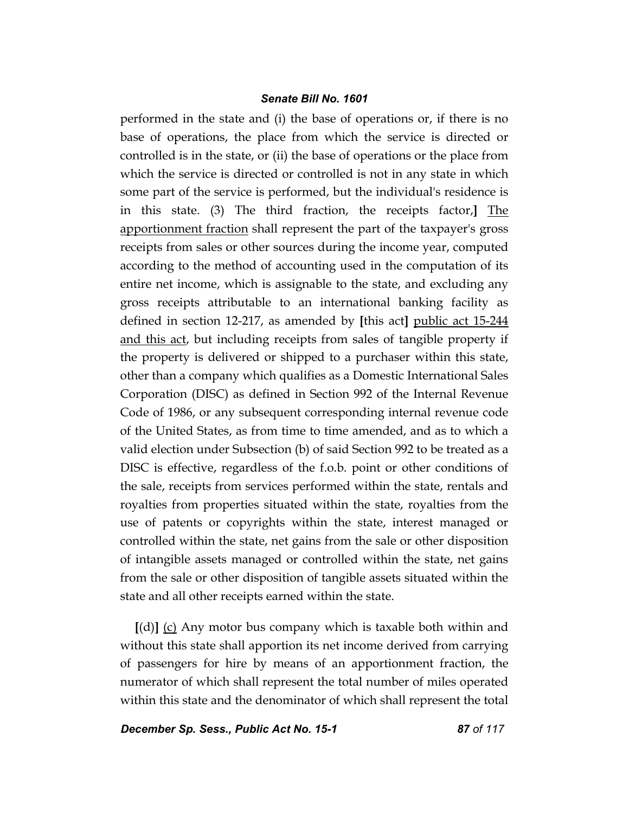performed in the state and (i) the base of operations or, if there is no base of operations, the place from which the service is directed or controlled is in the state, or (ii) the base of operations or the place from which the service is directed or controlled is not in any state in which some part of the service is performed, but the individual's residence is in this state. (3) The third fraction, the receipts factor,**]** The apportionment fraction shall represent the part of the taxpayer's gross receipts from sales or other sources during the income year, computed according to the method of accounting used in the computation of its entire net income, which is assignable to the state, and excluding any gross receipts attributable to an international banking facility as defined in section 12-217, as amended by **[**this act**]** public act 15-244 and this act, but including receipts from sales of tangible property if the property is delivered or shipped to a purchaser within this state, other than a company which qualifies as a Domestic International Sales Corporation (DISC) as defined in Section 992 of the Internal Revenue Code of 1986, or any subsequent corresponding internal revenue code of the United States, as from time to time amended, and as to which a valid election under Subsection (b) of said Section 992 to be treated as a DISC is effective, regardless of the f.o.b. point or other conditions of the sale, receipts from services performed within the state, rentals and royalties from properties situated within the state, royalties from the use of patents or copyrights within the state, interest managed or controlled within the state, net gains from the sale or other disposition of intangible assets managed or controlled within the state, net gains from the sale or other disposition of tangible assets situated within the state and all other receipts earned within the state.

**[**(d)**]** (c) Any motor bus company which is taxable both within and without this state shall apportion its net income derived from carrying of passengers for hire by means of an apportionment fraction, the numerator of which shall represent the total number of miles operated within this state and the denominator of which shall represent the total

*December Sp. Sess., Public Act No. 15-1 87 of 117*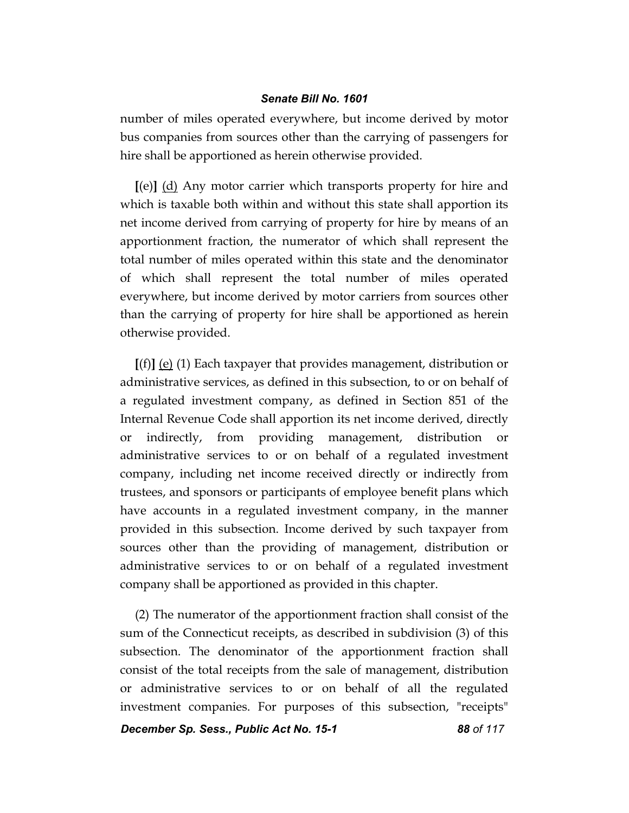number of miles operated everywhere, but income derived by motor bus companies from sources other than the carrying of passengers for hire shall be apportioned as herein otherwise provided.

**[**(e)**]** (d) Any motor carrier which transports property for hire and which is taxable both within and without this state shall apportion its net income derived from carrying of property for hire by means of an apportionment fraction, the numerator of which shall represent the total number of miles operated within this state and the denominator of which shall represent the total number of miles operated everywhere, but income derived by motor carriers from sources other than the carrying of property for hire shall be apportioned as herein otherwise provided.

**[**(f)**]** (e) (1) Each taxpayer that provides management, distribution or administrative services, as defined in this subsection, to or on behalf of a regulated investment company, as defined in Section 851 of the Internal Revenue Code shall apportion its net income derived, directly or indirectly, from providing management, distribution or administrative services to or on behalf of a regulated investment company, including net income received directly or indirectly from trustees, and sponsors or participants of employee benefit plans which have accounts in a regulated investment company, in the manner provided in this subsection. Income derived by such taxpayer from sources other than the providing of management, distribution or administrative services to or on behalf of a regulated investment company shall be apportioned as provided in this chapter.

(2) The numerator of the apportionment fraction shall consist of the sum of the Connecticut receipts, as described in subdivision (3) of this subsection. The denominator of the apportionment fraction shall consist of the total receipts from the sale of management, distribution or administrative services to or on behalf of all the regulated investment companies. For purposes of this subsection, "receipts"

*December Sp. Sess., Public Act No. 15-1 88 of 117*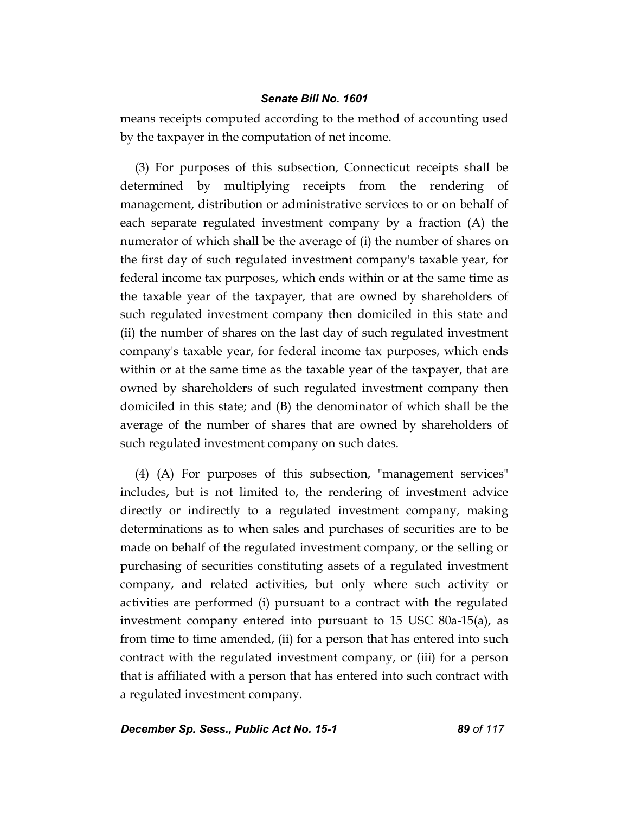means receipts computed according to the method of accounting used by the taxpayer in the computation of net income.

(3) For purposes of this subsection, Connecticut receipts shall be determined by multiplying receipts from the rendering of management, distribution or administrative services to or on behalf of each separate regulated investment company by a fraction (A) the numerator of which shall be the average of (i) the number of shares on the first day of such regulated investment company's taxable year, for federal income tax purposes, which ends within or at the same time as the taxable year of the taxpayer, that are owned by shareholders of such regulated investment company then domiciled in this state and (ii) the number of shares on the last day of such regulated investment company's taxable year, for federal income tax purposes, which ends within or at the same time as the taxable year of the taxpayer, that are owned by shareholders of such regulated investment company then domiciled in this state; and (B) the denominator of which shall be the average of the number of shares that are owned by shareholders of such regulated investment company on such dates.

(4) (A) For purposes of this subsection, "management services" includes, but is not limited to, the rendering of investment advice directly or indirectly to a regulated investment company, making determinations as to when sales and purchases of securities are to be made on behalf of the regulated investment company, or the selling or purchasing of securities constituting assets of a regulated investment company, and related activities, but only where such activity or activities are performed (i) pursuant to a contract with the regulated investment company entered into pursuant to 15 USC 80a-15(a), as from time to time amended, (ii) for a person that has entered into such contract with the regulated investment company, or (iii) for a person that is affiliated with a person that has entered into such contract with a regulated investment company.

*December Sp. Sess., Public Act No. 15-1 89 of 117*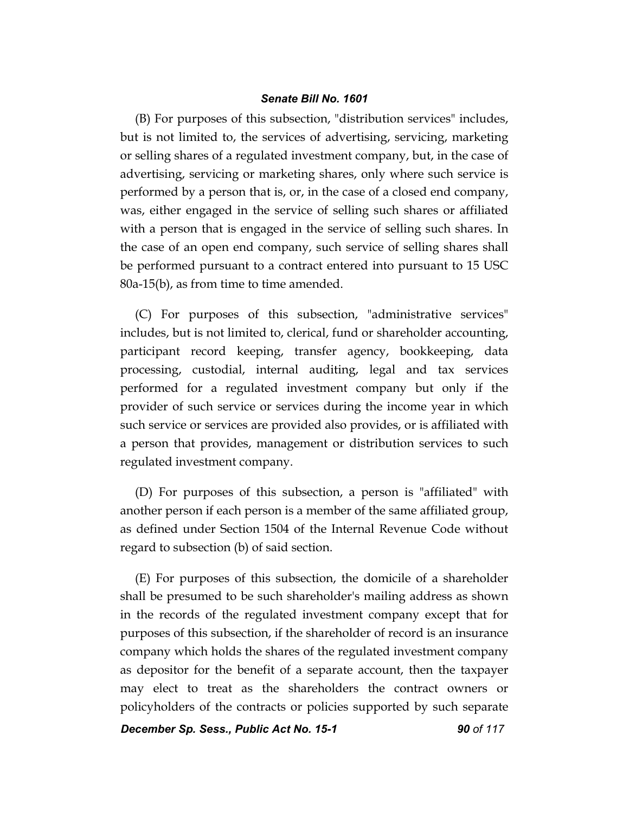(B) For purposes of this subsection, "distribution services" includes, but is not limited to, the services of advertising, servicing, marketing or selling shares of a regulated investment company, but, in the case of advertising, servicing or marketing shares, only where such service is performed by a person that is, or, in the case of a closed end company, was, either engaged in the service of selling such shares or affiliated with a person that is engaged in the service of selling such shares. In the case of an open end company, such service of selling shares shall be performed pursuant to a contract entered into pursuant to 15 USC 80a-15(b), as from time to time amended.

(C) For purposes of this subsection, "administrative services" includes, but is not limited to, clerical, fund or shareholder accounting, participant record keeping, transfer agency, bookkeeping, data processing, custodial, internal auditing, legal and tax services performed for a regulated investment company but only if the provider of such service or services during the income year in which such service or services are provided also provides, or is affiliated with a person that provides, management or distribution services to such regulated investment company.

(D) For purposes of this subsection, a person is "affiliated" with another person if each person is a member of the same affiliated group, as defined under Section 1504 of the Internal Revenue Code without regard to subsection (b) of said section.

(E) For purposes of this subsection, the domicile of a shareholder shall be presumed to be such shareholder's mailing address as shown in the records of the regulated investment company except that for purposes of this subsection, if the shareholder of record is an insurance company which holds the shares of the regulated investment company as depositor for the benefit of a separate account, then the taxpayer may elect to treat as the shareholders the contract owners or policyholders of the contracts or policies supported by such separate

**December Sp. Sess., Public Act No. 15-1 90 of 117**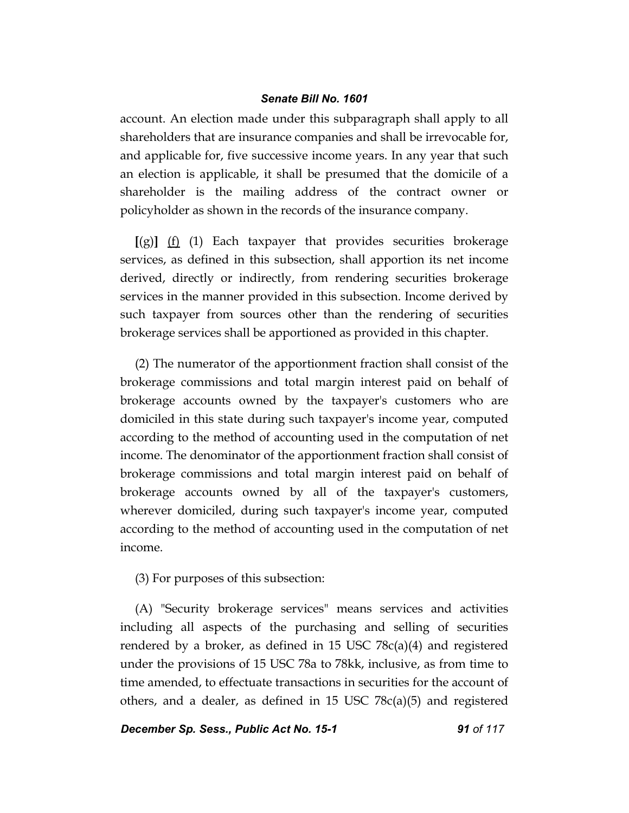account. An election made under this subparagraph shall apply to all shareholders that are insurance companies and shall be irrevocable for, and applicable for, five successive income years. In any year that such an election is applicable, it shall be presumed that the domicile of a shareholder is the mailing address of the contract owner or policyholder as shown in the records of the insurance company.

**[**(g)**]** (f) (1) Each taxpayer that provides securities brokerage services, as defined in this subsection, shall apportion its net income derived, directly or indirectly, from rendering securities brokerage services in the manner provided in this subsection. Income derived by such taxpayer from sources other than the rendering of securities brokerage services shall be apportioned as provided in this chapter.

(2) The numerator of the apportionment fraction shall consist of the brokerage commissions and total margin interest paid on behalf of brokerage accounts owned by the taxpayer's customers who are domiciled in this state during such taxpayer's income year, computed according to the method of accounting used in the computation of net income. The denominator of the apportionment fraction shall consist of brokerage commissions and total margin interest paid on behalf of brokerage accounts owned by all of the taxpayer's customers, wherever domiciled, during such taxpayer's income year, computed according to the method of accounting used in the computation of net income.

(3) For purposes of this subsection:

(A) "Security brokerage services" means services and activities including all aspects of the purchasing and selling of securities rendered by a broker, as defined in 15 USC 78c(a)(4) and registered under the provisions of 15 USC 78a to 78kk, inclusive, as from time to time amended, to effectuate transactions in securities for the account of others, and a dealer, as defined in 15 USC 78c(a)(5) and registered

# **December Sp. Sess., Public Act No. 15-1 91 of 117**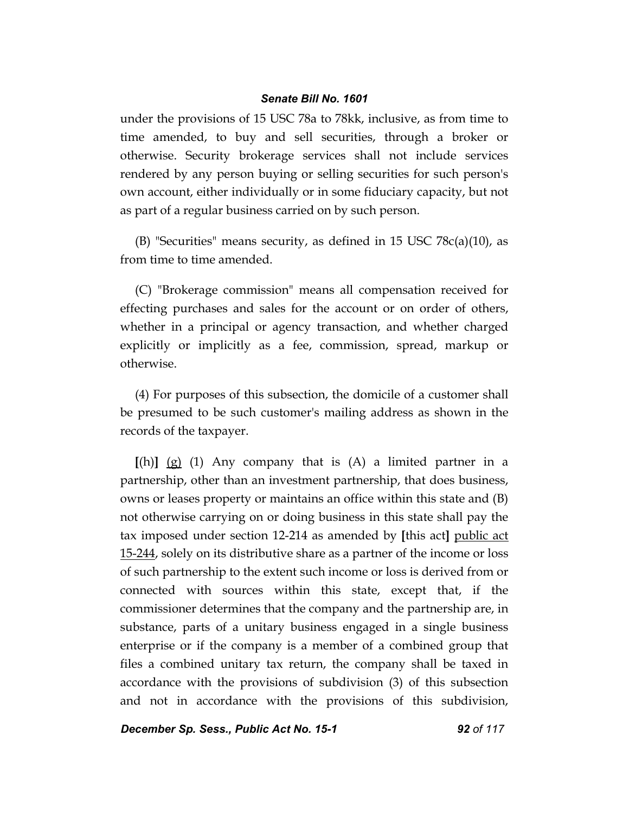under the provisions of 15 USC 78a to 78kk, inclusive, as from time to time amended, to buy and sell securities, through a broker or otherwise. Security brokerage services shall not include services rendered by any person buying or selling securities for such person's own account, either individually or in some fiduciary capacity, but not as part of a regular business carried on by such person.

(B) "Securities" means security, as defined in 15 USC  $78c(a)(10)$ , as from time to time amended.

(C) "Brokerage commission" means all compensation received for effecting purchases and sales for the account or on order of others, whether in a principal or agency transaction, and whether charged explicitly or implicitly as a fee, commission, spread, markup or otherwise.

(4) For purposes of this subsection, the domicile of a customer shall be presumed to be such customer's mailing address as shown in the records of the taxpayer.

**[**(h)**]** (g) (1) Any company that is (A) a limited partner in a partnership, other than an investment partnership, that does business, owns or leases property or maintains an office within this state and (B) not otherwise carrying on or doing business in this state shall pay the tax imposed under section 12-214 as amended by **[**this act**]** public act 15-244, solely on its distributive share as a partner of the income or loss of such partnership to the extent such income or loss is derived from or connected with sources within this state, except that, if the commissioner determines that the company and the partnership are, in substance, parts of a unitary business engaged in a single business enterprise or if the company is a member of a combined group that files a combined unitary tax return, the company shall be taxed in accordance with the provisions of subdivision (3) of this subsection and not in accordance with the provisions of this subdivision,

*December Sp. Sess., Public Act No. 15-1 92 of 117*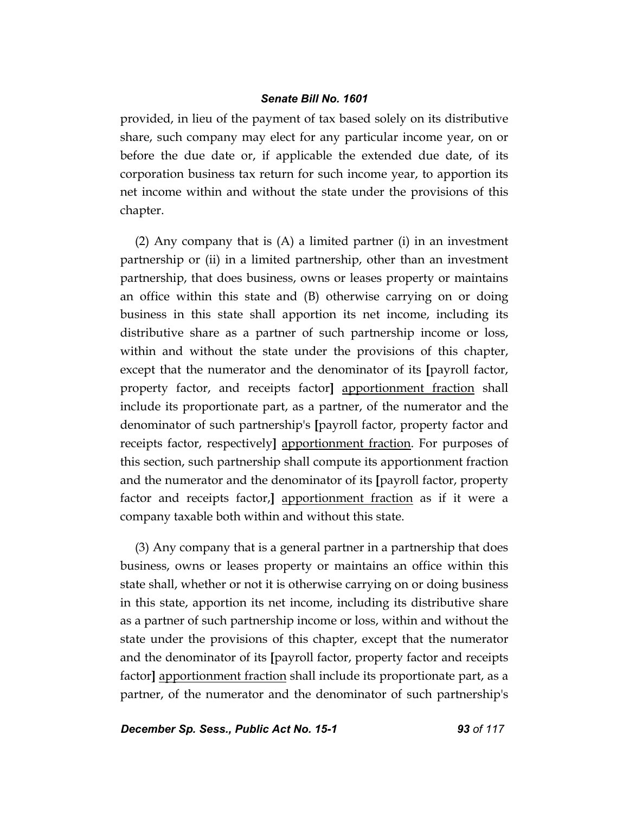provided, in lieu of the payment of tax based solely on its distributive share, such company may elect for any particular income year, on or before the due date or, if applicable the extended due date, of its corporation business tax return for such income year, to apportion its net income within and without the state under the provisions of this chapter.

(2) Any company that is (A) a limited partner (i) in an investment partnership or (ii) in a limited partnership, other than an investment partnership, that does business, owns or leases property or maintains an office within this state and (B) otherwise carrying on or doing business in this state shall apportion its net income, including its distributive share as a partner of such partnership income or loss, within and without the state under the provisions of this chapter, except that the numerator and the denominator of its **[**payroll factor, property factor, and receipts factor**]** apportionment fraction shall include its proportionate part, as a partner, of the numerator and the denominator of such partnership's **[**payroll factor, property factor and receipts factor, respectively**]** apportionment fraction. For purposes of this section, such partnership shall compute its apportionment fraction and the numerator and the denominator of its **[**payroll factor, property factor and receipts factor,**]** apportionment fraction as if it were a company taxable both within and without this state.

(3) Any company that is a general partner in a partnership that does business, owns or leases property or maintains an office within this state shall, whether or not it is otherwise carrying on or doing business in this state, apportion its net income, including its distributive share as a partner of such partnership income or loss, within and without the state under the provisions of this chapter, except that the numerator and the denominator of its **[**payroll factor, property factor and receipts factor**]** apportionment fraction shall include its proportionate part, as a partner, of the numerator and the denominator of such partnership's

*December Sp. Sess., Public Act No. 15-1 93 of 117*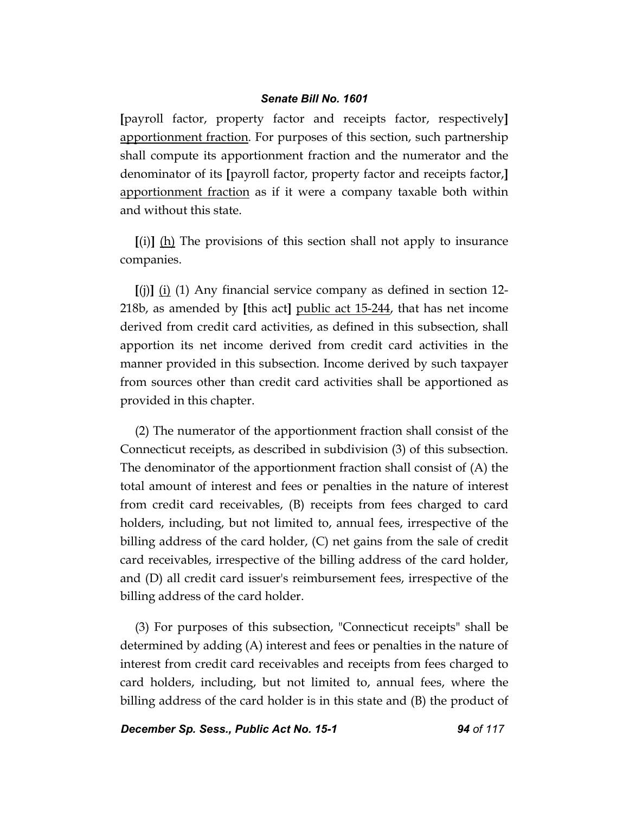**[**payroll factor, property factor and receipts factor, respectively**]** apportionment fraction. For purposes of this section, such partnership shall compute its apportionment fraction and the numerator and the denominator of its **[**payroll factor, property factor and receipts factor,**]** apportionment fraction as if it were a company taxable both within and without this state.

**[**(i)**]** (h) The provisions of this section shall not apply to insurance companies.

**[**(j)**]** (i) (1) Any financial service company as defined in section 12- 218b, as amended by **[**this act**]** public act 15-244, that has net income derived from credit card activities, as defined in this subsection, shall apportion its net income derived from credit card activities in the manner provided in this subsection. Income derived by such taxpayer from sources other than credit card activities shall be apportioned as provided in this chapter.

(2) The numerator of the apportionment fraction shall consist of the Connecticut receipts, as described in subdivision (3) of this subsection. The denominator of the apportionment fraction shall consist of (A) the total amount of interest and fees or penalties in the nature of interest from credit card receivables, (B) receipts from fees charged to card holders, including, but not limited to, annual fees, irrespective of the billing address of the card holder, (C) net gains from the sale of credit card receivables, irrespective of the billing address of the card holder, and (D) all credit card issuer's reimbursement fees, irrespective of the billing address of the card holder.

(3) For purposes of this subsection, "Connecticut receipts" shall be determined by adding (A) interest and fees or penalties in the nature of interest from credit card receivables and receipts from fees charged to card holders, including, but not limited to, annual fees, where the billing address of the card holder is in this state and (B) the product of

*December Sp. Sess., Public Act No. 15-1 94 of 117*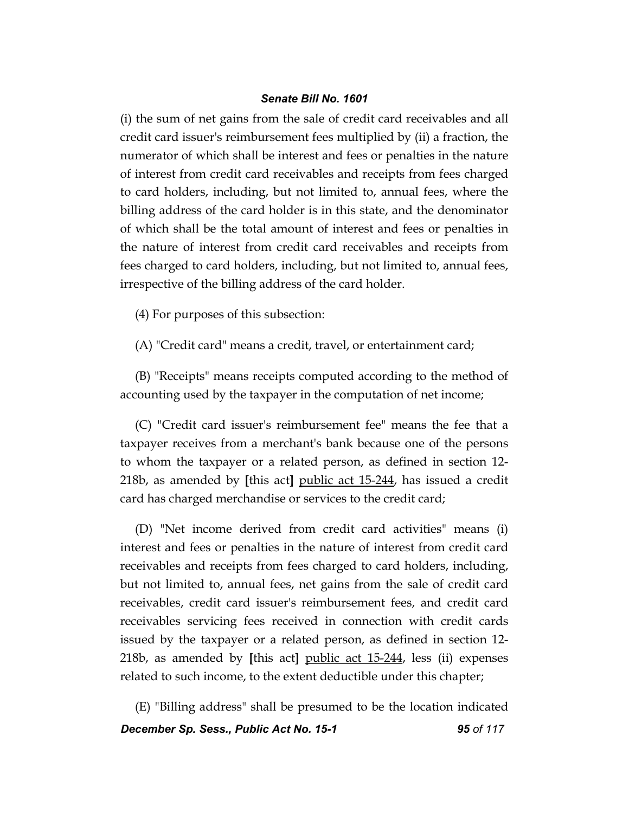(i) the sum of net gains from the sale of credit card receivables and all credit card issuer's reimbursement fees multiplied by (ii) a fraction, the numerator of which shall be interest and fees or penalties in the nature of interest from credit card receivables and receipts from fees charged to card holders, including, but not limited to, annual fees, where the billing address of the card holder is in this state, and the denominator of which shall be the total amount of interest and fees or penalties in the nature of interest from credit card receivables and receipts from fees charged to card holders, including, but not limited to, annual fees, irrespective of the billing address of the card holder.

(4) For purposes of this subsection:

(A) "Credit card" means a credit, travel, or entertainment card;

(B) "Receipts" means receipts computed according to the method of accounting used by the taxpayer in the computation of net income;

(C) "Credit card issuer's reimbursement fee" means the fee that a taxpayer receives from a merchant's bank because one of the persons to whom the taxpayer or a related person, as defined in section 12- 218b, as amended by **[**this act**]** public act 15-244, has issued a credit card has charged merchandise or services to the credit card;

(D) "Net income derived from credit card activities" means (i) interest and fees or penalties in the nature of interest from credit card receivables and receipts from fees charged to card holders, including, but not limited to, annual fees, net gains from the sale of credit card receivables, credit card issuer's reimbursement fees, and credit card receivables servicing fees received in connection with credit cards issued by the taxpayer or a related person, as defined in section 12- 218b, as amended by **[**this act**]** public act 15-244, less (ii) expenses related to such income, to the extent deductible under this chapter;

*December Sp. Sess., Public Act No. 15-1 95 of 117* (E) "Billing address" shall be presumed to be the location indicated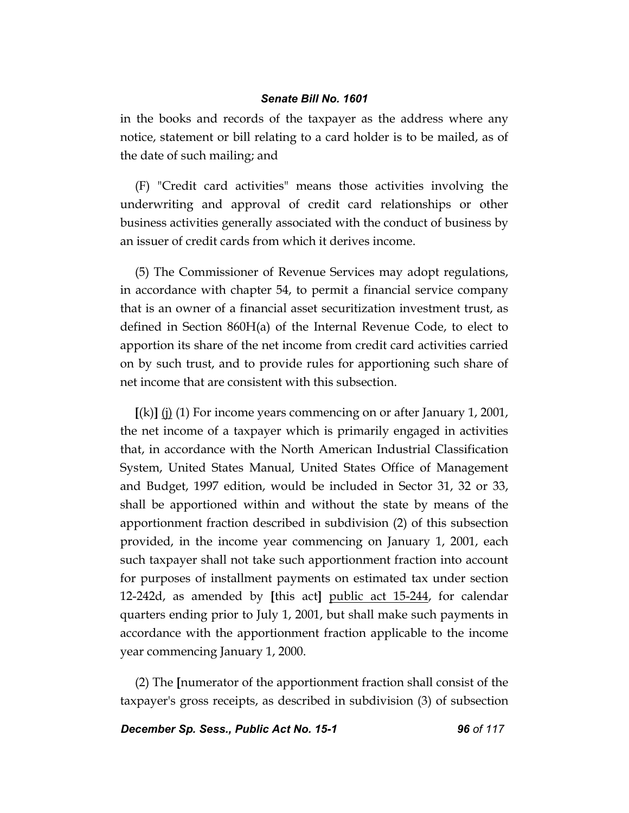in the books and records of the taxpayer as the address where any notice, statement or bill relating to a card holder is to be mailed, as of the date of such mailing; and

(F) "Credit card activities" means those activities involving the underwriting and approval of credit card relationships or other business activities generally associated with the conduct of business by an issuer of credit cards from which it derives income.

(5) The Commissioner of Revenue Services may adopt regulations, in accordance with chapter 54, to permit a financial service company that is an owner of a financial asset securitization investment trust, as defined in Section 860H(a) of the Internal Revenue Code, to elect to apportion its share of the net income from credit card activities carried on by such trust, and to provide rules for apportioning such share of net income that are consistent with this subsection.

**[**(k)**]** (j) (1) For income years commencing on or after January 1, 2001, the net income of a taxpayer which is primarily engaged in activities that, in accordance with the North American Industrial Classification System, United States Manual, United States Office of Management and Budget, 1997 edition, would be included in Sector 31, 32 or 33, shall be apportioned within and without the state by means of the apportionment fraction described in subdivision (2) of this subsection provided, in the income year commencing on January 1, 2001, each such taxpayer shall not take such apportionment fraction into account for purposes of installment payments on estimated tax under section 12-242d, as amended by **[**this act**]** public act 15-244, for calendar quarters ending prior to July 1, 2001, but shall make such payments in accordance with the apportionment fraction applicable to the income year commencing January 1, 2000.

(2) The **[**numerator of the apportionment fraction shall consist of the taxpayer's gross receipts, as described in subdivision (3) of subsection

*December Sp. Sess., Public Act No. 15-1 96 of 117*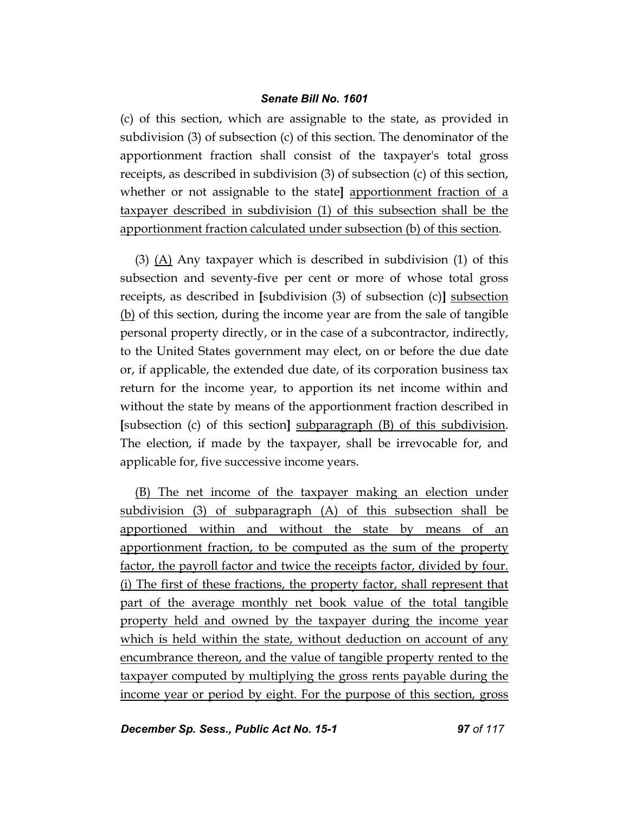(c) of this section, which are assignable to the state, as provided in subdivision (3) of subsection (c) of this section. The denominator of the apportionment fraction shall consist of the taxpayer's total gross receipts, as described in subdivision (3) of subsection (c) of this section, whether or not assignable to the state**]** apportionment fraction of a taxpayer described in subdivision (1) of this subsection shall be the apportionment fraction calculated under subsection (b) of this section.

(3) (A) Any taxpayer which is described in subdivision (1) of this subsection and seventy-five per cent or more of whose total gross receipts, as described in **[**subdivision (3) of subsection (c)**]** subsection (b) of this section, during the income year are from the sale of tangible personal property directly, or in the case of a subcontractor, indirectly, to the United States government may elect, on or before the due date or, if applicable, the extended due date, of its corporation business tax return for the income year, to apportion its net income within and without the state by means of the apportionment fraction described in **[**subsection (c) of this section**]** subparagraph (B) of this subdivision. The election, if made by the taxpayer, shall be irrevocable for, and applicable for, five successive income years.

(B) The net income of the taxpayer making an election under subdivision (3) of subparagraph (A) of this subsection shall be apportioned within and without the state by means of an apportionment fraction, to be computed as the sum of the property factor, the payroll factor and twice the receipts factor, divided by four. (i) The first of these fractions, the property factor, shall represent that part of the average monthly net book value of the total tangible property held and owned by the taxpayer during the income year which is held within the state, without deduction on account of any encumbrance thereon, and the value of tangible property rented to the taxpayer computed by multiplying the gross rents payable during the income year or period by eight. For the purpose of this section, gross

*December Sp. Sess., Public Act No. 15-1 97 of 117*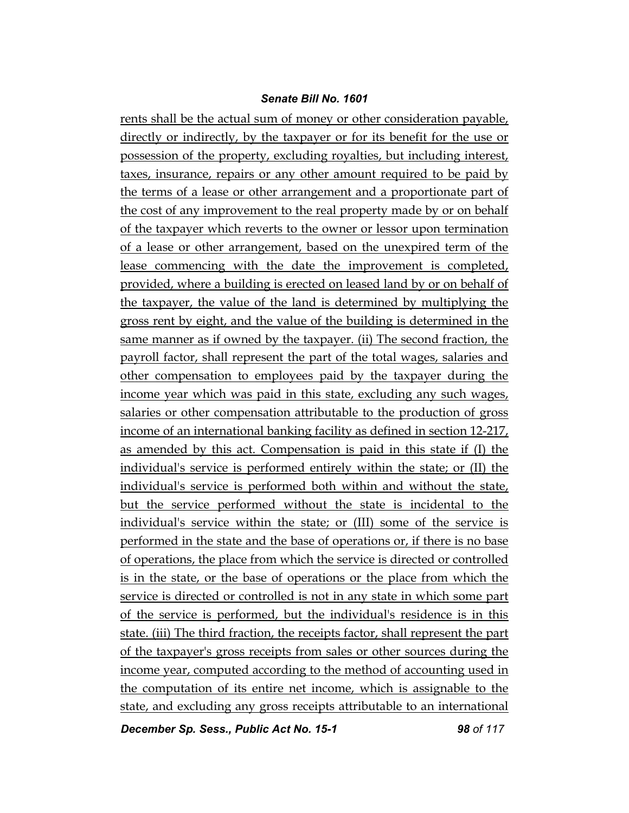rents shall be the actual sum of money or other consideration payable, directly or indirectly, by the taxpayer or for its benefit for the use or possession of the property, excluding royalties, but including interest, taxes, insurance, repairs or any other amount required to be paid by the terms of a lease or other arrangement and a proportionate part of the cost of any improvement to the real property made by or on behalf of the taxpayer which reverts to the owner or lessor upon termination of a lease or other arrangement, based on the unexpired term of the lease commencing with the date the improvement is completed, provided, where a building is erected on leased land by or on behalf of the taxpayer, the value of the land is determined by multiplying the gross rent by eight, and the value of the building is determined in the same manner as if owned by the taxpayer. (ii) The second fraction, the payroll factor, shall represent the part of the total wages, salaries and other compensation to employees paid by the taxpayer during the income year which was paid in this state, excluding any such wages, salaries or other compensation attributable to the production of gross income of an international banking facility as defined in section 12-217, as amended by this act. Compensation is paid in this state if (I) the individual's service is performed entirely within the state; or (II) the individual's service is performed both within and without the state, but the service performed without the state is incidental to the individual's service within the state; or (III) some of the service is performed in the state and the base of operations or, if there is no base of operations, the place from which the service is directed or controlled is in the state, or the base of operations or the place from which the service is directed or controlled is not in any state in which some part of the service is performed, but the individual's residence is in this state. (iii) The third fraction, the receipts factor, shall represent the part of the taxpayer's gross receipts from sales or other sources during the income year, computed according to the method of accounting used in the computation of its entire net income, which is assignable to the state, and excluding any gross receipts attributable to an international

*December Sp. Sess., Public Act No. 15-1 98 of 117*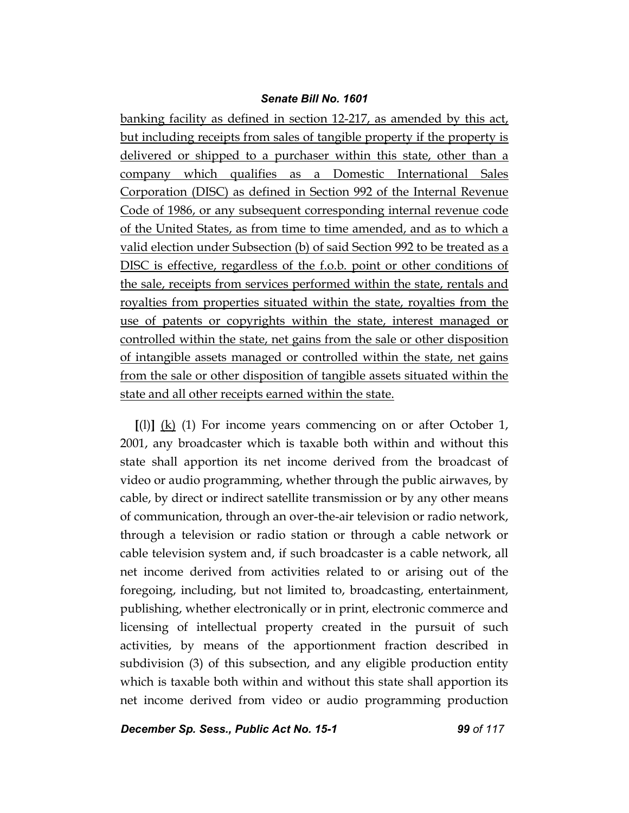banking facility as defined in section 12-217, as amended by this act, but including receipts from sales of tangible property if the property is delivered or shipped to a purchaser within this state, other than a company which qualifies as a Domestic International Sales Corporation (DISC) as defined in Section 992 of the Internal Revenue Code of 1986, or any subsequent corresponding internal revenue code of the United States, as from time to time amended, and as to which a valid election under Subsection (b) of said Section 992 to be treated as a DISC is effective, regardless of the f.o.b. point or other conditions of the sale, receipts from services performed within the state, rentals and royalties from properties situated within the state, royalties from the use of patents or copyrights within the state, interest managed or controlled within the state, net gains from the sale or other disposition of intangible assets managed or controlled within the state, net gains from the sale or other disposition of tangible assets situated within the state and all other receipts earned within the state.

**[**(l)**]** (k) (1) For income years commencing on or after October 1, 2001, any broadcaster which is taxable both within and without this state shall apportion its net income derived from the broadcast of video or audio programming, whether through the public airwaves, by cable, by direct or indirect satellite transmission or by any other means of communication, through an over-the-air television or radio network, through a television or radio station or through a cable network or cable television system and, if such broadcaster is a cable network, all net income derived from activities related to or arising out of the foregoing, including, but not limited to, broadcasting, entertainment, publishing, whether electronically or in print, electronic commerce and licensing of intellectual property created in the pursuit of such activities, by means of the apportionment fraction described in subdivision (3) of this subsection, and any eligible production entity which is taxable both within and without this state shall apportion its net income derived from video or audio programming production

*December Sp. Sess., Public Act No. 15-1 99 of 117*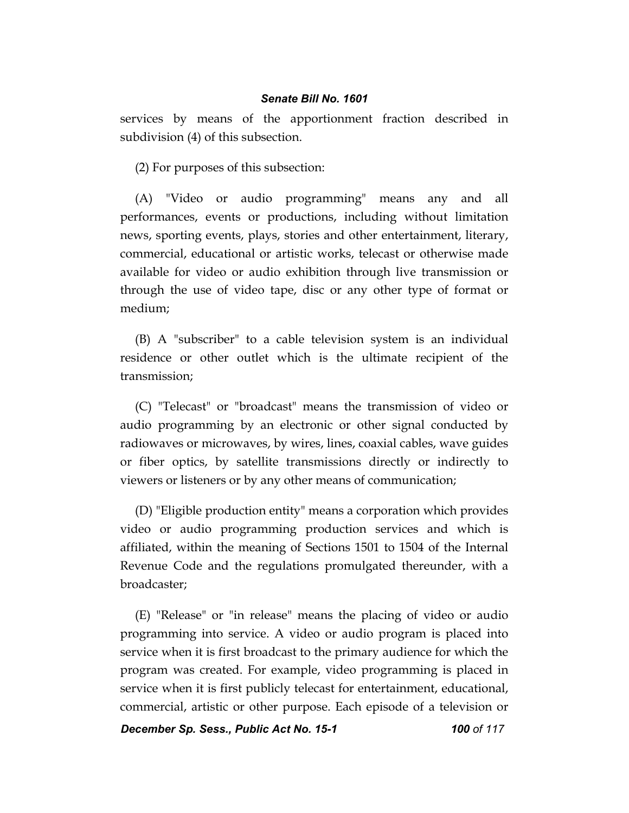services by means of the apportionment fraction described in subdivision (4) of this subsection.

(2) For purposes of this subsection:

(A) "Video or audio programming" means any and all performances, events or productions, including without limitation news, sporting events, plays, stories and other entertainment, literary, commercial, educational or artistic works, telecast or otherwise made available for video or audio exhibition through live transmission or through the use of video tape, disc or any other type of format or medium;

(B) A "subscriber" to a cable television system is an individual residence or other outlet which is the ultimate recipient of the transmission;

(C) "Telecast" or "broadcast" means the transmission of video or audio programming by an electronic or other signal conducted by radiowaves or microwaves, by wires, lines, coaxial cables, wave guides or fiber optics, by satellite transmissions directly or indirectly to viewers or listeners or by any other means of communication;

(D) "Eligible production entity" means a corporation which provides video or audio programming production services and which is affiliated, within the meaning of Sections 1501 to 1504 of the Internal Revenue Code and the regulations promulgated thereunder, with a broadcaster;

(E) "Release" or "in release" means the placing of video or audio programming into service. A video or audio program is placed into service when it is first broadcast to the primary audience for which the program was created. For example, video programming is placed in service when it is first publicly telecast for entertainment, educational, commercial, artistic or other purpose. Each episode of a television or

*December Sp. Sess., Public Act No. 15-1 100 of 117*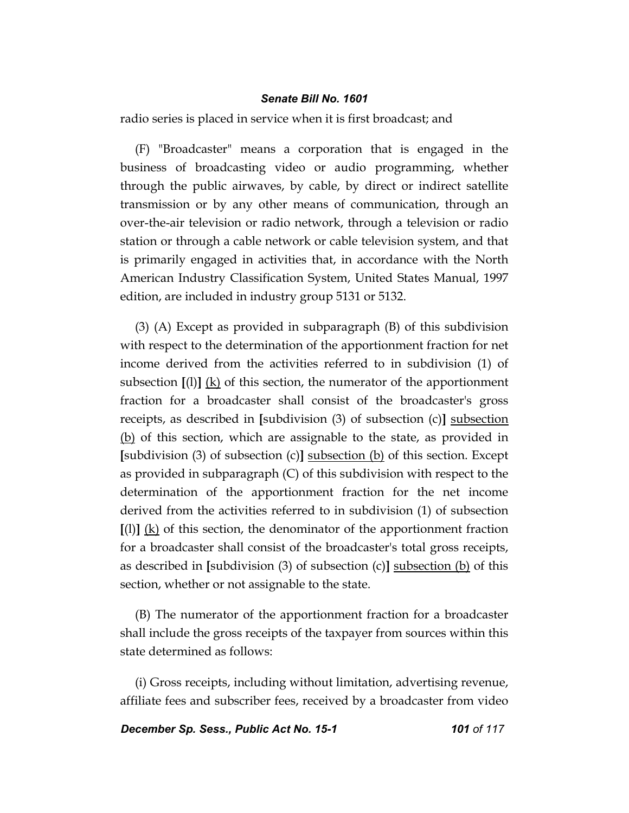radio series is placed in service when it is first broadcast; and

(F) "Broadcaster" means a corporation that is engaged in the business of broadcasting video or audio programming, whether through the public airwaves, by cable, by direct or indirect satellite transmission or by any other means of communication, through an over-the-air television or radio network, through a television or radio station or through a cable network or cable television system, and that is primarily engaged in activities that, in accordance with the North American Industry Classification System, United States Manual, 1997 edition, are included in industry group 5131 or 5132.

(3) (A) Except as provided in subparagraph (B) of this subdivision with respect to the determination of the apportionment fraction for net income derived from the activities referred to in subdivision (1) of subsection  $\lbrack \text{1} \rbrack$  (k) of this section, the numerator of the apportionment fraction for a broadcaster shall consist of the broadcaster's gross receipts, as described in **[**subdivision (3) of subsection (c)**]** subsection (b) of this section, which are assignable to the state, as provided in **[**subdivision (3) of subsection (c)**]** subsection (b) of this section. Except as provided in subparagraph (C) of this subdivision with respect to the determination of the apportionment fraction for the net income derived from the activities referred to in subdivision (1) of subsection **[**(l)**]** (k) of this section, the denominator of the apportionment fraction for a broadcaster shall consist of the broadcaster's total gross receipts, as described in **[**subdivision (3) of subsection (c)**]** subsection (b) of this section, whether or not assignable to the state.

(B) The numerator of the apportionment fraction for a broadcaster shall include the gross receipts of the taxpayer from sources within this state determined as follows:

(i) Gross receipts, including without limitation, advertising revenue, affiliate fees and subscriber fees, received by a broadcaster from video

**December Sp. Sess., Public Act No. 15-1 101 06 117**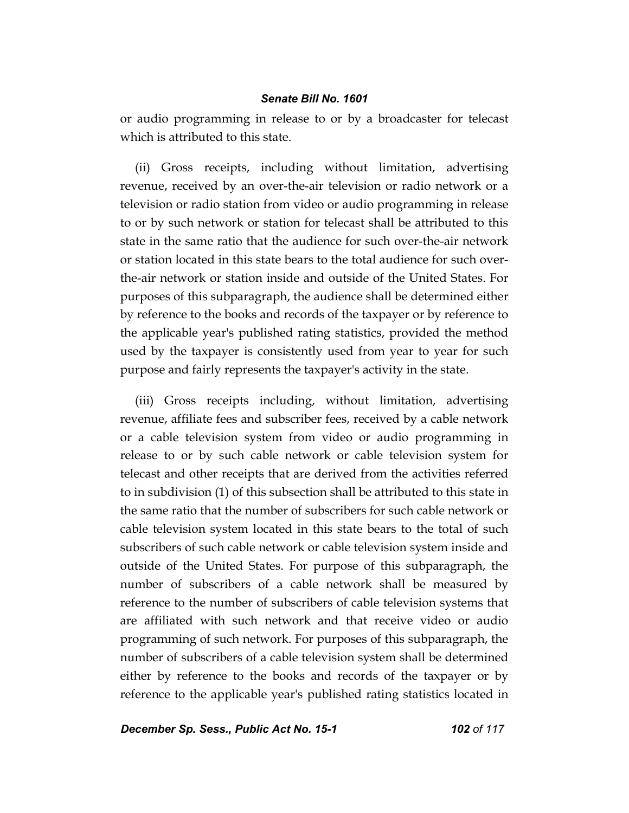or audio programming in release to or by a broadcaster for telecast which is attributed to this state.

(ii) Gross receipts, including without limitation, advertising revenue, received by an over-the-air television or radio network or a television or radio station from video or audio programming in release to or by such network or station for telecast shall be attributed to this state in the same ratio that the audience for such over-the-air network or station located in this state bears to the total audience for such overthe-air network or station inside and outside of the United States. For purposes of this subparagraph, the audience shall be determined either by reference to the books and records of the taxpayer or by reference to the applicable year's published rating statistics, provided the method used by the taxpayer is consistently used from year to year for such purpose and fairly represents the taxpayer's activity in the state.

(iii) Gross receipts including, without limitation, advertising revenue, affiliate fees and subscriber fees, received by a cable network or a cable television system from video or audio programming in release to or by such cable network or cable television system for telecast and other receipts that are derived from the activities referred to in subdivision (1) of this subsection shall be attributed to this state in the same ratio that the number of subscribers for such cable network or cable television system located in this state bears to the total of such subscribers of such cable network or cable television system inside and outside of the United States. For purpose of this subparagraph, the number of subscribers of a cable network shall be measured by reference to the number of subscribers of cable television systems that are affiliated with such network and that receive video or audio programming of such network. For purposes of this subparagraph, the number of subscribers of a cable television system shall be determined either by reference to the books and records of the taxpayer or by reference to the applicable year's published rating statistics located in

**December Sp. Sess., Public Act No. 15-1 102 of 117**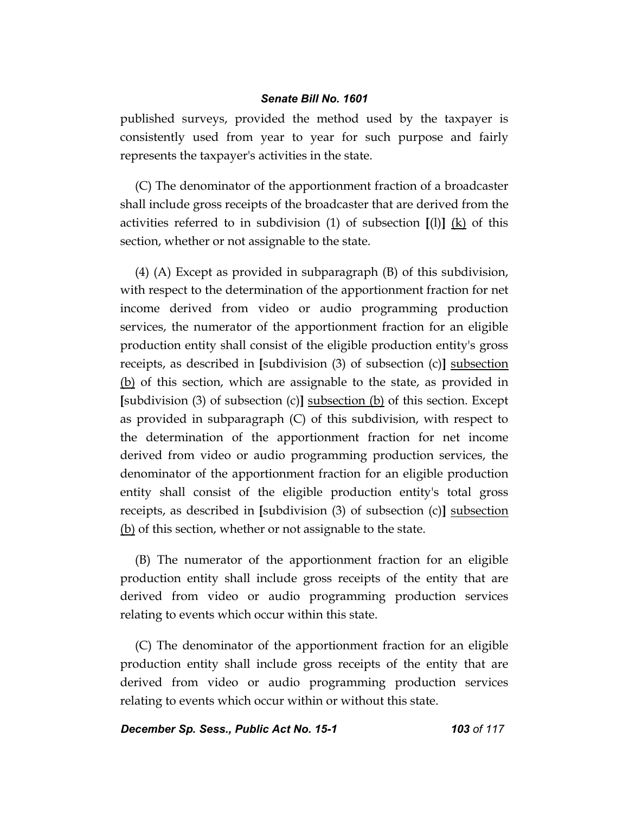published surveys, provided the method used by the taxpayer is consistently used from year to year for such purpose and fairly represents the taxpayer's activities in the state.

(C) The denominator of the apportionment fraction of a broadcaster shall include gross receipts of the broadcaster that are derived from the activities referred to in subdivision (1) of subsection **[**(l)**]** (k) of this section, whether or not assignable to the state.

(4) (A) Except as provided in subparagraph (B) of this subdivision, with respect to the determination of the apportionment fraction for net income derived from video or audio programming production services, the numerator of the apportionment fraction for an eligible production entity shall consist of the eligible production entity's gross receipts, as described in **[**subdivision (3) of subsection (c)**]** subsection (b) of this section, which are assignable to the state, as provided in **[**subdivision (3) of subsection (c)**]** subsection (b) of this section. Except as provided in subparagraph (C) of this subdivision, with respect to the determination of the apportionment fraction for net income derived from video or audio programming production services, the denominator of the apportionment fraction for an eligible production entity shall consist of the eligible production entity's total gross receipts, as described in **[**subdivision (3) of subsection (c)**]** subsection (b) of this section, whether or not assignable to the state.

(B) The numerator of the apportionment fraction for an eligible production entity shall include gross receipts of the entity that are derived from video or audio programming production services relating to events which occur within this state.

(C) The denominator of the apportionment fraction for an eligible production entity shall include gross receipts of the entity that are derived from video or audio programming production services relating to events which occur within or without this state.

*December Sp. Sess., Public Act No. 15-1 103 of 117*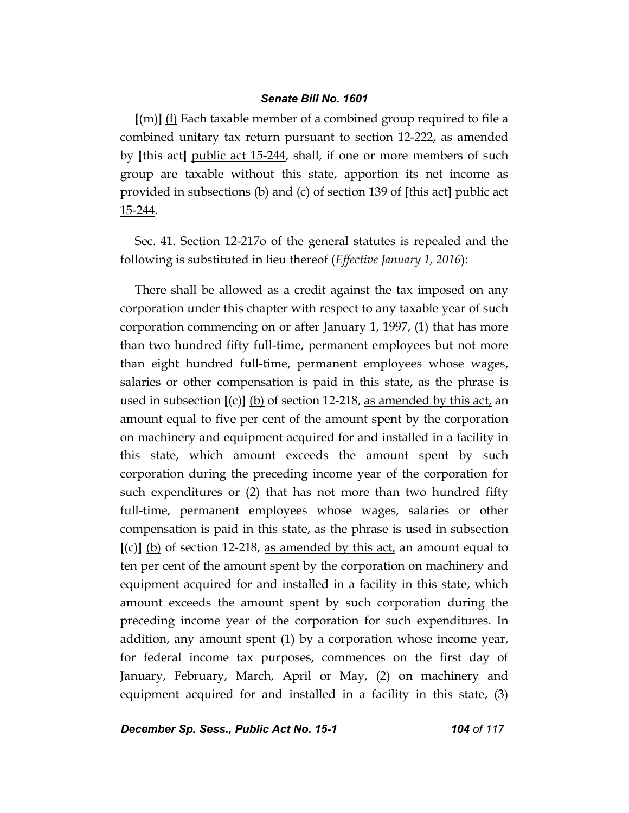**[**(m)**]** (l) Each taxable member of a combined group required to file a combined unitary tax return pursuant to section 12-222, as amended by **[**this act**]** public act 15-244, shall, if one or more members of such group are taxable without this state, apportion its net income as provided in subsections (b) and (c) of section 139 of **[**this act**]** public act 15-244.

Sec. 41. Section 12-217o of the general statutes is repealed and the following is substituted in lieu thereof (*Effective January 1, 2016*):

There shall be allowed as a credit against the tax imposed on any corporation under this chapter with respect to any taxable year of such corporation commencing on or after January 1, 1997, (1) that has more than two hundred fifty full-time, permanent employees but not more than eight hundred full-time, permanent employees whose wages, salaries or other compensation is paid in this state, as the phrase is used in subsection **[**(c)**]** (b) of section 12-218, as amended by this act, an amount equal to five per cent of the amount spent by the corporation on machinery and equipment acquired for and installed in a facility in this state, which amount exceeds the amount spent by such corporation during the preceding income year of the corporation for such expenditures or (2) that has not more than two hundred fifty full-time, permanent employees whose wages, salaries or other compensation is paid in this state, as the phrase is used in subsection  $\lbrack (c) \rbrack$  (b) of section 12-218, as amended by this act, an amount equal to ten per cent of the amount spent by the corporation on machinery and equipment acquired for and installed in a facility in this state, which amount exceeds the amount spent by such corporation during the preceding income year of the corporation for such expenditures. In addition, any amount spent (1) by a corporation whose income year, for federal income tax purposes, commences on the first day of January, February, March, April or May, (2) on machinery and equipment acquired for and installed in a facility in this state, (3)

**December Sp. Sess., Public Act No. 15-1 104 0f 117**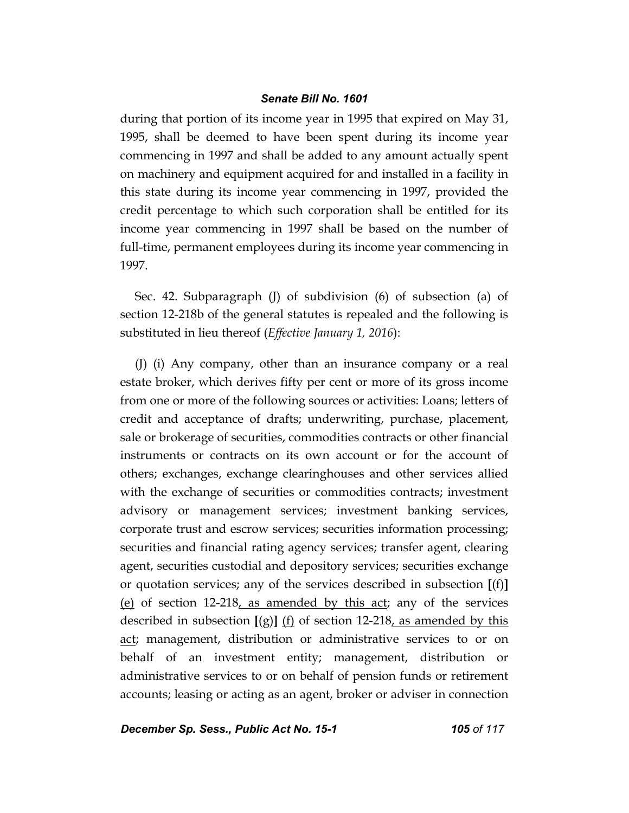during that portion of its income year in 1995 that expired on May 31, 1995, shall be deemed to have been spent during its income year commencing in 1997 and shall be added to any amount actually spent on machinery and equipment acquired for and installed in a facility in this state during its income year commencing in 1997, provided the credit percentage to which such corporation shall be entitled for its income year commencing in 1997 shall be based on the number of full-time, permanent employees during its income year commencing in 1997.

Sec. 42. Subparagraph (J) of subdivision (6) of subsection (a) of section 12-218b of the general statutes is repealed and the following is substituted in lieu thereof (*Effective January 1, 2016*):

(J) (i) Any company, other than an insurance company or a real estate broker, which derives fifty per cent or more of its gross income from one or more of the following sources or activities: Loans; letters of credit and acceptance of drafts; underwriting, purchase, placement, sale or brokerage of securities, commodities contracts or other financial instruments or contracts on its own account or for the account of others; exchanges, exchange clearinghouses and other services allied with the exchange of securities or commodities contracts; investment advisory or management services; investment banking services, corporate trust and escrow services; securities information processing; securities and financial rating agency services; transfer agent, clearing agent, securities custodial and depository services; securities exchange or quotation services; any of the services described in subsection **[**(f)**]** (e) of section 12-218, as amended by this act; any of the services described in subsection **[**(g)**]** (f) of section 12-218, as amended by this act; management, distribution or administrative services to or on behalf of an investment entity; management, distribution or administrative services to or on behalf of pension funds or retirement accounts; leasing or acting as an agent, broker or adviser in connection

*December Sp. Sess., Public Act No. 15-1 105 of 117*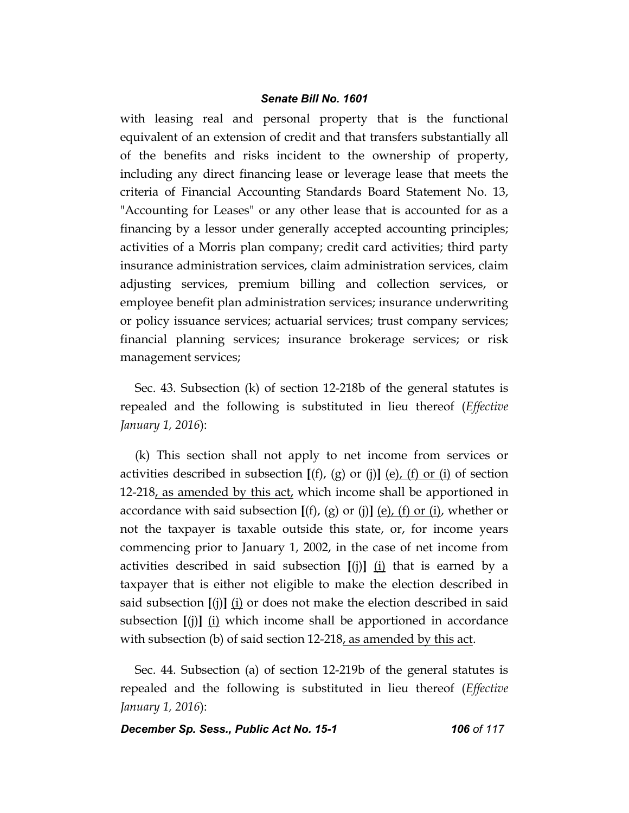with leasing real and personal property that is the functional equivalent of an extension of credit and that transfers substantially all of the benefits and risks incident to the ownership of property, including any direct financing lease or leverage lease that meets the criteria of Financial Accounting Standards Board Statement No. 13, "Accounting for Leases" or any other lease that is accounted for as a financing by a lessor under generally accepted accounting principles; activities of a Morris plan company; credit card activities; third party insurance administration services, claim administration services, claim adjusting services, premium billing and collection services, or employee benefit plan administration services; insurance underwriting or policy issuance services; actuarial services; trust company services; financial planning services; insurance brokerage services; or risk management services;

Sec. 43. Subsection (k) of section 12-218b of the general statutes is repealed and the following is substituted in lieu thereof (*Effective January 1, 2016*):

(k) This section shall not apply to net income from services or activities described in subsection **[**(f), (g) or (j)**]** (e), (f) or (i) of section 12-218, as amended by this act, which income shall be apportioned in accordance with said subsection  $[(f), (g)$  or  $(j)]$   $(e)$ ,  $(f)$  or  $(i)$ , whether or not the taxpayer is taxable outside this state, or, for income years commencing prior to January 1, 2002, in the case of net income from activities described in said subsection  $[(j)]$   $(i)$  that is earned by a taxpayer that is either not eligible to make the election described in said subsection **[**(j)**]** (i) or does not make the election described in said subsection **[**(j)**]** (i) which income shall be apportioned in accordance with subsection (b) of said section  $12-218$ , as amended by this act.

Sec. 44. Subsection (a) of section 12-219b of the general statutes is repealed and the following is substituted in lieu thereof (*Effective January 1, 2016*):

*December Sp. Sess., Public Act No. 15-1 106 of 117*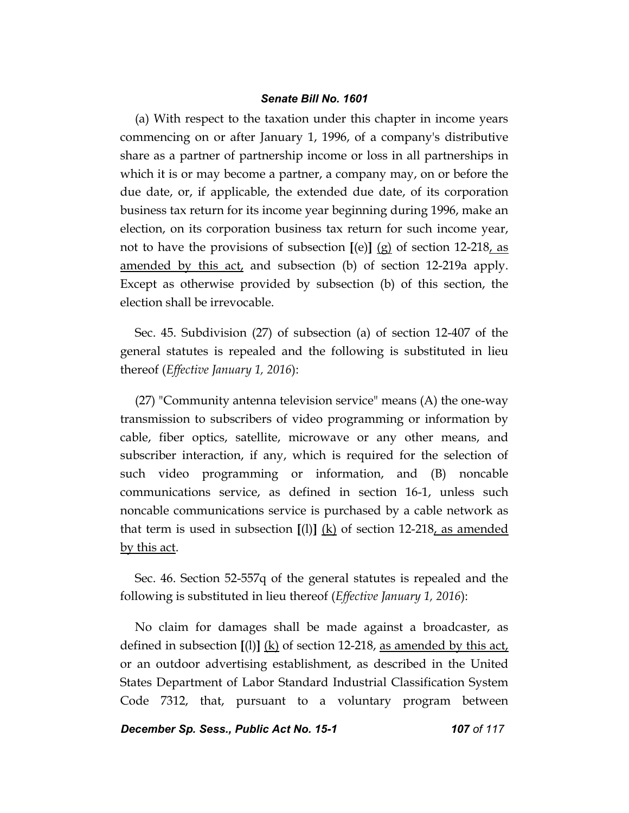(a) With respect to the taxation under this chapter in income years commencing on or after January 1, 1996, of a company's distributive share as a partner of partnership income or loss in all partnerships in which it is or may become a partner, a company may, on or before the due date, or, if applicable, the extended due date, of its corporation business tax return for its income year beginning during 1996, make an election, on its corporation business tax return for such income year, not to have the provisions of subsection **[**(e)**]** (g) of section 12-218, as amended by this act, and subsection (b) of section 12-219a apply. Except as otherwise provided by subsection (b) of this section, the election shall be irrevocable.

Sec. 45. Subdivision (27) of subsection (a) of section 12-407 of the general statutes is repealed and the following is substituted in lieu thereof (*Effective January 1, 2016*):

(27) "Community antenna television service" means (A) the one-way transmission to subscribers of video programming or information by cable, fiber optics, satellite, microwave or any other means, and subscriber interaction, if any, which is required for the selection of such video programming or information, and (B) noncable communications service, as defined in section 16-1, unless such noncable communications service is purchased by a cable network as that term is used in subsection **[**(l)**]** (k) of section 12-218, as amended by this act.

Sec. 46. Section 52-557q of the general statutes is repealed and the following is substituted in lieu thereof (*Effective January 1, 2016*):

No claim for damages shall be made against a broadcaster, as defined in subsection  $[(1)]$  (k) of section 12-218, as amended by this act, or an outdoor advertising establishment, as described in the United States Department of Labor Standard Industrial Classification System Code 7312, that, pursuant to a voluntary program between

**December Sp. Sess., Public Act No. 15-1 107 0f 117**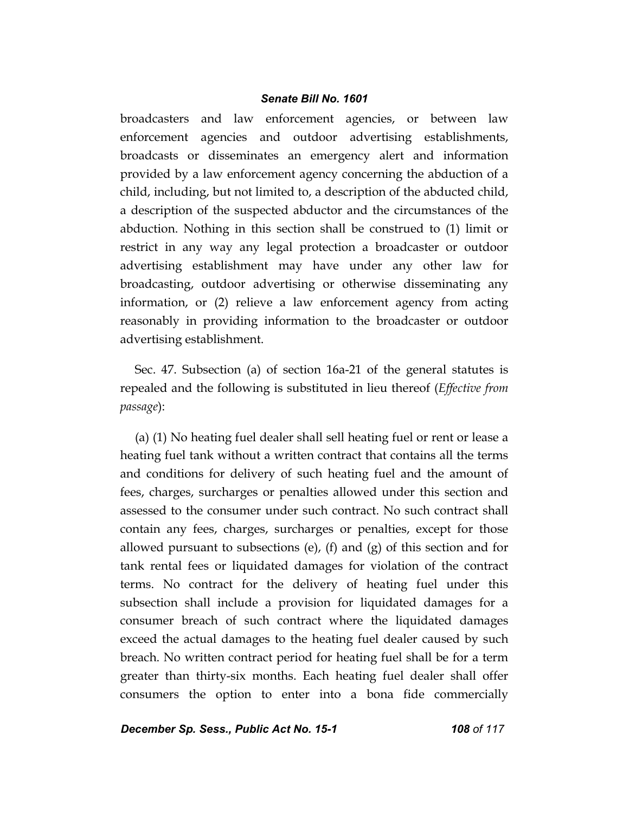broadcasters and law enforcement agencies, or between law enforcement agencies and outdoor advertising establishments, broadcasts or disseminates an emergency alert and information provided by a law enforcement agency concerning the abduction of a child, including, but not limited to, a description of the abducted child, a description of the suspected abductor and the circumstances of the abduction. Nothing in this section shall be construed to (1) limit or restrict in any way any legal protection a broadcaster or outdoor advertising establishment may have under any other law for broadcasting, outdoor advertising or otherwise disseminating any information, or (2) relieve a law enforcement agency from acting reasonably in providing information to the broadcaster or outdoor advertising establishment.

Sec. 47. Subsection (a) of section 16a-21 of the general statutes is repealed and the following is substituted in lieu thereof (*Effective from passage*):

(a) (1) No heating fuel dealer shall sell heating fuel or rent or lease a heating fuel tank without a written contract that contains all the terms and conditions for delivery of such heating fuel and the amount of fees, charges, surcharges or penalties allowed under this section and assessed to the consumer under such contract. No such contract shall contain any fees, charges, surcharges or penalties, except for those allowed pursuant to subsections (e), (f) and  $(g)$  of this section and for tank rental fees or liquidated damages for violation of the contract terms. No contract for the delivery of heating fuel under this subsection shall include a provision for liquidated damages for a consumer breach of such contract where the liquidated damages exceed the actual damages to the heating fuel dealer caused by such breach. No written contract period for heating fuel shall be for a term greater than thirty-six months. Each heating fuel dealer shall offer consumers the option to enter into a bona fide commercially

*December Sp. Sess., Public Act No. 15-1 108 of 117*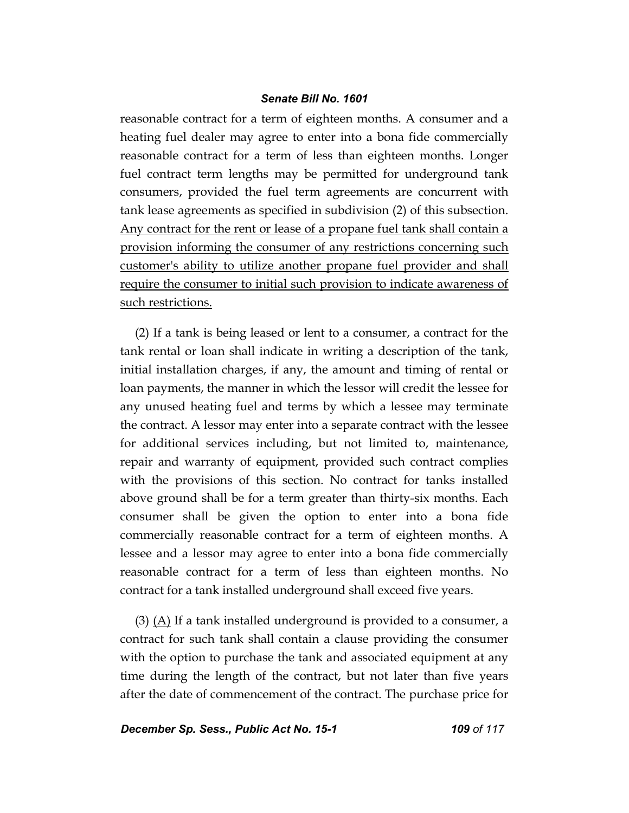reasonable contract for a term of eighteen months. A consumer and a heating fuel dealer may agree to enter into a bona fide commercially reasonable contract for a term of less than eighteen months. Longer fuel contract term lengths may be permitted for underground tank consumers, provided the fuel term agreements are concurrent with tank lease agreements as specified in subdivision (2) of this subsection. Any contract for the rent or lease of a propane fuel tank shall contain a provision informing the consumer of any restrictions concerning such customer's ability to utilize another propane fuel provider and shall require the consumer to initial such provision to indicate awareness of such restrictions.

(2) If a tank is being leased or lent to a consumer, a contract for the tank rental or loan shall indicate in writing a description of the tank, initial installation charges, if any, the amount and timing of rental or loan payments, the manner in which the lessor will credit the lessee for any unused heating fuel and terms by which a lessee may terminate the contract. A lessor may enter into a separate contract with the lessee for additional services including, but not limited to, maintenance, repair and warranty of equipment, provided such contract complies with the provisions of this section. No contract for tanks installed above ground shall be for a term greater than thirty-six months. Each consumer shall be given the option to enter into a bona fide commercially reasonable contract for a term of eighteen months. A lessee and a lessor may agree to enter into a bona fide commercially reasonable contract for a term of less than eighteen months. No contract for a tank installed underground shall exceed five years.

 $(3)$  (A) If a tank installed underground is provided to a consumer, a contract for such tank shall contain a clause providing the consumer with the option to purchase the tank and associated equipment at any time during the length of the contract, but not later than five years after the date of commencement of the contract. The purchase price for

*December Sp. Sess., Public Act No. 15-1 109 of 117*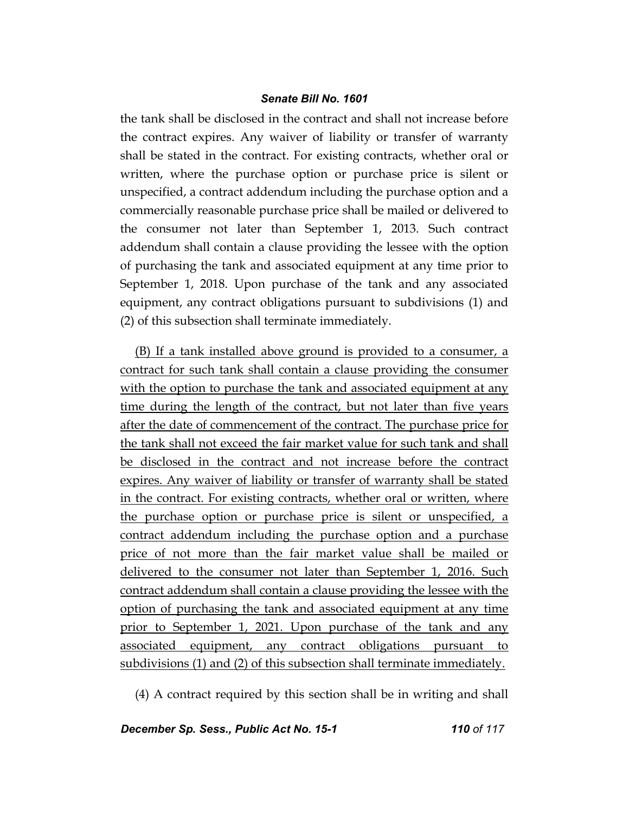the tank shall be disclosed in the contract and shall not increase before the contract expires. Any waiver of liability or transfer of warranty shall be stated in the contract. For existing contracts, whether oral or written, where the purchase option or purchase price is silent or unspecified, a contract addendum including the purchase option and a commercially reasonable purchase price shall be mailed or delivered to the consumer not later than September 1, 2013. Such contract addendum shall contain a clause providing the lessee with the option of purchasing the tank and associated equipment at any time prior to September 1, 2018. Upon purchase of the tank and any associated equipment, any contract obligations pursuant to subdivisions (1) and (2) of this subsection shall terminate immediately.

(B) If a tank installed above ground is provided to a consumer, a contract for such tank shall contain a clause providing the consumer with the option to purchase the tank and associated equipment at any time during the length of the contract, but not later than five years after the date of commencement of the contract. The purchase price for the tank shall not exceed the fair market value for such tank and shall be disclosed in the contract and not increase before the contract expires. Any waiver of liability or transfer of warranty shall be stated in the contract. For existing contracts, whether oral or written, where the purchase option or purchase price is silent or unspecified, a contract addendum including the purchase option and a purchase price of not more than the fair market value shall be mailed or delivered to the consumer not later than September 1, 2016. Such contract addendum shall contain a clause providing the lessee with the option of purchasing the tank and associated equipment at any time prior to September 1, 2021. Upon purchase of the tank and any associated equipment, any contract obligations pursuant to subdivisions (1) and (2) of this subsection shall terminate immediately.

(4) A contract required by this section shall be in writing and shall

**December Sp. Sess., Public Act No. 15-1 110 0f 117**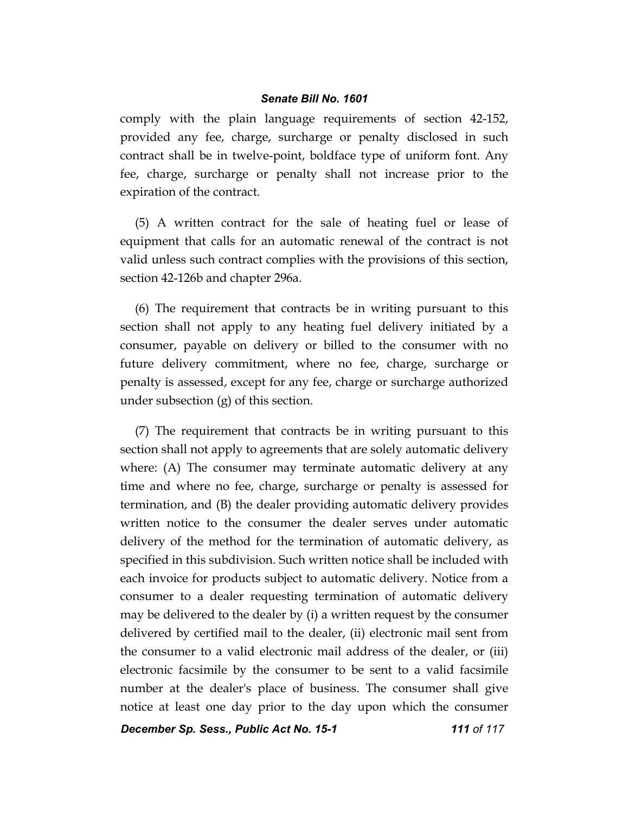comply with the plain language requirements of section 42-152, provided any fee, charge, surcharge or penalty disclosed in such contract shall be in twelve-point, boldface type of uniform font. Any fee, charge, surcharge or penalty shall not increase prior to the expiration of the contract.

(5) A written contract for the sale of heating fuel or lease of equipment that calls for an automatic renewal of the contract is not valid unless such contract complies with the provisions of this section, section 42-126b and chapter 296a.

(6) The requirement that contracts be in writing pursuant to this section shall not apply to any heating fuel delivery initiated by a consumer, payable on delivery or billed to the consumer with no future delivery commitment, where no fee, charge, surcharge or penalty is assessed, except for any fee, charge or surcharge authorized under subsection (g) of this section.

(7) The requirement that contracts be in writing pursuant to this section shall not apply to agreements that are solely automatic delivery where: (A) The consumer may terminate automatic delivery at any time and where no fee, charge, surcharge or penalty is assessed for termination, and (B) the dealer providing automatic delivery provides written notice to the consumer the dealer serves under automatic delivery of the method for the termination of automatic delivery, as specified in this subdivision. Such written notice shall be included with each invoice for products subject to automatic delivery. Notice from a consumer to a dealer requesting termination of automatic delivery may be delivered to the dealer by (i) a written request by the consumer delivered by certified mail to the dealer, (ii) electronic mail sent from the consumer to a valid electronic mail address of the dealer, or (iii) electronic facsimile by the consumer to be sent to a valid facsimile number at the dealer's place of business. The consumer shall give notice at least one day prior to the day upon which the consumer

**December Sp. Sess., Public Act No. 15-1 111 111 111 117**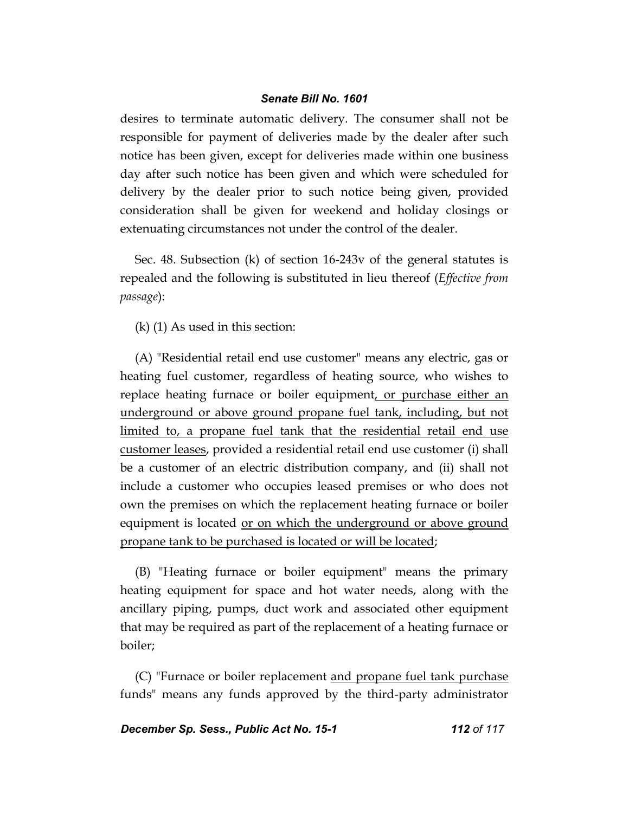desires to terminate automatic delivery. The consumer shall not be responsible for payment of deliveries made by the dealer after such notice has been given, except for deliveries made within one business day after such notice has been given and which were scheduled for delivery by the dealer prior to such notice being given, provided consideration shall be given for weekend and holiday closings or extenuating circumstances not under the control of the dealer.

Sec. 48. Subsection (k) of section 16-243v of the general statutes is repealed and the following is substituted in lieu thereof (*Effective from passage*):

(k) (1) As used in this section:

(A) "Residential retail end use customer" means any electric, gas or heating fuel customer, regardless of heating source, who wishes to replace heating furnace or boiler equipment, or purchase either an underground or above ground propane fuel tank, including, but not limited to, a propane fuel tank that the residential retail end use customer leases, provided a residential retail end use customer (i) shall be a customer of an electric distribution company, and (ii) shall not include a customer who occupies leased premises or who does not own the premises on which the replacement heating furnace or boiler equipment is located <u>or on which the underground or above ground</u> propane tank to be purchased is located or will be located;

(B) "Heating furnace or boiler equipment" means the primary heating equipment for space and hot water needs, along with the ancillary piping, pumps, duct work and associated other equipment that may be required as part of the replacement of a heating furnace or boiler;

(C) "Furnace or boiler replacement and propane fuel tank purchase funds" means any funds approved by the third-party administrator

**December Sp. Sess., Public Act No. 15-1 112 0f 117**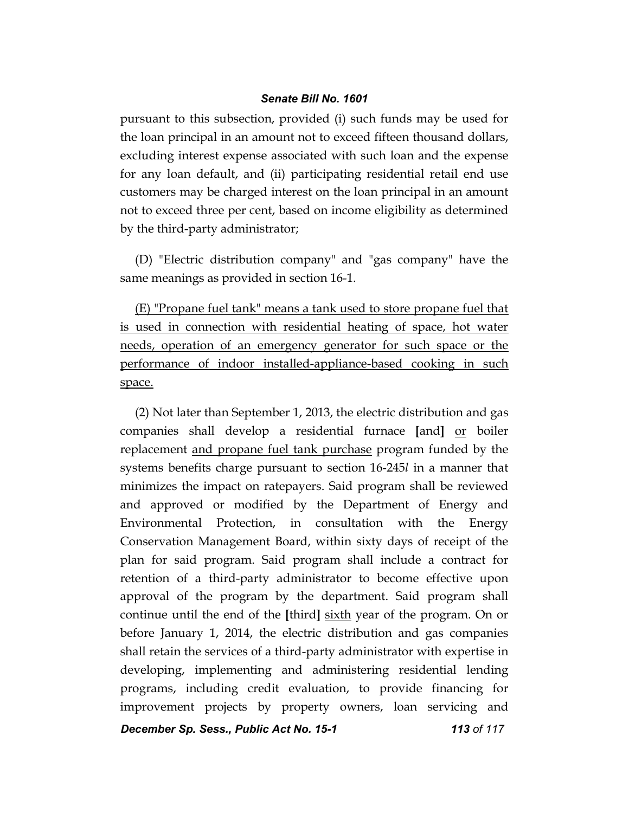pursuant to this subsection, provided (i) such funds may be used for the loan principal in an amount not to exceed fifteen thousand dollars, excluding interest expense associated with such loan and the expense for any loan default, and (ii) participating residential retail end use customers may be charged interest on the loan principal in an amount not to exceed three per cent, based on income eligibility as determined by the third-party administrator;

(D) "Electric distribution company" and "gas company" have the same meanings as provided in section 16-1.

(E) "Propane fuel tank" means a tank used to store propane fuel that is used in connection with residential heating of space, hot water needs, operation of an emergency generator for such space or the performance of indoor installed-appliance-based cooking in such space.

(2) Not later than September 1, 2013, the electric distribution and gas companies shall develop a residential furnace **[**and**]** or boiler replacement and propane fuel tank purchase program funded by the systems benefits charge pursuant to section 16-245*l* in a manner that minimizes the impact on ratepayers. Said program shall be reviewed and approved or modified by the Department of Energy and Environmental Protection, in consultation with the Energy Conservation Management Board, within sixty days of receipt of the plan for said program. Said program shall include a contract for retention of a third-party administrator to become effective upon approval of the program by the department. Said program shall continue until the end of the **[**third**]** sixth year of the program. On or before January 1, 2014, the electric distribution and gas companies shall retain the services of a third-party administrator with expertise in developing, implementing and administering residential lending programs, including credit evaluation, to provide financing for improvement projects by property owners, loan servicing and

**December Sp. Sess., Public Act No. 15-1 113 0f 117**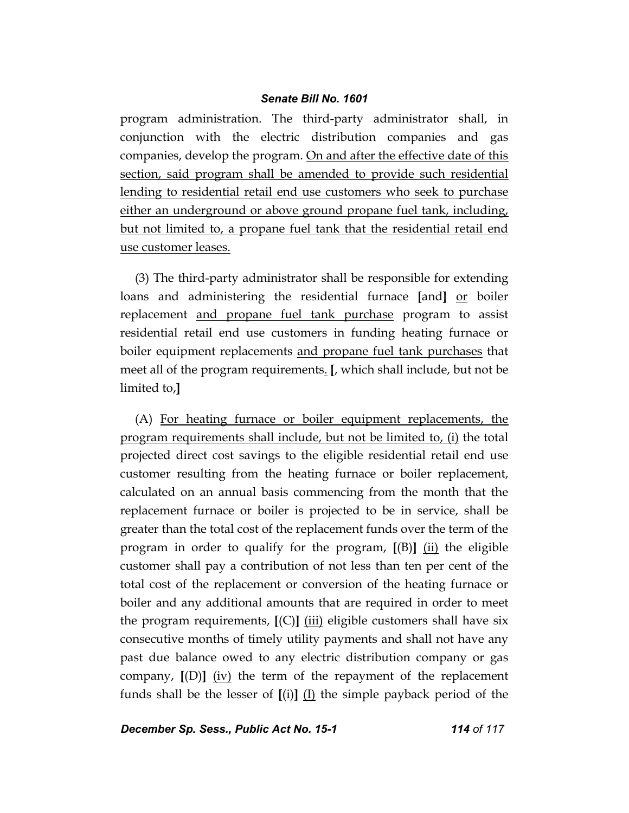program administration. The third-party administrator shall, in conjunction with the electric distribution companies and gas companies, develop the program. On and after the effective date of this section, said program shall be amended to provide such residential lending to residential retail end use customers who seek to purchase either an underground or above ground propane fuel tank, including, but not limited to, a propane fuel tank that the residential retail end use customer leases.

(3) The third-party administrator shall be responsible for extending loans and administering the residential furnace **[**and**]** or boiler replacement and propane fuel tank purchase program to assist residential retail end use customers in funding heating furnace or boiler equipment replacements and propane fuel tank purchases that meet all of the program requirements. **[**, which shall include, but not be limited to,**]**

(A) For heating furnace or boiler equipment replacements, the program requirements shall include, but not be limited to, (i) the total projected direct cost savings to the eligible residential retail end use customer resulting from the heating furnace or boiler replacement, calculated on an annual basis commencing from the month that the replacement furnace or boiler is projected to be in service, shall be greater than the total cost of the replacement funds over the term of the program in order to qualify for the program, **[**(B)**]** (ii) the eligible customer shall pay a contribution of not less than ten per cent of the total cost of the replacement or conversion of the heating furnace or boiler and any additional amounts that are required in order to meet the program requirements, **[**(C)**]** (iii) eligible customers shall have six consecutive months of timely utility payments and shall not have any past due balance owed to any electric distribution company or gas company, **[**(D)**]** (iv) the term of the repayment of the replacement funds shall be the lesser of **[**(i)**]** (I) the simple payback period of the

*December Sp. Sess., Public Act No. 15-1 114 of 117*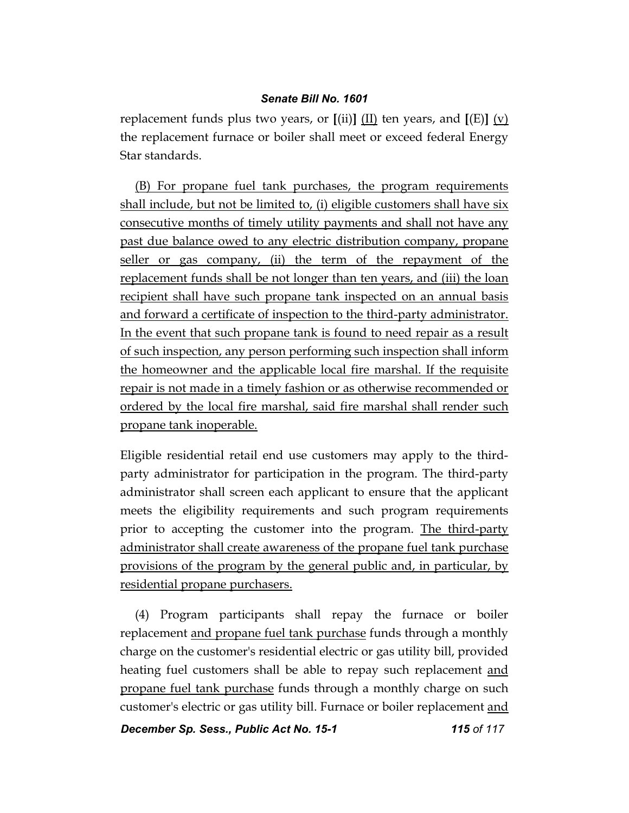replacement funds plus two years, or  $[(ii)]$   $(II)$  ten years, and  $[(E)]$   $(v)$ the replacement furnace or boiler shall meet or exceed federal Energy Star standards.

(B) For propane fuel tank purchases, the program requirements shall include, but not be limited to, (i) eligible customers shall have six consecutive months of timely utility payments and shall not have any past due balance owed to any electric distribution company, propane seller or gas company, (ii) the term of the repayment of the replacement funds shall be not longer than ten years, and (iii) the loan recipient shall have such propane tank inspected on an annual basis and forward a certificate of inspection to the third-party administrator. In the event that such propane tank is found to need repair as a result of such inspection, any person performing such inspection shall inform the homeowner and the applicable local fire marshal. If the requisite repair is not made in a timely fashion or as otherwise recommended or ordered by the local fire marshal, said fire marshal shall render such propane tank inoperable.

Eligible residential retail end use customers may apply to the thirdparty administrator for participation in the program. The third-party administrator shall screen each applicant to ensure that the applicant meets the eligibility requirements and such program requirements prior to accepting the customer into the program. The third-party administrator shall create awareness of the propane fuel tank purchase provisions of the program by the general public and, in particular, by residential propane purchasers.

(4) Program participants shall repay the furnace or boiler replacement and propane fuel tank purchase funds through a monthly charge on the customer's residential electric or gas utility bill, provided heating fuel customers shall be able to repay such replacement and propane fuel tank purchase funds through a monthly charge on such customer's electric or gas utility bill. Furnace or boiler replacement and

*December Sp. Sess., Public Act No. 15-1 115 of 117*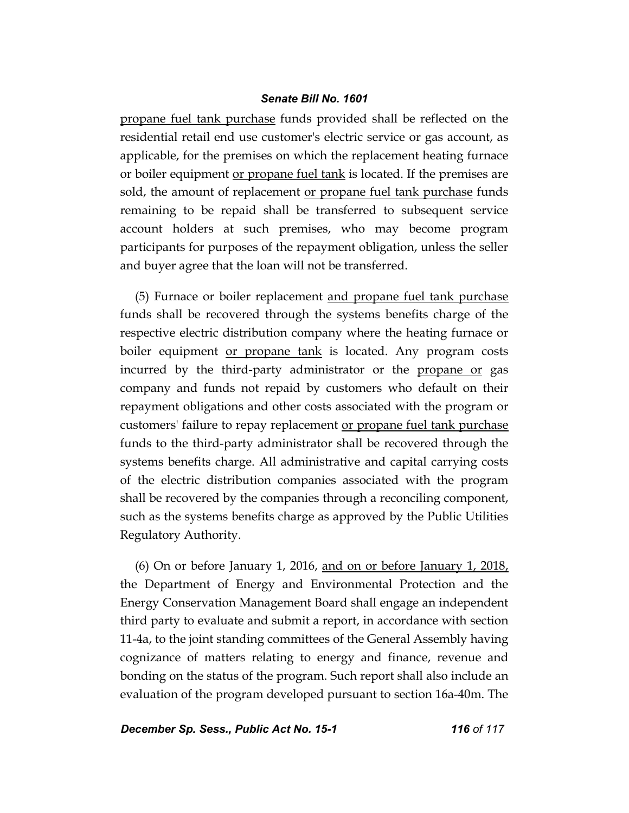propane fuel tank purchase funds provided shall be reflected on the residential retail end use customer's electric service or gas account, as applicable, for the premises on which the replacement heating furnace or boiler equipment <u>or propane fuel tank</u> is located. If the premises are sold, the amount of replacement or propane fuel tank purchase funds remaining to be repaid shall be transferred to subsequent service account holders at such premises, who may become program participants for purposes of the repayment obligation, unless the seller and buyer agree that the loan will not be transferred.

(5) Furnace or boiler replacement and propane fuel tank purchase funds shall be recovered through the systems benefits charge of the respective electric distribution company where the heating furnace or boiler equipment <u>or propane tank</u> is located. Any program costs incurred by the third-party administrator or the propane or gas company and funds not repaid by customers who default on their repayment obligations and other costs associated with the program or customers' failure to repay replacement <u>or propane fuel tank purchase</u> funds to the third-party administrator shall be recovered through the systems benefits charge. All administrative and capital carrying costs of the electric distribution companies associated with the program shall be recovered by the companies through a reconciling component, such as the systems benefits charge as approved by the Public Utilities Regulatory Authority.

(6) On or before January 1, 2016, and on or before January 1,  $2018$ , the Department of Energy and Environmental Protection and the Energy Conservation Management Board shall engage an independent third party to evaluate and submit a report, in accordance with section 11-4a, to the joint standing committees of the General Assembly having cognizance of matters relating to energy and finance, revenue and bonding on the status of the program. Such report shall also include an evaluation of the program developed pursuant to section 16a-40m. The

*December Sp. Sess., Public Act No. 15-1 116 of 117*